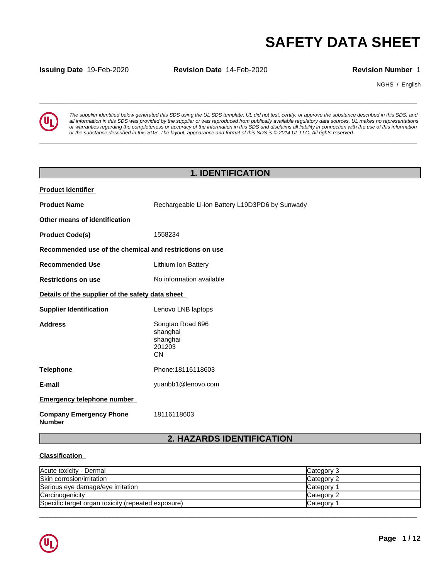**Issuing Date** 19-Feb-2020 **Revision Date** 14-Feb-2020 **Revision Number** 1

NGHS / English



**SAFETY DATA SHEET**<br> **SECURITY DATA SHEET**<br>
Revision Number 1<br>
The supplier identified below generated this SDS using the UL SDS template. UL did not test, certify, or approve the substance described in this SDS, and<br>
all *The supplier identified below generated this SDS using the UL SDS template. UL did not test, certify, or approve the substance described in this SDS, and* all information in this SDS was provided by the supplier or was reproduced from publically available regulatory data sources. UL makes no representations or warranties regarding the completeness or accuracy of the information in this SDS and disclaims all liability in connection with the use of this information or the substance described in this SDS. The layout, appearance and format of this SDS is @2014 UL LLC. All rights reserved.

**\_\_\_\_\_\_\_\_\_\_\_\_\_\_\_\_\_\_\_\_\_\_\_\_\_\_\_\_\_\_\_\_\_\_\_\_\_\_\_\_\_\_\_\_\_\_\_\_\_\_\_\_\_\_\_\_\_\_\_\_\_\_\_\_\_\_\_\_\_\_\_\_\_\_\_\_\_\_\_\_\_\_\_\_\_\_\_\_\_\_\_\_\_**

## **1. IDENTIFICATION**

| <b>Product identifier</b>                               |                                                                 |  |
|---------------------------------------------------------|-----------------------------------------------------------------|--|
| <b>Product Name</b>                                     | Rechargeable Li-ion Battery L19D3PD6 by Sunwady                 |  |
| Other means of identification                           |                                                                 |  |
| <b>Product Code(s)</b>                                  | 1558234                                                         |  |
| Recommended use of the chemical and restrictions on use |                                                                 |  |
| <b>Recommended Use</b>                                  | Lithium Ion Battery                                             |  |
| <b>Restrictions on use</b>                              | No information available                                        |  |
| Details of the supplier of the safety data sheet        |                                                                 |  |
| <b>Supplier Identification</b>                          | Lenovo LNB laptops                                              |  |
| <b>Address</b>                                          | Songtao Road 696<br>shanghai<br>shanghai<br>201203<br><b>CN</b> |  |
| <b>Telephone</b>                                        | Phone: 18116118603                                              |  |
| E-mail                                                  | yuanbb1@lenovo.com                                              |  |
| <b>Emergency telephone number</b>                       |                                                                 |  |
| <b>Company Emergency Phone</b><br><b>Number</b>         | 18116118603                                                     |  |

# **2. HAZARDS IDENTIFICATION**

## **Classification**

| Acute toxicity - Dermal                            | Category 3 |
|----------------------------------------------------|------------|
| Skin corrosion/irritation                          | Category 2 |
| Serious eye damage/eye irritation                  | Category   |
| Carcinogenicity                                    | Category 2 |
| Specific target organ toxicity (repeated exposure) | Category   |

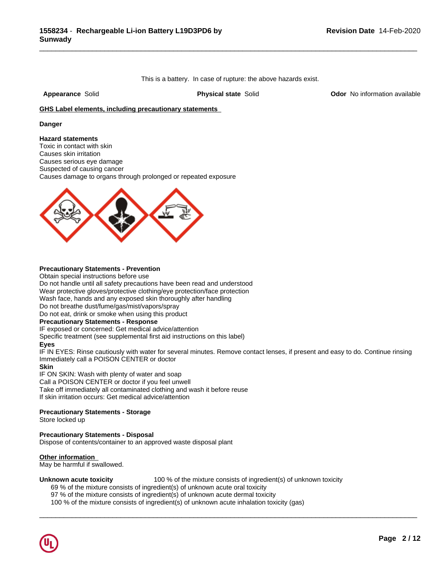This is a battery. In case of rupture: the above hazards exist.

\_\_\_\_\_\_\_\_\_\_\_\_\_\_\_\_\_\_\_\_\_\_\_\_\_\_\_\_\_\_\_\_\_\_\_\_\_\_\_\_\_\_\_\_\_\_\_\_\_\_\_\_\_\_\_\_\_\_\_\_\_\_\_\_\_\_\_\_\_\_\_\_\_\_\_\_\_\_\_\_\_\_\_\_\_\_\_\_\_\_\_\_\_

**Appearance** Solid **Physical state** Solid **Odor** No information available

### **GHS Label elements, including precautionary statements**

### **Danger**

**Hazard statements** Toxic in contact with skin Causes skin irritation Causes serious eye damage Suspected of causing cancer Causes damage to organs through prolonged or repeated exposure



## **Precautionary Statements - Prevention**

Obtain special instructions before use

Do not handle until all safety precautions have been read and understood

Wear protective gloves/protective clothing/eye protection/face protection

Wash face, hands and any exposed skin thoroughly after handling

Do not breathe dust/fume/gas/mist/vapors/spray

Do not eat, drink or smoke when using this product

## **Precautionary Statements - Response**

IF exposed or concerned: Get medical advice/attention

Specific treatment (see supplemental first aid instructions on this label)

### **Eyes**

IF IN EYES: Rinse cautiously with water for several minutes. Remove contact lenses, if present and easy to do. Continue rinsing Immediately call a POISON CENTER or doctor

 $\overline{\phantom{a}}$  ,  $\overline{\phantom{a}}$  ,  $\overline{\phantom{a}}$  ,  $\overline{\phantom{a}}$  ,  $\overline{\phantom{a}}$  ,  $\overline{\phantom{a}}$  ,  $\overline{\phantom{a}}$  ,  $\overline{\phantom{a}}$  ,  $\overline{\phantom{a}}$  ,  $\overline{\phantom{a}}$  ,  $\overline{\phantom{a}}$  ,  $\overline{\phantom{a}}$  ,  $\overline{\phantom{a}}$  ,  $\overline{\phantom{a}}$  ,  $\overline{\phantom{a}}$  ,  $\overline{\phantom{a}}$ 

### **Skin**

IF ON SKIN: Wash with plenty of water and soap

Call a POISON CENTER or doctor if you feel unwell

Take off immediately all contaminated clothing and wash it before reuse

If skin irritation occurs: Get medical advice/attention

## **Precautionary Statements - Storage**

Store locked up

## **Precautionary Statements - Disposal**

Dispose of contents/container to an approved waste disposal plant

## **Other information**

May be harmful if swallowed.

**Unknown acute toxicity** 100 % of the mixture consists of ingredient(s) of unknown toxicity 69 % of the mixture consists of ingredient(s) of unknown acute oral toxicity

97 % of the mixture consists of ingredient(s) of unknown acute dermal toxicity

100 % of the mixture consists of ingredient(s) of unknown acute inhalation toxicity (gas)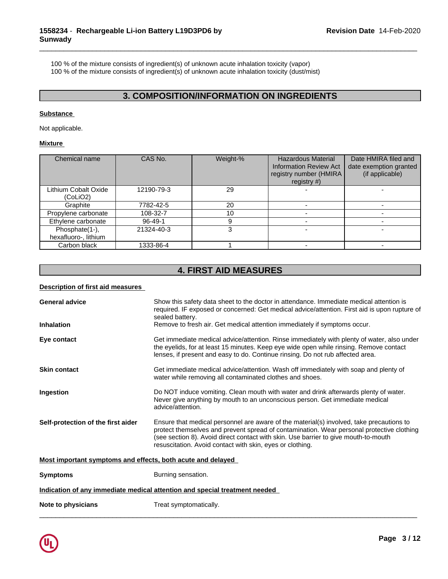100 % of the mixture consists of ingredient(s) of unknown acute inhalation toxicity (vapor)

100 % of the mixture consists of ingredient(s) of unknown acute inhalation toxicity (dust/mist)

# **3. COMPOSITION/INFORMATION ON INGREDIENTS**

\_\_\_\_\_\_\_\_\_\_\_\_\_\_\_\_\_\_\_\_\_\_\_\_\_\_\_\_\_\_\_\_\_\_\_\_\_\_\_\_\_\_\_\_\_\_\_\_\_\_\_\_\_\_\_\_\_\_\_\_\_\_\_\_\_\_\_\_\_\_\_\_\_\_\_\_\_\_\_\_\_\_\_\_\_\_\_\_\_\_\_\_\_

## **Substance**

Not applicable.

## **Mixture**

| Chemical name                          | CAS No.       | Weight-% | <b>Hazardous Material</b><br><b>Information Review Act</b><br>registry number (HMIRA<br>registry $#$ ) | Date HMIRA filed and<br>date exemption granted<br>(if applicable) |
|----------------------------------------|---------------|----------|--------------------------------------------------------------------------------------------------------|-------------------------------------------------------------------|
| Lithium Cobalt Oxide<br>(CoLiO2)       | 12190-79-3    | 29       |                                                                                                        |                                                                   |
| Graphite                               | 7782-42-5     | 20       |                                                                                                        |                                                                   |
| Propylene carbonate                    | 108-32-7      | 10       |                                                                                                        |                                                                   |
| Ethylene carbonate                     | $96 - 49 - 1$ |          |                                                                                                        |                                                                   |
| Phosphate(1-),<br>hexafluoro-, lithium | 21324-40-3    |          |                                                                                                        |                                                                   |
| Carbon black                           | 1333-86-4     |          |                                                                                                        |                                                                   |

# **4. FIRST AID MEASURES**

## **Description of first aid measures**

| <b>General advice</b>                                       | Show this safety data sheet to the doctor in attendance. Immediate medical attention is<br>required. IF exposed or concerned: Get medical advice/attention. First aid is upon rupture of<br>sealed battery.                                                                                                                               |  |  |
|-------------------------------------------------------------|-------------------------------------------------------------------------------------------------------------------------------------------------------------------------------------------------------------------------------------------------------------------------------------------------------------------------------------------|--|--|
| <b>Inhalation</b>                                           | Remove to fresh air. Get medical attention immediately if symptoms occur.                                                                                                                                                                                                                                                                 |  |  |
| Eye contact                                                 | Get immediate medical advice/attention. Rinse immediately with plenty of water, also under<br>the eyelids, for at least 15 minutes. Keep eye wide open while rinsing. Remove contact<br>lenses, if present and easy to do. Continue rinsing. Do not rub affected area.                                                                    |  |  |
| <b>Skin contact</b>                                         | Get immediate medical advice/attention. Wash off immediately with soap and plenty of<br>water while removing all contaminated clothes and shoes.                                                                                                                                                                                          |  |  |
| Ingestion                                                   | Do NOT induce vomiting. Clean mouth with water and drink afterwards plenty of water.<br>Never give anything by mouth to an unconscious person. Get immediate medical<br>advice/attention.                                                                                                                                                 |  |  |
| Self-protection of the first aider                          | Ensure that medical personnel are aware of the material(s) involved, take precautions to<br>protect themselves and prevent spread of contamination. Wear personal protective clothing<br>(see section 8). Avoid direct contact with skin. Use barrier to give mouth-to-mouth<br>resuscitation. Avoid contact with skin, eyes or clothing. |  |  |
| Most important symptoms and effects, both acute and delayed |                                                                                                                                                                                                                                                                                                                                           |  |  |
| <b>Symptoms</b>                                             | Burning sensation.                                                                                                                                                                                                                                                                                                                        |  |  |
|                                                             | Indication of any immediate medical attention and special treatment needed                                                                                                                                                                                                                                                                |  |  |
| Note to physicians                                          | Treat symptomatically.                                                                                                                                                                                                                                                                                                                    |  |  |

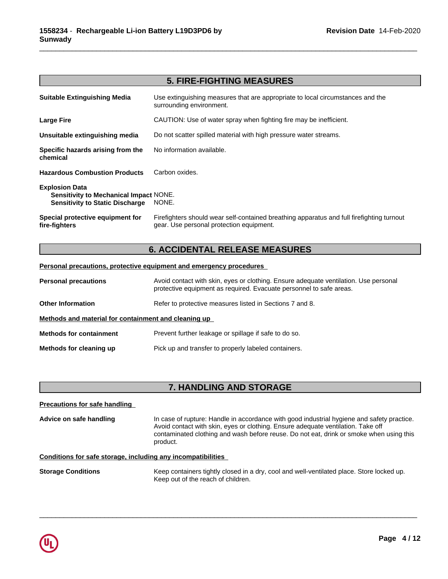## **5. FIRE-FIGHTING MEASURES**

\_\_\_\_\_\_\_\_\_\_\_\_\_\_\_\_\_\_\_\_\_\_\_\_\_\_\_\_\_\_\_\_\_\_\_\_\_\_\_\_\_\_\_\_\_\_\_\_\_\_\_\_\_\_\_\_\_\_\_\_\_\_\_\_\_\_\_\_\_\_\_\_\_\_\_\_\_\_\_\_\_\_\_\_\_\_\_\_\_\_\_\_\_

| <b>Suitable Extinguishing Media</b>                                                                              | Use extinguishing measures that are appropriate to local circumstances and the<br>surrounding environment.                            |
|------------------------------------------------------------------------------------------------------------------|---------------------------------------------------------------------------------------------------------------------------------------|
| <b>Large Fire</b>                                                                                                | CAUTION: Use of water spray when fighting fire may be inefficient.                                                                    |
| Unsuitable extinguishing media                                                                                   | Do not scatter spilled material with high pressure water streams.                                                                     |
| Specific hazards arising from the<br>chemical                                                                    | No information available.                                                                                                             |
| <b>Hazardous Combustion Products</b>                                                                             | Carbon oxides.                                                                                                                        |
| <b>Explosion Data</b><br><b>Sensitivity to Mechanical Impact NONE.</b><br><b>Sensitivity to Static Discharge</b> | NONE.                                                                                                                                 |
| Special protective equipment for<br>fire-fighters                                                                | Firefighters should wear self-contained breathing apparatus and full firefighting turnout<br>gear. Use personal protection equipment. |

## **6. ACCIDENTAL RELEASE MEASURES**

### **Personal precautions, protective equipment and emergency procedures**

| <b>Personal precautions</b>                                                          | Avoid contact with skin, eyes or clothing. Ensure adequate ventilation. Use personal<br>protective equipment as required. Evacuate personnel to safe areas. |  |  |
|--------------------------------------------------------------------------------------|-------------------------------------------------------------------------------------------------------------------------------------------------------------|--|--|
| Refer to protective measures listed in Sections 7 and 8.<br><b>Other Information</b> |                                                                                                                                                             |  |  |
| Methods and material for containment and cleaning up                                 |                                                                                                                                                             |  |  |
| <b>Methods for containment</b>                                                       | Prevent further leakage or spillage if safe to do so.                                                                                                       |  |  |
| Methods for cleaning up                                                              | Pick up and transfer to properly labeled containers.                                                                                                        |  |  |

## **7. HANDLING AND STORAGE**

**Precautions for safe handling**

**Advice on safe handling** In case of rupture: Handle in accordance with good industrial hygiene and safety practice. Avoid contact with skin, eyes or clothing. Ensure adequate ventilation. Take off contaminated clothing and wash before reuse. Do not eat, drink or smoke when using this product.

 $\overline{\phantom{a}}$  ,  $\overline{\phantom{a}}$  ,  $\overline{\phantom{a}}$  ,  $\overline{\phantom{a}}$  ,  $\overline{\phantom{a}}$  ,  $\overline{\phantom{a}}$  ,  $\overline{\phantom{a}}$  ,  $\overline{\phantom{a}}$  ,  $\overline{\phantom{a}}$  ,  $\overline{\phantom{a}}$  ,  $\overline{\phantom{a}}$  ,  $\overline{\phantom{a}}$  ,  $\overline{\phantom{a}}$  ,  $\overline{\phantom{a}}$  ,  $\overline{\phantom{a}}$  ,  $\overline{\phantom{a}}$ 

## **Conditions for safe storage, including any incompatibilities**

**Storage Conditions** Keep containers tightly closed in a dry, cool and well-ventilated place. Store locked up. Keep out of the reach of children.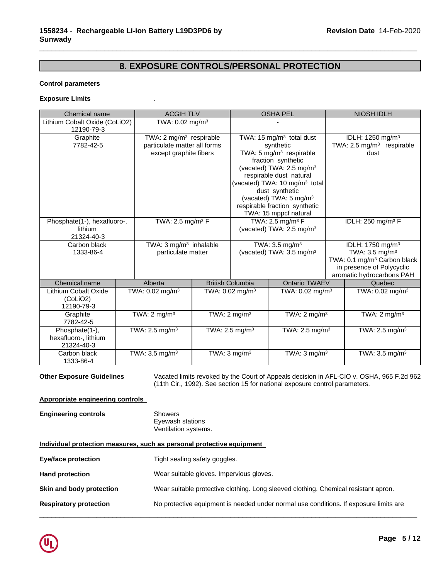# **8. EXPOSURE CONTROLS/PERSONAL PROTECTION**

\_\_\_\_\_\_\_\_\_\_\_\_\_\_\_\_\_\_\_\_\_\_\_\_\_\_\_\_\_\_\_\_\_\_\_\_\_\_\_\_\_\_\_\_\_\_\_\_\_\_\_\_\_\_\_\_\_\_\_\_\_\_\_\_\_\_\_\_\_\_\_\_\_\_\_\_\_\_\_\_\_\_\_\_\_\_\_\_\_\_\_\_\_

## **Control parameters**

### **Exposure Limits** .

| <b>Chemical name</b>                                 | <b>ACGIH TLV</b>                                                                              |                                                                                                                                                                                                                                                                                                                                        | <b>OSHA PEL</b>                                                       | <b>NIOSH IDLH</b>                                                                                                                                              |
|------------------------------------------------------|-----------------------------------------------------------------------------------------------|----------------------------------------------------------------------------------------------------------------------------------------------------------------------------------------------------------------------------------------------------------------------------------------------------------------------------------------|-----------------------------------------------------------------------|----------------------------------------------------------------------------------------------------------------------------------------------------------------|
| Lithium Cobalt Oxide (CoLiO2)<br>12190-79-3          | TWA: $0.02$ mg/m <sup>3</sup>                                                                 |                                                                                                                                                                                                                                                                                                                                        |                                                                       |                                                                                                                                                                |
| Graphite<br>7782-42-5                                | TWA: 2 mg/m <sup>3</sup> respirable<br>particulate matter all forms<br>except graphite fibers | TWA: 15 $mg/m3$ total dust<br>synthetic<br>TWA: 5 mg/m <sup>3</sup> respirable<br>fraction synthetic<br>(vacated) TWA: 2.5 mg/m <sup>3</sup><br>respirable dust natural<br>(vacated) TWA: 10 mg/m <sup>3</sup> total<br>dust synthetic<br>(vacated) TWA: 5 mg/m <sup>3</sup><br>respirable fraction synthetic<br>TWA: 15 mppcf natural |                                                                       | IDLH: 1250 mg/m <sup>3</sup><br>TWA: 2.5 mg/m <sup>3</sup> respirable<br>dust                                                                                  |
| Phosphate(1-), hexafluoro-,<br>lithium<br>21324-40-3 | TWA: 2.5 mg/m <sup>3</sup> F                                                                  |                                                                                                                                                                                                                                                                                                                                        | TWA: $2.5$ mg/m <sup>3</sup> F<br>(vacated) TWA: $2.5 \text{ mg/m}^3$ | IDLH: 250 mg/m <sup>3</sup> F                                                                                                                                  |
| Carbon black<br>1333-86-4                            | TWA: 3 mg/m <sup>3</sup> inhalable<br>particulate matter                                      |                                                                                                                                                                                                                                                                                                                                        | TWA: 3.5 mg/m <sup>3</sup><br>(vacated) TWA: 3.5 mg/m <sup>3</sup>    | IDLH: 1750 mg/m <sup>3</sup><br>TWA: $3.5 \text{ mg/m}^3$<br>TWA: 0.1 mg/m <sup>3</sup> Carbon black<br>in presence of Polycyclic<br>aromatic hydrocarbons PAH |
| Chemical name                                        | Alberta                                                                                       | <b>British Columbia</b>                                                                                                                                                                                                                                                                                                                | Ontario TWAEV                                                         | Quebec                                                                                                                                                         |
| Lithium Cobalt Oxide<br>(CoLiO2)<br>12190-79-3       | TWA: $0.02$ mg/m <sup>3</sup>                                                                 | TWA: $0.02$ mg/m <sup>3</sup>                                                                                                                                                                                                                                                                                                          | TWA: $0.02 \text{ mg/m}^3$                                            | TWA: $0.02$ mg/m <sup>3</sup>                                                                                                                                  |
| Graphite<br>7782-42-5                                | TWA: $2 \text{ mg/m}^3$                                                                       | TWA: $2 \text{ mg/m}^3$                                                                                                                                                                                                                                                                                                                | TWA: $2 \text{ mg/m}^3$                                               | TWA: $2 \text{ mg/m}^3$                                                                                                                                        |
| Phosphate(1-),<br>hexafluoro-, lithium<br>21324-40-3 | TWA: $2.5$ mg/m <sup>3</sup>                                                                  | TWA: $2.5 \text{ mg/m}^3$                                                                                                                                                                                                                                                                                                              | TWA: 2.5 mg/m <sup>3</sup>                                            | TWA: 2.5 mg/m <sup>3</sup>                                                                                                                                     |
| Carbon black<br>1333-86-4                            | TWA: 3.5 mg/m <sup>3</sup>                                                                    | TWA: $3 \text{ mg/m}^3$                                                                                                                                                                                                                                                                                                                | TWA: $3 \text{ mg/m}^3$                                               | TWA: 3.5 mg/m <sup>3</sup>                                                                                                                                     |

**Other Exposure Guidelines** Vacated limits revoked by the Court of Appeals decision in AFL-CIO v.OSHA, 965 F.2d 962 (11th Cir., 1992). See section 15 for national exposure control parameters.

### **Appropriate engineering controls**

| <b>Engineering controls</b> | <b>Showers</b><br>Eyewash stations<br>Ventilation systems.                          |
|-----------------------------|-------------------------------------------------------------------------------------|
|                             | Individual protection measures, such as personal protective equipment               |
| Eye/face protection         | Tight sealing safety goggles.                                                       |
| <b>Hand protection</b>      | Wear suitable gloves. Impervious gloves.                                            |
| Skin and body protection    | Wear suitable protective clothing. Long sleeved clothing. Chemical resistant apron. |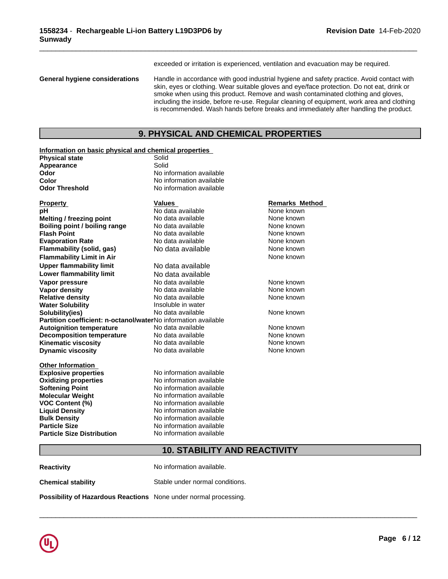exceeded or irritation is experienced, ventilation and evacuation may be required.

\_\_\_\_\_\_\_\_\_\_\_\_\_\_\_\_\_\_\_\_\_\_\_\_\_\_\_\_\_\_\_\_\_\_\_\_\_\_\_\_\_\_\_\_\_\_\_\_\_\_\_\_\_\_\_\_\_\_\_\_\_\_\_\_\_\_\_\_\_\_\_\_\_\_\_\_\_\_\_\_\_\_\_\_\_\_\_\_\_\_\_\_\_

**General hygiene considerations** Handle in accordance with good industrial hygiene and safety practice. Avoid contact with skin, eyes or clothing. Wear suitable gloves and eye/face protection. Do not eat, drink or smoke when using this product. Remove and wash contaminated clothing and gloves, including the inside, before re-use. Regular cleaning of equipment, work area and clothing is recommended. Wash hands before breaks and immediately after handling the product.

## **9. PHYSICAL AND CHEMICAL PROPERTIES**

| Information on basic physical and chemical properties                 |                          |                       |
|-----------------------------------------------------------------------|--------------------------|-----------------------|
| <b>Physical state</b>                                                 | Solid                    |                       |
| Appearance                                                            | Solid                    |                       |
| Odor                                                                  | No information available |                       |
| Color                                                                 | No information available |                       |
| <b>Odor Threshold</b>                                                 | No information available |                       |
| <b>Property</b>                                                       | <b>Values</b>            | <b>Remarks Method</b> |
| рH                                                                    | No data available        | None known            |
| Melting / freezing point                                              | No data available        | None known            |
| Boiling point / boiling range                                         | No data available        | None known            |
| <b>Flash Point</b>                                                    | No data available        | None known            |
| <b>Evaporation Rate</b>                                               | No data available        | None known            |
| Flammability (solid, gas)                                             | No data available        | None known            |
| <b>Flammability Limit in Air</b>                                      |                          | None known            |
| <b>Upper flammability limit</b>                                       | No data available        |                       |
| Lower flammability limit                                              | No data available        |                       |
| Vapor pressure                                                        | No data available        | None known            |
| <b>Vapor density</b>                                                  | No data available        | None known            |
| <b>Relative density</b>                                               | No data available        | None known            |
| <b>Water Solubility</b>                                               | Insoluble in water       |                       |
| Solubility(ies)                                                       | No data available        | None known            |
| <b>Partition coefficient: n-octanol/waterNo information available</b> |                          |                       |
| <b>Autoignition temperature</b>                                       | No data available        | None known            |
| <b>Decomposition temperature</b>                                      | No data available        | None known            |
| Kinematic viscosity                                                   | No data available        | None known            |
| <b>Dynamic viscosity</b>                                              | No data available        | None known            |
| <b>Other Information</b>                                              |                          |                       |
| <b>Explosive properties</b>                                           | No information available |                       |
| <b>Oxidizing properties</b>                                           | No information available |                       |
| <b>Softening Point</b>                                                | No information available |                       |
| <b>Molecular Weight</b>                                               | No information available |                       |
| <b>VOC Content (%)</b>                                                | No information available |                       |
| <b>Liquid Density</b>                                                 | No information available |                       |
| <b>Bulk Density</b>                                                   | No information available |                       |
| <b>Particle Size</b>                                                  | No information available |                       |
| <b>Particle Size Distribution</b>                                     | No information available |                       |

# **10. STABILITY AND REACTIVITY**

 $\overline{\phantom{a}}$  ,  $\overline{\phantom{a}}$  ,  $\overline{\phantom{a}}$  ,  $\overline{\phantom{a}}$  ,  $\overline{\phantom{a}}$  ,  $\overline{\phantom{a}}$  ,  $\overline{\phantom{a}}$  ,  $\overline{\phantom{a}}$  ,  $\overline{\phantom{a}}$  ,  $\overline{\phantom{a}}$  ,  $\overline{\phantom{a}}$  ,  $\overline{\phantom{a}}$  ,  $\overline{\phantom{a}}$  ,  $\overline{\phantom{a}}$  ,  $\overline{\phantom{a}}$  ,  $\overline{\phantom{a}}$ 

**Reactivity No information available. Chemical stability** Stable under normal conditions.

**Possibility of Hazardous Reactions** None under normal processing.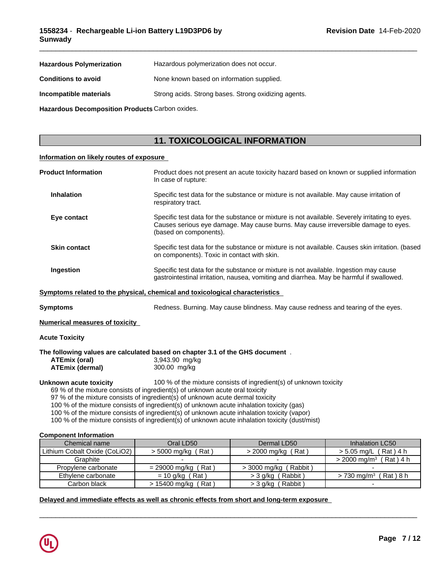| <b>Hazardous Polymerization</b> | Hazardous polymerization does not occur.             |
|---------------------------------|------------------------------------------------------|
| <b>Conditions to avoid</b>      | None known based on information supplied.            |
| Incompatible materials          | Strong acids. Strong bases. Strong oxidizing agents. |

**Hazardous Decomposition Products** Carbon oxides.

# **11. TOXICOLOGICAL INFORMATION**

## **Information on likely routes of exposure**

| <b>Product Information</b>                                                    | In case of rupture:                                                                                                                                                                                                                                                                                                                                                                                                                                           | Product does not present an acute toxicity hazard based on known or supplied information                                                                                             |                                                                                                  |  |  |  |  |
|-------------------------------------------------------------------------------|---------------------------------------------------------------------------------------------------------------------------------------------------------------------------------------------------------------------------------------------------------------------------------------------------------------------------------------------------------------------------------------------------------------------------------------------------------------|--------------------------------------------------------------------------------------------------------------------------------------------------------------------------------------|--------------------------------------------------------------------------------------------------|--|--|--|--|
| <b>Inhalation</b>                                                             | Specific test data for the substance or mixture is not available. May cause irritation of<br>respiratory tract.                                                                                                                                                                                                                                                                                                                                               |                                                                                                                                                                                      |                                                                                                  |  |  |  |  |
| Eye contact                                                                   | (based on components).                                                                                                                                                                                                                                                                                                                                                                                                                                        | Specific test data for the substance or mixture is not available. Severely irritating to eyes.<br>Causes serious eye damage. May cause burns. May cause irreversible damage to eyes. |                                                                                                  |  |  |  |  |
| <b>Skin contact</b>                                                           | on components). Toxic in contact with skin.                                                                                                                                                                                                                                                                                                                                                                                                                   |                                                                                                                                                                                      | Specific test data for the substance or mixture is not available. Causes skin irritation. (based |  |  |  |  |
| Ingestion                                                                     |                                                                                                                                                                                                                                                                                                                                                                                                                                                               | Specific test data for the substance or mixture is not available. Ingestion may cause<br>gastrointestinal irritation, nausea, vomiting and diarrhea. May be harmful if swallowed.    |                                                                                                  |  |  |  |  |
| Symptoms related to the physical, chemical and toxicological characteristics  |                                                                                                                                                                                                                                                                                                                                                                                                                                                               |                                                                                                                                                                                      |                                                                                                  |  |  |  |  |
| <b>Symptoms</b>                                                               |                                                                                                                                                                                                                                                                                                                                                                                                                                                               | Redness. Burning. May cause blindness. May cause redness and tearing of the eyes.                                                                                                    |                                                                                                  |  |  |  |  |
| <b>Numerical measures of toxicity</b>                                         |                                                                                                                                                                                                                                                                                                                                                                                                                                                               |                                                                                                                                                                                      |                                                                                                  |  |  |  |  |
| <b>Acute Toxicity</b>                                                         |                                                                                                                                                                                                                                                                                                                                                                                                                                                               |                                                                                                                                                                                      |                                                                                                  |  |  |  |  |
| The following values are calculated based on chapter 3.1 of the GHS document. |                                                                                                                                                                                                                                                                                                                                                                                                                                                               |                                                                                                                                                                                      |                                                                                                  |  |  |  |  |
| <b>ATEmix (oral)</b><br><b>ATEmix (dermal)</b>                                | 3,943.90 mg/kg<br>300.00 mg/kg                                                                                                                                                                                                                                                                                                                                                                                                                                |                                                                                                                                                                                      |                                                                                                  |  |  |  |  |
| <b>Unknown acute toxicity</b>                                                 | 69 % of the mixture consists of ingredient(s) of unknown acute oral toxicity<br>97 % of the mixture consists of ingredient(s) of unknown acute dermal toxicity<br>100 % of the mixture consists of ingredient(s) of unknown acute inhalation toxicity (gas)<br>100 % of the mixture consists of ingredient(s) of unknown acute inhalation toxicity (vapor)<br>100 % of the mixture consists of ingredient(s) of unknown acute inhalation toxicity (dust/mist) | 100 % of the mixture consists of ingredient(s) of unknown toxicity                                                                                                                   |                                                                                                  |  |  |  |  |
| <b>Component Information</b>                                                  |                                                                                                                                                                                                                                                                                                                                                                                                                                                               |                                                                                                                                                                                      |                                                                                                  |  |  |  |  |
| Chemical name                                                                 | Oral LD50                                                                                                                                                                                                                                                                                                                                                                                                                                                     | Dermal LD50                                                                                                                                                                          | Inhalation LC50                                                                                  |  |  |  |  |
| Lithium Cobalt Oxide (CoLiO2)                                                 | $>$ 5000 mg/kg (Rat)                                                                                                                                                                                                                                                                                                                                                                                                                                          | $>$ 2000 mg/kg (Rat)                                                                                                                                                                 | $> 5.05$ mg/L (Rat) 4 h                                                                          |  |  |  |  |
| Graphite                                                                      |                                                                                                                                                                                                                                                                                                                                                                                                                                                               |                                                                                                                                                                                      | $>$ 2000 mg/m <sup>3</sup> (Rat) 4 h                                                             |  |  |  |  |

Ethylene carbonate = 10 g/kg (Rat) >3 g/kg (Rabbit) >730 mg/m<sup>3</sup> (Rat)8 h

 $\overline{\phantom{a}}$  ,  $\overline{\phantom{a}}$  ,  $\overline{\phantom{a}}$  ,  $\overline{\phantom{a}}$  ,  $\overline{\phantom{a}}$  ,  $\overline{\phantom{a}}$  ,  $\overline{\phantom{a}}$  ,  $\overline{\phantom{a}}$  ,  $\overline{\phantom{a}}$  ,  $\overline{\phantom{a}}$  ,  $\overline{\phantom{a}}$  ,  $\overline{\phantom{a}}$  ,  $\overline{\phantom{a}}$  ,  $\overline{\phantom{a}}$  ,  $\overline{\phantom{a}}$  ,  $\overline{\phantom{a}}$ 

| Delayed and immediate effects as well as chronic effects from short and long-term exposure |  |
|--------------------------------------------------------------------------------------------|--|

Carbon black  $\vert$  > 15400 mg/kg (Rat )  $\vert$  > 3 g/kg (Rabbit ) -

Propylene carbonate  $= 29000$  mg/kg  $(Rat)$   $> 3000$  mg/kg  $(Rabbit)$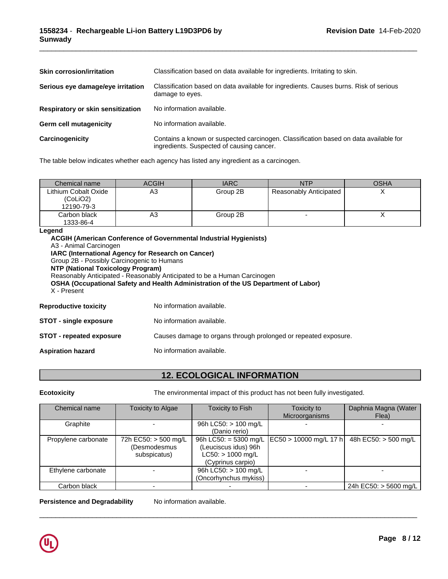| <b>Skin corrosion/irritation</b>  | Classification based on data available for ingredients. Irritating to skin.                                                       |
|-----------------------------------|-----------------------------------------------------------------------------------------------------------------------------------|
| Serious eye damage/eye irritation | Classification based on data available for ingredients. Causes burns. Risk of serious<br>damage to eyes.                          |
| Respiratory or skin sensitization | No information available.                                                                                                         |
| <b>Germ cell mutagenicity</b>     | No information available.                                                                                                         |
| Carcinogenicity                   | Contains a known or suspected carcinogen. Classification based on data available for<br>ingredients. Suspected of causing cancer. |

The table below indicates whether each agency has listed any ingredient as a carcinogen.

| Chemical name                                  | <b>ACGIH</b> | <b>IARC</b> | <b>NTP</b>             | <b>OSHA</b> |
|------------------------------------------------|--------------|-------------|------------------------|-------------|
| Lithium Cobalt Oxide<br>(CoLiO2)<br>12190-79-3 | АЗ           | Group 2B    | Reasonably Anticipated |             |
| Carbon black<br>1333-86-4                      | н٥           | Group 2B    |                        |             |

### **Legend**

**ACGIH (American Conference of Governmental Industrial Hygienists)** A3 - Animal Carcinogen **IARC (International Agency for Research on Cancer)** Group 2B - Possibly Carcinogenic to Humans **NTP (National Toxicology Program)** Reasonably Anticipated - Reasonably Anticipated to be a Human Carcinogen **OSHA (Occupational Safety and Health Administration of the US Department of Labor)** X - Present **Reproductive toxicity** No information available. **STOT** - single exposure No information available. **STOT - repeated exposure** Causes damage to organs through prolonged or repeated exposure.

**Aspiration hazard** No information available.

# **12. ECOLOGICAL INFORMATION**

**Ecotoxicity** The environmental impact of this product has not been fully investigated.

 $\overline{\phantom{a}}$  ,  $\overline{\phantom{a}}$  ,  $\overline{\phantom{a}}$  ,  $\overline{\phantom{a}}$  ,  $\overline{\phantom{a}}$  ,  $\overline{\phantom{a}}$  ,  $\overline{\phantom{a}}$  ,  $\overline{\phantom{a}}$  ,  $\overline{\phantom{a}}$  ,  $\overline{\phantom{a}}$  ,  $\overline{\phantom{a}}$  ,  $\overline{\phantom{a}}$  ,  $\overline{\phantom{a}}$  ,  $\overline{\phantom{a}}$  ,  $\overline{\phantom{a}}$  ,  $\overline{\phantom{a}}$ 

| Chemical name       | Toxicity to Algae    | <b>Toxicity to Fish</b> | Toxicity to            | Daphnia Magna (Water  |
|---------------------|----------------------|-------------------------|------------------------|-----------------------|
|                     |                      |                         | Microorganisms         | Flea)                 |
| Graphite            |                      | 96h LC50: $> 100$ mg/L  |                        |                       |
|                     |                      | (Danio rerio)           |                        |                       |
| Propylene carbonate | 72h EC50: > 500 mg/L | 96h LC50: = $5300$ mg/L | EC50 > 10000 mg/L 17 h | 48h EC50: > 500 mg/L  |
|                     | (Desmodesmus         | (Leuciscus idus) 96h    |                        |                       |
|                     | subspicatus)         | $LC50:$ > 1000 mg/L     |                        |                       |
|                     |                      | (Cyprinus carpio)       |                        |                       |
| Ethylene carbonate  |                      | 96h LC50: > 100 mg/L    |                        |                       |
|                     |                      | (Oncorhynchus mykiss)   |                        |                       |
| Carbon black        |                      |                         |                        | 24h EC50: > 5600 mg/L |

**Persistence and Degradability** No information available.

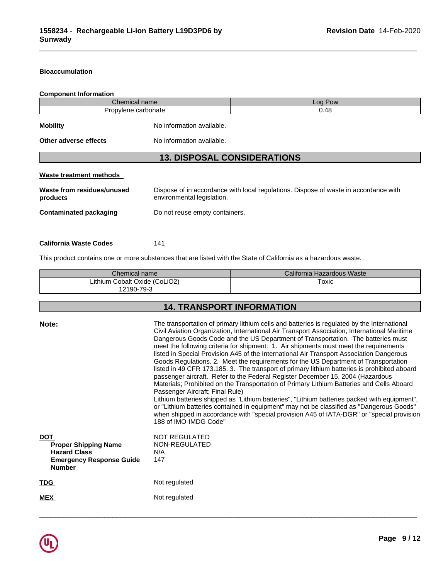## **Bioaccumulation**

# **Component Information**

| Chemical name                          |                                    | Log Pow                                                                              |
|----------------------------------------|------------------------------------|--------------------------------------------------------------------------------------|
| Propylene carbonate                    |                                    | 0.48                                                                                 |
| <b>Mobility</b>                        | No information available.          |                                                                                      |
| Other adverse effects                  | No information available.          |                                                                                      |
|                                        | <b>13. DISPOSAL CONSIDERATIONS</b> |                                                                                      |
|                                        |                                    |                                                                                      |
| Waste treatment methods                |                                    |                                                                                      |
| Waste from residues/unused<br>products | environmental legislation.         | Dispose of in accordance with local regulations. Dispose of waste in accordance with |

\_\_\_\_\_\_\_\_\_\_\_\_\_\_\_\_\_\_\_\_\_\_\_\_\_\_\_\_\_\_\_\_\_\_\_\_\_\_\_\_\_\_\_\_\_\_\_\_\_\_\_\_\_\_\_\_\_\_\_\_\_\_\_\_\_\_\_\_\_\_\_\_\_\_\_\_\_\_\_\_\_\_\_\_\_\_\_\_\_\_\_\_\_

# **California Waste Codes** 141

This product contains one or more substances that are listed with the State of California as a hazardous waste.

| Chemical name                 | California Hazardous Waste |
|-------------------------------|----------------------------|
| Lithium Cobalt Oxide (CoLiO2) | Toxic                      |
| 12190-79-3                    |                            |

# **14. TRANSPORT INFORMATION**

| Note:<br><b>DOT</b><br><b>Proper Shipping Name</b><br><b>Hazard Class</b><br><b>Emergency Response Guide</b><br><b>Number</b> | The transportation of primary lithium cells and batteries is regulated by the International<br>Civil Aviation Organization, International Air Transport Association, International Maritime<br>Dangerous Goods Code and the US Department of Transportation. The batteries must<br>meet the following criteria for shipment: 1. Air shipments must meet the requirements<br>listed in Special Provision A45 of the International Air Transport Association Dangerous<br>Goods Regulations. 2. Meet the requirements for the US Department of Transportation<br>listed in 49 CFR 173.185. 3. The transport of primary lithium batteries is prohibited aboard<br>passenger aircraft. Refer to the Federal Register December 15, 2004 (Hazardous<br>Materials; Prohibited on the Transportation of Primary Lithium Batteries and Cells Aboard<br>Passenger Aircraft; Final Rule)<br>Lithium batteries shipped as "Lithium batteries", "Lithium batteries packed with equipment",<br>or "Lithium batteries contained in equipment" may not be classified as "Dangerous Goods"<br>when shipped in accordance with "special provision A45 of IATA-DGR" or "special provision<br>188 of IMO-IMDG Code"<br><b>NOT REGULATED</b><br>NON-REGULATED<br>N/A<br>147 |
|-------------------------------------------------------------------------------------------------------------------------------|--------------------------------------------------------------------------------------------------------------------------------------------------------------------------------------------------------------------------------------------------------------------------------------------------------------------------------------------------------------------------------------------------------------------------------------------------------------------------------------------------------------------------------------------------------------------------------------------------------------------------------------------------------------------------------------------------------------------------------------------------------------------------------------------------------------------------------------------------------------------------------------------------------------------------------------------------------------------------------------------------------------------------------------------------------------------------------------------------------------------------------------------------------------------------------------------------------------------------------------------------------|
| <b>TDG</b>                                                                                                                    | Not regulated                                                                                                                                                                                                                                                                                                                                                                                                                                                                                                                                                                                                                                                                                                                                                                                                                                                                                                                                                                                                                                                                                                                                                                                                                                          |
| <b>MEX</b>                                                                                                                    | Not regulated                                                                                                                                                                                                                                                                                                                                                                                                                                                                                                                                                                                                                                                                                                                                                                                                                                                                                                                                                                                                                                                                                                                                                                                                                                          |
|                                                                                                                               |                                                                                                                                                                                                                                                                                                                                                                                                                                                                                                                                                                                                                                                                                                                                                                                                                                                                                                                                                                                                                                                                                                                                                                                                                                                        |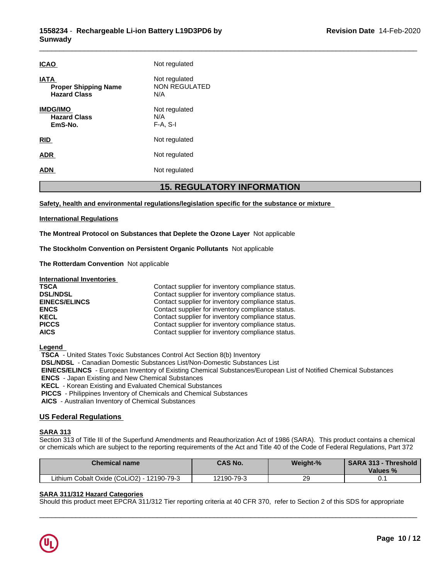| <b>ICAO</b>                                                       | Not regulated                         |
|-------------------------------------------------------------------|---------------------------------------|
| <b>IATA</b><br><b>Proper Shipping Name</b><br><b>Hazard Class</b> | Not regulated<br>NON REGULATED<br>N/A |
| <b>IMDG/IMO</b><br><b>Hazard Class</b><br>EmS-No.                 | Not regulated<br>N/A<br>$F-A, S-I$    |
| <b>RID</b>                                                        | Not regulated                         |
| <b>ADR</b>                                                        | Not regulated                         |
| <b>ADN</b>                                                        | Not regulated                         |

## **15. REGULATORY INFORMATION**

**Safety, health and environmental regulations/legislation specific for the substance or mixture**

## **International Regulations**

**The Montreal Protocol on Substances that Deplete the Ozone Layer** Notapplicable

**The Stockholm Convention on Persistent Organic Pollutants** Not applicable

**The Rotterdam Convention** Not applicable

**International Inventories**

| <b>TSCA</b>          | Contact supplier for inventory compliance status. |
|----------------------|---------------------------------------------------|
| <b>DSL/NDSL</b>      | Contact supplier for inventory compliance status. |
| <b>EINECS/ELINCS</b> | Contact supplier for inventory compliance status. |
| <b>ENCS</b>          | Contact supplier for inventory compliance status. |
| <b>KECL</b>          | Contact supplier for inventory compliance status. |
| <b>PICCS</b>         | Contact supplier for inventory compliance status. |
| <b>AICS</b>          | Contact supplier for inventory compliance status. |

**Legend** 

 **TSCA** - United States Toxic Substances Control Act Section 8(b) Inventory  **DSL/NDSL** - Canadian Domestic Substances List/Non-Domestic Substances List  **EINECS/ELINCS** - European Inventory of Existing Chemical Substances/European List of Notified Chemical Substances  **ENCS** - Japan Existing and New Chemical Substances  **KECL** - Korean Existing and Evaluated Chemical Substances  **PICCS** - Philippines Inventory of Chemicals and Chemical Substances  **AICS** - Australian Inventory of Chemical Substances

## **US Federal Regulations**

## **SARA 313**

Section 313 of Title III of the Superfund Amendments and Reauthorization Act of 1986 (SARA). This product contains a chemical or chemicals which are subject to the reporting requirements of the Act and Title 40 of the Code of Federal Regulations, Part 372

| <b>Chemical name</b>                          | <b>CAS No.</b> | <b>Weight-%</b> | <b>SARA 313 -</b><br>Threshold<br>Values % |
|-----------------------------------------------|----------------|-----------------|--------------------------------------------|
| Lithium Cobalt Oxide (CoLiO2) -<br>12190-79-3 | 12190-79-3     | 29              | ັບ. .                                      |

 $\overline{\phantom{a}}$  ,  $\overline{\phantom{a}}$  ,  $\overline{\phantom{a}}$  ,  $\overline{\phantom{a}}$  ,  $\overline{\phantom{a}}$  ,  $\overline{\phantom{a}}$  ,  $\overline{\phantom{a}}$  ,  $\overline{\phantom{a}}$  ,  $\overline{\phantom{a}}$  ,  $\overline{\phantom{a}}$  ,  $\overline{\phantom{a}}$  ,  $\overline{\phantom{a}}$  ,  $\overline{\phantom{a}}$  ,  $\overline{\phantom{a}}$  ,  $\overline{\phantom{a}}$  ,  $\overline{\phantom{a}}$ 

## **SARA 311/312 Hazard Categories**

Should this product meet EPCRA 311/312 Tier reporting criteria at 40 CFR 370, refer to Section 2 of this SDS for appropriate

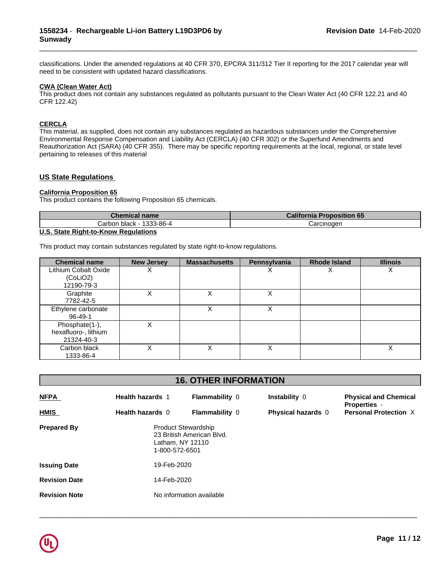classifications. Under the amended regulations at 40 CFR 370, EPCRA 311/312 Tier II reporting for the 2017 calendar year will need to be consistent with updated hazard classifications.

\_\_\_\_\_\_\_\_\_\_\_\_\_\_\_\_\_\_\_\_\_\_\_\_\_\_\_\_\_\_\_\_\_\_\_\_\_\_\_\_\_\_\_\_\_\_\_\_\_\_\_\_\_\_\_\_\_\_\_\_\_\_\_\_\_\_\_\_\_\_\_\_\_\_\_\_\_\_\_\_\_\_\_\_\_\_\_\_\_\_\_\_\_

## **CWA (Clean WaterAct)**

This product does not contain any substances regulated as pollutants pursuant to the Clean Water Act (40 CFR 122.21 and 40 CFR 122.42)

## **CERCLA**

This material, as supplied, does not contain any substances regulated as hazardous substances under the Comprehensive Environmental Response Compensation and Liability Act (CERCLA) (40 CFR 302) or the Superfund Amendments and Reauthorization Act (SARA) (40 CFR 355). There may be specific reporting requirements at the local, regional, or state level pertaining to releases of this material

## **US State Regulations**

## **California Proposition 65**

This product contains the following Proposition 65 chemicals.

| Chemical name                              | <b>California Proposition 65</b> |
|--------------------------------------------|----------------------------------|
| 1333-86-4<br>Carbon black<br>$\sim$ $\sim$ | Carcinoder                       |
| $\cdots$ $\cdots$ $\cdots$<br>. .<br>__    |                                  |

## **U.S. State Right-to-Know Regulations**

This product may contain substances regulated by state right-to-know regulations.

| <b>Chemical name</b>                                 | <b>New Jersey</b> | <b>Massachusetts</b> | Pennsylvania | <b>Rhode Island</b> | <b>Illinois</b> |
|------------------------------------------------------|-------------------|----------------------|--------------|---------------------|-----------------|
| Lithium Cobalt Oxide<br>(CoLiO2)<br>12190-79-3       | ∧                 |                      | ∧            | ⌒                   | ⋏               |
| Graphite<br>7782-42-5                                |                   |                      | X            |                     |                 |
| Ethylene carbonate<br>$96 - 49 - 1$                  |                   | Χ                    | Χ            |                     |                 |
| Phosphate(1-),<br>hexafluoro-, lithium<br>21324-40-3 |                   |                      |              |                     |                 |
| Carbon black<br>1333-86-4                            |                   | х                    | Χ            |                     | х               |

| <b>16. OTHER INFORMATION</b> |  |
|------------------------------|--|
|------------------------------|--|

| <b>NFPA</b>          | <b>Health hazards 1</b>                                          | <b>Flammability 0</b>     | Instability 0             | <b>Physical and Chemical</b><br><b>Properties</b> - |  |  |  |
|----------------------|------------------------------------------------------------------|---------------------------|---------------------------|-----------------------------------------------------|--|--|--|
| <b>HMIS</b>          | Health hazards 0                                                 | <b>Flammability 0</b>     | <b>Physical hazards 0</b> | <b>Personal Protection X</b>                        |  |  |  |
| <b>Prepared By</b>   | <b>Product Stewardship</b><br>Latham, NY 12110<br>1-800-572-6501 | 23 British American Blvd. |                           |                                                     |  |  |  |
| <b>Issuing Date</b>  | 19-Feb-2020                                                      |                           |                           |                                                     |  |  |  |
| <b>Revision Date</b> |                                                                  | 14-Feb-2020               |                           |                                                     |  |  |  |
| <b>Revision Note</b> |                                                                  | No information available  |                           |                                                     |  |  |  |

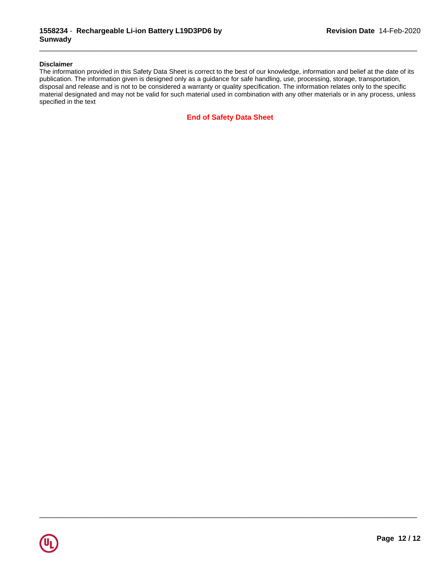## **Disclaimer**

The information provided in this Safety Data Sheet is correct to the best of our knowledge, information and belief at the date of its publication. The information given is designed only as a guidance for safe handling, use, processing, storage, transportation, disposal and release and is not to be considered a warranty or quality specification. The information relates only to the specific material designated and may not be valid for such material used in combination with any other materials or in any process, unless specified in the text

\_\_\_\_\_\_\_\_\_\_\_\_\_\_\_\_\_\_\_\_\_\_\_\_\_\_\_\_\_\_\_\_\_\_\_\_\_\_\_\_\_\_\_\_\_\_\_\_\_\_\_\_\_\_\_\_\_\_\_\_\_\_\_\_\_\_\_\_\_\_\_\_\_\_\_\_\_\_\_\_\_\_\_\_\_\_\_\_\_\_\_\_\_

 $\overline{\phantom{a}}$  ,  $\overline{\phantom{a}}$  ,  $\overline{\phantom{a}}$  ,  $\overline{\phantom{a}}$  ,  $\overline{\phantom{a}}$  ,  $\overline{\phantom{a}}$  ,  $\overline{\phantom{a}}$  ,  $\overline{\phantom{a}}$  ,  $\overline{\phantom{a}}$  ,  $\overline{\phantom{a}}$  ,  $\overline{\phantom{a}}$  ,  $\overline{\phantom{a}}$  ,  $\overline{\phantom{a}}$  ,  $\overline{\phantom{a}}$  ,  $\overline{\phantom{a}}$  ,  $\overline{\phantom{a}}$ 

**End of Safety Data Sheet**

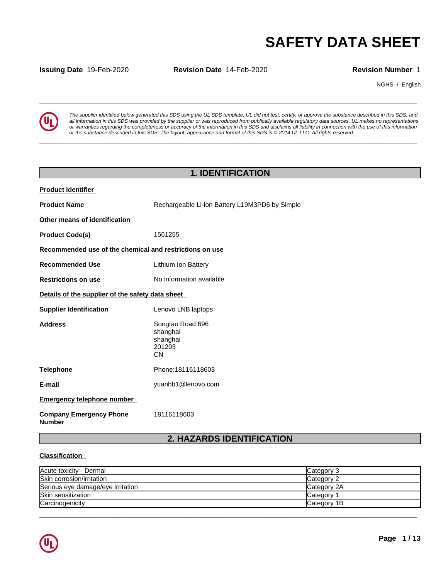**Issuing Date** 19-Feb-2020 **Revision Date** 14-Feb-2020 **Revision Number** 1

NGHS / English



**SAFETY DATA SHEET**<br> **SECURITY DATA SHEET**<br>
Revision Number 1<br>
The supplier identified below generated this SDS using the UL SDS template. UL did not test, certify, or approve the substance described in this SDS, and<br>
all *The supplier identified below generated this SDS using the UL SDS template. UL did not test, certify, or approve the substance described in this SDS, and* all information in this SDS was provided by the supplier or was reproduced from publically available regulatory data sources. UL makes no representations or warranties regarding the completeness or accuracy of the information in this SDS and disclaims all liability in connection with the use of this information or the substance described in this SDS. The layout, appearance and format of this SDS is @2014 UL LLC. All rights reserved.

**\_\_\_\_\_\_\_\_\_\_\_\_\_\_\_\_\_\_\_\_\_\_\_\_\_\_\_\_\_\_\_\_\_\_\_\_\_\_\_\_\_\_\_\_\_\_\_\_\_\_\_\_\_\_\_\_\_\_\_\_\_\_\_\_\_\_\_\_\_\_\_\_\_\_\_\_\_\_\_\_\_\_\_\_\_\_\_\_\_\_\_\_\_**

## **1. IDENTIFICATION**

| <b>Product identifier</b>                               |                                                                 |
|---------------------------------------------------------|-----------------------------------------------------------------|
| <b>Product Name</b>                                     | Rechargeable Li-ion Battery L19M3PD6 by Simplo                  |
| Other means of identification                           |                                                                 |
| <b>Product Code(s)</b>                                  | 1561255                                                         |
| Recommended use of the chemical and restrictions on use |                                                                 |
| <b>Recommended Use</b>                                  | Lithium Ion Battery                                             |
| <b>Restrictions on use</b>                              | No information available                                        |
| Details of the supplier of the safety data sheet        |                                                                 |
| <b>Supplier Identification</b>                          | Lenovo LNB laptops                                              |
| <b>Address</b>                                          | Songtao Road 696<br>shanghai<br>shanghai<br>201203<br><b>CN</b> |
| <b>Telephone</b>                                        | Phone: 18116118603                                              |
| E-mail                                                  | yuanbb1@lenovo.com                                              |
| <b>Emergency telephone number</b>                       |                                                                 |
| <b>Company Emergency Phone</b><br><b>Number</b>         | 18116118603                                                     |

# **2. HAZARDS IDENTIFICATION**

## **Classification**

| Acute toxicity - Dermal           | Category 3  |
|-----------------------------------|-------------|
| Skin corrosion/irritation         | Category 2  |
| Serious eye damage/eye irritation | Category 2A |
| Skin sensitization                | Category    |
| Carcinogenicity                   | Category 1B |

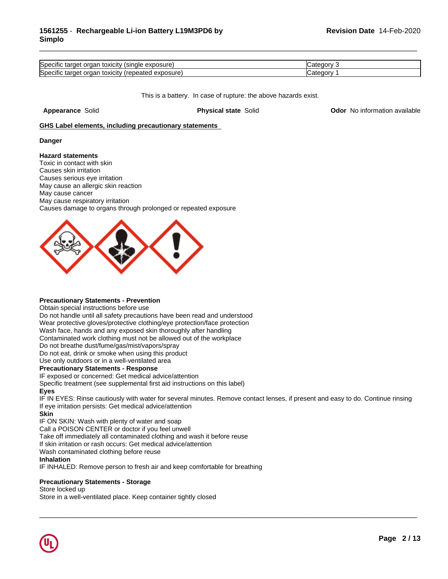| Specifi<br>osure<br>toxicity<br>nar<br>aer<br>. tarr<br>ecinc<br>יווכ<br>.                               | ---- |
|----------------------------------------------------------------------------------------------------------|------|
| Specifi<br>$\cdots$<br>exposure<br>* <u>arger</u> √<br>toxicity<br>าลเ<br>-ale<br>. rar<br>63 H K<br>ıev |      |

This is a battery. In case of rupture: the above hazards exist.

**Appearance** Solid **Physical state** Solid **Odor** No information available

## **GHS Label elements, including precautionary statements**

### **Danger**

### **Hazard statements**

Toxic in contact with skin Causes skin irritation Causes serious eye irritation May cause an allergic skin reaction May cause cancer May cause respiratory irritation Causes damage to organs through prolonged or repeated exposure



### **Precautionary Statements - Prevention**

Obtain special instructions before use

Do not handle until all safety precautions have been read and understood

Wear protective gloves/protective clothing/eye protection/face protection

Wash face, hands and any exposed skin thoroughly after handling

Contaminated work clothing must not be allowed out of the workplace

Do not breathe dust/fume/gas/mist/vapors/spray

Do not eat, drink or smoke when using this product

Use only outdoors or in a well-ventilated area

## **Precautionary Statements - Response**

IF exposed or concerned: Get medical advice/attention

Specific treatment (see supplemental first aid instructions on this label)

## **Eyes**

IF IN EYES: Rinse cautiously with water for several minutes. Remove contact lenses, if present and easy to do. Continue rinsing If eye irritation persists: Get medical advice/attention

 $\overline{\phantom{a}}$  ,  $\overline{\phantom{a}}$  ,  $\overline{\phantom{a}}$  ,  $\overline{\phantom{a}}$  ,  $\overline{\phantom{a}}$  ,  $\overline{\phantom{a}}$  ,  $\overline{\phantom{a}}$  ,  $\overline{\phantom{a}}$  ,  $\overline{\phantom{a}}$  ,  $\overline{\phantom{a}}$  ,  $\overline{\phantom{a}}$  ,  $\overline{\phantom{a}}$  ,  $\overline{\phantom{a}}$  ,  $\overline{\phantom{a}}$  ,  $\overline{\phantom{a}}$  ,  $\overline{\phantom{a}}$ 

## **Skin**

IF ON SKIN: Wash with plenty of water and soap

Call a POISON CENTER or doctor if you feel unwell

Take off immediately all contaminated clothing and wash it before reuse

If skin irritation or rash occurs: Get medical advice/attention

Wash contaminated clothing before reuse

### **Inhalation**

IF INHALED: Remove person to fresh air and keep comfortable for breathing

## **Precautionary Statements - Storage**

Store locked up

Store in a well-ventilated place. Keep container tightly closed

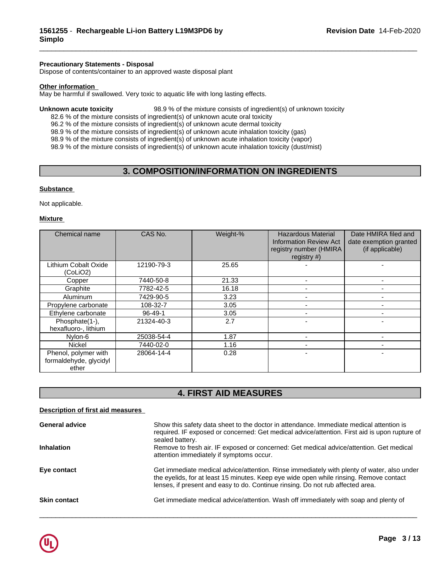## **Precautionary Statements - Disposal**

Dispose of contents/container to an approved waste disposal plant

### **Other information**

May be harmful if swallowed. Very toxic to aquatic life with long lasting effects.

**Unknown acute toxicity** 98.9 % of the mixture consists of ingredient(s) of unknown toxicity

82.6 % of the mixture consists of ingredient(s) of unknown acute oral toxicity 96.2 % of the mixture consists of ingredient(s) of unknown acute dermal toxicity

98.9 % of the mixture consists of ingredient(s) of unknown acute inhalation toxicity (gas)

98.9 % of the mixture consists of ingredient(s) of unknown acute inhalation toxicity (vapor)

98.9 % of the mixture consists of ingredient(s) of unknown acute inhalation toxicity (dust/mist)

# **3. COMPOSITION/INFORMATION ON INGREDIENTS**

\_\_\_\_\_\_\_\_\_\_\_\_\_\_\_\_\_\_\_\_\_\_\_\_\_\_\_\_\_\_\_\_\_\_\_\_\_\_\_\_\_\_\_\_\_\_\_\_\_\_\_\_\_\_\_\_\_\_\_\_\_\_\_\_\_\_\_\_\_\_\_\_\_\_\_\_\_\_\_\_\_\_\_\_\_\_\_\_\_\_\_\_\_

## **Substance**

Not applicable.

### **Mixture**

| Chemical name                                           | CAS No.       | Weight-% | <b>Hazardous Material</b><br><b>Information Review Act</b><br>registry number (HMIRA<br>registry #) | Date HMIRA filed and<br>date exemption granted<br>(if applicable) |
|---------------------------------------------------------|---------------|----------|-----------------------------------------------------------------------------------------------------|-------------------------------------------------------------------|
| Lithium Cobalt Oxide<br>(CoLiO2)                        | 12190-79-3    | 25.65    |                                                                                                     |                                                                   |
| Copper                                                  | 7440-50-8     | 21.33    |                                                                                                     |                                                                   |
| Graphite                                                | 7782-42-5     | 16.18    |                                                                                                     |                                                                   |
| Aluminum                                                | 7429-90-5     | 3.23     |                                                                                                     |                                                                   |
| Propylene carbonate                                     | 108-32-7      | 3.05     |                                                                                                     |                                                                   |
| Ethylene carbonate                                      | $96 - 49 - 1$ | 3.05     |                                                                                                     |                                                                   |
| Phosphate(1-),<br>hexafluoro-, lithium                  | 21324-40-3    | 2.7      |                                                                                                     |                                                                   |
| Nylon-6                                                 | 25038-54-4    | 1.87     |                                                                                                     |                                                                   |
| <b>Nickel</b>                                           | 7440-02-0     | 1.16     |                                                                                                     | $\blacksquare$                                                    |
| Phenol, polymer with<br>formaldehyde, glycidyl<br>ether | 28064-14-4    | 0.28     |                                                                                                     | -                                                                 |

# **4. FIRST AID MEASURES**

## **Description of first aid measures**

| <b>General advice</b> | Show this safety data sheet to the doctor in attendance. Immediate medical attention is<br>required. IF exposed or concerned: Get medical advice/attention. First aid is upon rupture of<br>sealed battery.                                                            |
|-----------------------|------------------------------------------------------------------------------------------------------------------------------------------------------------------------------------------------------------------------------------------------------------------------|
| <b>Inhalation</b>     | Remove to fresh air. IF exposed or concerned: Get medical advice/attention. Get medical<br>attention immediately if symptoms occur.                                                                                                                                    |
| Eye contact           | Get immediate medical advice/attention. Rinse immediately with plenty of water, also under<br>the eyelids, for at least 15 minutes. Keep eye wide open while rinsing. Remove contact<br>lenses, if present and easy to do. Continue rinsing. Do not rub affected area. |
| <b>Skin contact</b>   | Get immediate medical advice/attention. Wash off immediately with soap and plenty of                                                                                                                                                                                   |

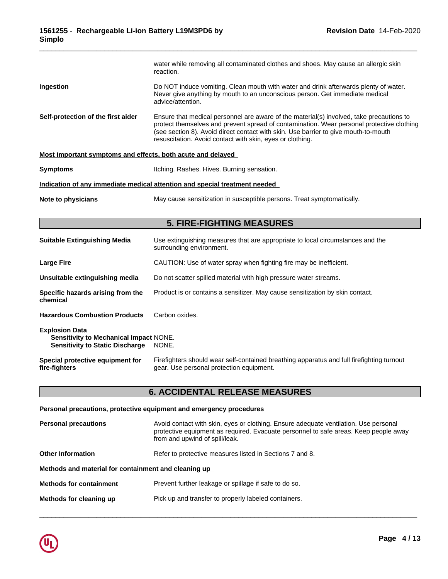|                                                             | water while removing all contaminated clothes and shoes. May cause an allergic skin<br>reaction.                                                                                                                                                                                                                                          |
|-------------------------------------------------------------|-------------------------------------------------------------------------------------------------------------------------------------------------------------------------------------------------------------------------------------------------------------------------------------------------------------------------------------------|
| Ingestion                                                   | Do NOT induce vomiting. Clean mouth with water and drink afterwards plenty of water.<br>Never give anything by mouth to an unconscious person. Get immediate medical<br>advice/attention.                                                                                                                                                 |
| Self-protection of the first aider                          | Ensure that medical personnel are aware of the material(s) involved, take precautions to<br>protect themselves and prevent spread of contamination. Wear personal protective clothing<br>(see section 8). Avoid direct contact with skin. Use barrier to give mouth-to-mouth<br>resuscitation. Avoid contact with skin, eyes or clothing. |
| Most important symptoms and effects, both acute and delayed |                                                                                                                                                                                                                                                                                                                                           |
| <b>Symptoms</b>                                             | Itching. Rashes. Hives. Burning sensation.                                                                                                                                                                                                                                                                                                |

## **Indication of any immediate medical attention and special treatment needed**

**Note to physicians** May cause sensitization in susceptible persons. Treat symptomatically.

## **5. FIRE-FIGHTING MEASURES**

| <b>Suitable Extinguishing Media</b>                                                                       | Use extinguishing measures that are appropriate to local circumstances and the<br>surrounding environment.                            |
|-----------------------------------------------------------------------------------------------------------|---------------------------------------------------------------------------------------------------------------------------------------|
| Large Fire                                                                                                | CAUTION: Use of water spray when fighting fire may be inefficient.                                                                    |
| Unsuitable extinguishing media                                                                            | Do not scatter spilled material with high pressure water streams.                                                                     |
| Specific hazards arising from the<br>chemical                                                             | Product is or contains a sensitizer. May cause sensitization by skin contact.                                                         |
| <b>Hazardous Combustion Products</b>                                                                      | Carbon oxides.                                                                                                                        |
| <b>Explosion Data</b><br>Sensitivity to Mechanical Impact NONE.<br><b>Sensitivity to Static Discharge</b> | NONE.                                                                                                                                 |
| Special protective equipment for<br>fire-fighters                                                         | Firefighters should wear self-contained breathing apparatus and full firefighting turnout<br>gear. Use personal protection equipment. |

## **6. ACCIDENTAL RELEASE MEASURES**

# **Personal precautions, protective equipment and emergency procedures Personal precautions** Avoid contact with skin, eyes or clothing. Ensure adequate ventilation. Use personal protective equipment as required. Evacuate personnel to safe areas. Keep people away from and upwind of spill/leak. **Other Information** Refer to protective measures listed in Sections 7 and 8. **Methods and material for containment and cleaning up Methods for containment** Prevent further leakage or spillage if safe to do so. **Methods for cleaning up** Pick up and transfer to properly labeled containers.

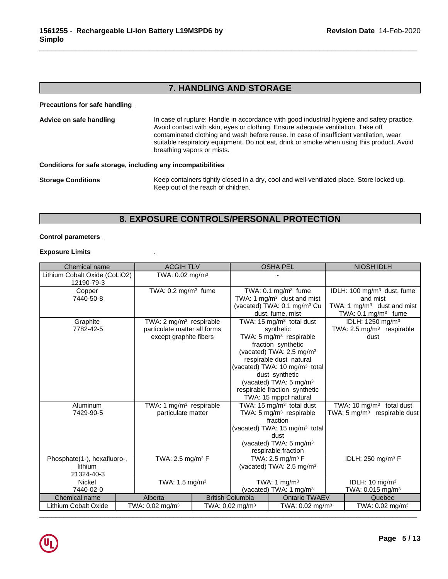# **7. HANDLING AND STORAGE**

\_\_\_\_\_\_\_\_\_\_\_\_\_\_\_\_\_\_\_\_\_\_\_\_\_\_\_\_\_\_\_\_\_\_\_\_\_\_\_\_\_\_\_\_\_\_\_\_\_\_\_\_\_\_\_\_\_\_\_\_\_\_\_\_\_\_\_\_\_\_\_\_\_\_\_\_\_\_\_\_\_\_\_\_\_\_\_\_\_\_\_\_\_

**Precautions for safe handling**

| Advice on safe handling | In case of rupture: Handle in accordance with good industrial hygiene and safety practice.<br>Avoid contact with skin, eyes or clothing. Ensure adequate ventilation. Take off<br>contaminated clothing and wash before reuse. In case of insufficient ventilation, wear<br>suitable respiratory equipment. Do not eat, drink or smoke when using this product. Avoid<br>breathing vapors or mists. |
|-------------------------|-----------------------------------------------------------------------------------------------------------------------------------------------------------------------------------------------------------------------------------------------------------------------------------------------------------------------------------------------------------------------------------------------------|
|                         |                                                                                                                                                                                                                                                                                                                                                                                                     |

## **Conditions for safe storage, including any incompatibilities**

| <b>Storage Conditions</b> | Keep containers tightly closed in a dry, cool and well-ventilated place. Store locked up. |
|---------------------------|-------------------------------------------------------------------------------------------|
|                           | Keep out of the reach of children.                                                        |

# **8. EXPOSURE CONTROLS/PERSONAL PROTECTION**

## **Control parameters**

## **Exposure Limits** .

| Chemical name                 |  | <b>ACGIH TLV</b>                    |  |                                                     | <b>OSHA PEL</b>                           |                              | <b>NIOSH IDLH</b>                       |
|-------------------------------|--|-------------------------------------|--|-----------------------------------------------------|-------------------------------------------|------------------------------|-----------------------------------------|
| Lithium Cobalt Oxide (CoLiO2) |  | TWA: $0.02$ mg/m <sup>3</sup>       |  |                                                     |                                           |                              |                                         |
| 12190-79-3                    |  |                                     |  |                                                     |                                           |                              |                                         |
| Copper                        |  | TWA: $0.2$ mg/m <sup>3</sup> fume   |  | TWA: 0.1 mg/m <sup>3</sup> fume                     |                                           |                              | IDLH: 100 mg/m <sup>3</sup> dust, fume  |
| 7440-50-8                     |  |                                     |  |                                                     | TWA: 1 $mg/m3$ dust and mist              |                              | and mist                                |
|                               |  |                                     |  |                                                     | (vacated) TWA: 0.1 mg/m <sup>3</sup> Cu   |                              | TWA: 1 $mg/m3$ dust and mist            |
|                               |  |                                     |  |                                                     | dust, fume, mist                          |                              | TWA: $0.1 \text{ mg/m}^3$ fume          |
| Graphite                      |  | TWA: 2 mg/m <sup>3</sup> respirable |  |                                                     | TWA: 15 $mg/m3$ total dust                | IDLH: 1250 mg/m <sup>3</sup> |                                         |
| 7782-42-5                     |  | particulate matter all forms        |  |                                                     | synthetic                                 |                              | TWA: 2.5 mg/m <sup>3</sup> respirable   |
|                               |  | except graphite fibers              |  |                                                     | TWA: 5 mg/m <sup>3</sup> respirable       |                              | dust                                    |
|                               |  |                                     |  |                                                     | fraction synthetic                        |                              |                                         |
|                               |  |                                     |  |                                                     | (vacated) TWA: 2.5 mg/m <sup>3</sup>      |                              |                                         |
|                               |  |                                     |  | respirable dust natural                             |                                           |                              |                                         |
|                               |  |                                     |  |                                                     | (vacated) TWA: 10 mg/m <sup>3</sup> total |                              |                                         |
|                               |  |                                     |  | dust synthetic                                      |                                           |                              |                                         |
|                               |  |                                     |  |                                                     | (vacated) TWA: 5 mg/m <sup>3</sup>        |                              |                                         |
|                               |  |                                     |  | respirable fraction synthetic                       |                                           |                              |                                         |
|                               |  |                                     |  |                                                     | TWA: 15 mppcf natural                     |                              |                                         |
| Aluminum                      |  | TWA: 1 mg/m <sup>3</sup> respirable |  | TWA: 15 mg/m <sup>3</sup> total dust                |                                           |                              | TWA: 10 $mg/m3$ total dust              |
| 7429-90-5                     |  | particulate matter                  |  | TWA: 5 $mg/m3$ respirable                           |                                           |                              | TWA: $5 \text{ mg/m}^3$ respirable dust |
|                               |  |                                     |  |                                                     | fraction                                  |                              |                                         |
|                               |  |                                     |  |                                                     | (vacated) TWA: 15 mg/m <sup>3</sup> total |                              |                                         |
|                               |  |                                     |  |                                                     | dust                                      |                              |                                         |
|                               |  |                                     |  | (vacated) TWA: 5 mg/m <sup>3</sup>                  |                                           |                              |                                         |
|                               |  |                                     |  |                                                     | respirable fraction                       |                              |                                         |
| Phosphate(1-), hexafluoro-,   |  | TWA: 2.5 mg/m <sup>3</sup> F        |  | TWA: 2.5 mg/m <sup>3</sup> F                        |                                           |                              | IDLH: 250 mg/m <sup>3</sup> F           |
| lithium                       |  |                                     |  | (vacated) TWA: $2.5 \text{ mg/m}^3$                 |                                           |                              |                                         |
| 21324-40-3                    |  |                                     |  |                                                     |                                           |                              |                                         |
| <b>Nickel</b>                 |  | TWA: 1.5 mg/m <sup>3</sup>          |  | TWA: 1 $mg/m3$                                      |                                           | IDLH: $10 \text{ mg/m}^3$    |                                         |
| 7440-02-0                     |  |                                     |  |                                                     | (vacated) TWA: 1 mg/m <sup>3</sup>        |                              | TWA: 0.015 mg/m <sup>3</sup>            |
| Chemical name                 |  | Alberta                             |  | <b>British Columbia</b>                             | <b>Ontario TWAEV</b>                      |                              | Quebec                                  |
| Lithium Cobalt Oxide          |  | TWA: $0.02$ mg/m <sup>3</sup>       |  | TWA: 0.02 mg/m $3$<br>TWA: $0.02$ mg/m <sup>3</sup> |                                           |                              | TWA: $0.02 \text{ mg/m}^3$              |
|                               |  |                                     |  |                                                     |                                           |                              |                                         |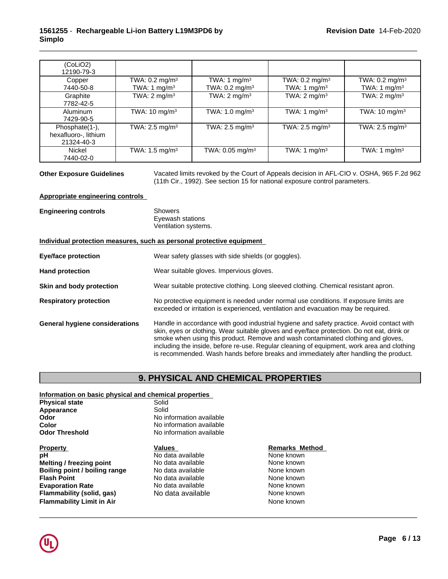## **1561255** - **Rechargeable Li-ion Battery L19M3PD6 by Simplo**

| (CoLiO2)<br>12190-79-3                               |                                                       |                                                       |                                                       |                                                |
|------------------------------------------------------|-------------------------------------------------------|-------------------------------------------------------|-------------------------------------------------------|------------------------------------------------|
| Copper<br>7440-50-8                                  | TWA: $0.2 \text{ mg/m}^3$<br>TWA: 1 mg/m <sup>3</sup> | TWA: 1 mg/m <sup>3</sup><br>TWA: $0.2 \text{ mg/m}^3$ | TWA: $0.2 \text{ mg/m}^3$<br>TWA: 1 mg/m <sup>3</sup> | TWA: $0.2$ mg/m <sup>3</sup><br>TWA: 1 $mg/m3$ |
| Graphite<br>7782-42-5                                | TWA: $2 \text{ mg/m}^3$                               | TWA: $2 \text{ mg/m}^3$                               | TWA: $2 \text{ mg/m}^3$                               | TWA: $2 \text{ mg/m}^3$                        |
| Aluminum<br>7429-90-5                                | TWA: 10 mg/m <sup>3</sup>                             | TWA: 1.0 mg/m <sup>3</sup>                            | TWA: 1 $mq/m3$                                        | TWA: $10 \text{ mg/m}^3$                       |
| Phosphate(1-),<br>hexafluoro-, lithium<br>21324-40-3 | TWA: 2.5 mg/m <sup>3</sup>                            | TWA: $2.5 \text{ mg/m}^3$                             | TWA: $2.5$ mg/m <sup>3</sup>                          | TWA: $2.5 \text{ mg/m}^3$                      |
| <b>Nickel</b><br>7440-02-0                           | TWA: $1.5 \text{ mg/m}^3$                             | TWA: 0.05 mg/m <sup>3</sup>                           | TWA: 1 $mg/m3$                                        | TWA: 1 $mg/m3$                                 |

**Other Exposure Guidelines** Vacated limits revoked by the Court of Appeals decision in AFL-CIO v.OSHA, 965 F.2d 962 (11th Cir., 1992). See section 15 for national exposure control parameters.

\_\_\_\_\_\_\_\_\_\_\_\_\_\_\_\_\_\_\_\_\_\_\_\_\_\_\_\_\_\_\_\_\_\_\_\_\_\_\_\_\_\_\_\_\_\_\_\_\_\_\_\_\_\_\_\_\_\_\_\_\_\_\_\_\_\_\_\_\_\_\_\_\_\_\_\_\_\_\_\_\_\_\_\_\_\_\_\_\_\_\_\_\_

## **Appropriate engineering controls**

| <b>Engineering controls</b> | Showers              |  |
|-----------------------------|----------------------|--|
|                             | Eyewash stations     |  |
|                             | Ventilation systems. |  |

### **Individual protection measures, such as personal protective equipment**

| <b>Eye/face protection</b>            | Wear safety glasses with side shields (or goggles).                                                                                                                                                                                                                                                                                                                                                                                                               |
|---------------------------------------|-------------------------------------------------------------------------------------------------------------------------------------------------------------------------------------------------------------------------------------------------------------------------------------------------------------------------------------------------------------------------------------------------------------------------------------------------------------------|
| <b>Hand protection</b>                | Wear suitable gloves. Impervious gloves.                                                                                                                                                                                                                                                                                                                                                                                                                          |
| Skin and body protection              | Wear suitable protective clothing. Long sleeved clothing. Chemical resistant apron.                                                                                                                                                                                                                                                                                                                                                                               |
| <b>Respiratory protection</b>         | No protective equipment is needed under normal use conditions. If exposure limits are<br>exceeded or irritation is experienced, ventilation and evacuation may be required.                                                                                                                                                                                                                                                                                       |
| <b>General hygiene considerations</b> | Handle in accordance with good industrial hygiene and safety practice. Avoid contact with<br>skin, eyes or clothing. Wear suitable gloves and eye/face protection. Do not eat, drink or<br>smoke when using this product. Remove and wash contaminated clothing and gloves,<br>including the inside, before re-use. Regular cleaning of equipment, work area and clothing<br>is recommended. Wash hands before breaks and immediately after handling the product. |

## **9. PHYSICAL AND CHEMICAL PROPERTIES**

## **Information on basic physical and chemical properties**

| <b>Physical state</b> |  |
|-----------------------|--|
| Appearance            |  |
| Odor                  |  |
| Color                 |  |
| <b>Odor Threshold</b> |  |

**Property Construction Values Values Remarks** Method **pH**<br> **Philip Alternation Cone Alternation Cone Alternation Cone Relation Cone Alternation Cone Known<br>
None known Melting / freezing point**<br> **Boiling point / boiling range** Mo data available **Boiling point / boiling range** No data available **None known**<br> **Plash Point Point** No data available None known **Evaporation Rate No data available None known**<br> **Elammability (solid. gas)** No data available **None known**<br>
None known **Flammability (solid, gas)** No data available **Flammability Limit in Air None known None known** 

**Physical state** Solid Solid **Appearance** Solid Solid **No information available No information available No information available** 

**Flash Point Available None known** 

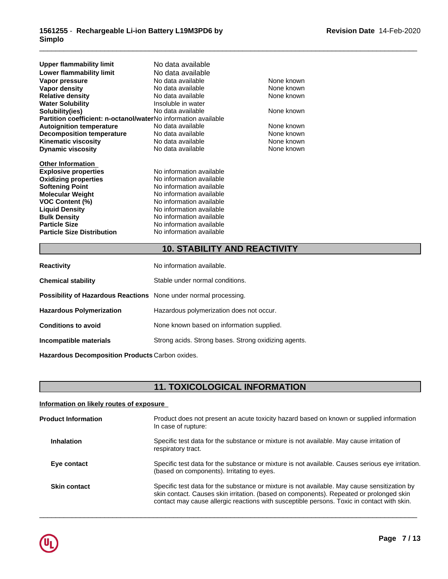| Upper flammability limit                                       | No data available        |            |
|----------------------------------------------------------------|--------------------------|------------|
| Lower flammability limit                                       | No data available        |            |
| Vapor pressure                                                 | No data available        | None known |
| Vapor density                                                  | No data available        | None known |
| <b>Relative density</b>                                        | No data available        | None known |
| <b>Water Solubility</b>                                        | Insoluble in water       |            |
| Solubility(ies)                                                | No data available        | None known |
| Partition coefficient: n-octanol/waterNo information available |                          |            |
| <b>Autoignition temperature</b>                                | No data available        | None known |
| <b>Decomposition temperature</b>                               | No data available        | None known |
| <b>Kinematic viscosity</b>                                     | No data available        | None known |
| <b>Dynamic viscosity</b>                                       | No data available        | None known |
| <b>Other Information</b>                                       |                          |            |
| <b>Explosive properties</b>                                    | No information available |            |
| <b>Oxidizing properties</b>                                    | No information available |            |
| <b>Softening Point</b>                                         | No information available |            |
| <b>Molecular Weight</b>                                        | No information available |            |
| <b>VOC Content (%)</b>                                         | No information available |            |
| <b>Liquid Density</b>                                          | No information available |            |
| <b>Bulk Density</b>                                            | No information available |            |
| <b>Particle Size</b>                                           | No information available |            |
| <b>Particle Size Distribution</b>                              | No information available |            |
|                                                                |                          |            |

# **10. STABILITY AND REACTIVITY**

\_\_\_\_\_\_\_\_\_\_\_\_\_\_\_\_\_\_\_\_\_\_\_\_\_\_\_\_\_\_\_\_\_\_\_\_\_\_\_\_\_\_\_\_\_\_\_\_\_\_\_\_\_\_\_\_\_\_\_\_\_\_\_\_\_\_\_\_\_\_\_\_\_\_\_\_\_\_\_\_\_\_\_\_\_\_\_\_\_\_\_\_\_

| <b>Reactivity</b>                                                       | No information available.                            |
|-------------------------------------------------------------------------|------------------------------------------------------|
| <b>Chemical stability</b>                                               | Stable under normal conditions.                      |
| <b>Possibility of Hazardous Reactions</b> None under normal processing. |                                                      |
| <b>Hazardous Polymerization</b>                                         | Hazardous polymerization does not occur.             |
| <b>Conditions to avoid</b>                                              | None known based on information supplied.            |
| Incompatible materials                                                  | Strong acids. Strong bases. Strong oxidizing agents. |
|                                                                         |                                                      |

**Hazardous Decomposition Products** Carbon oxides.

# **11. TOXICOLOGICAL INFORMATION**

## **Information on likely routes of exposure**

| <b>Product Information</b> | Product does not present an acute toxicity hazard based on known or supplied information<br>In case of rupture:                                                                                                                                                                       |
|----------------------------|---------------------------------------------------------------------------------------------------------------------------------------------------------------------------------------------------------------------------------------------------------------------------------------|
| <b>Inhalation</b>          | Specific test data for the substance or mixture is not available. May cause irritation of<br>respiratory tract.                                                                                                                                                                       |
| Eye contact                | Specific test data for the substance or mixture is not available. Causes serious eye irritation.<br>(based on components). Irritating to eyes.                                                                                                                                        |
| <b>Skin contact</b>        | Specific test data for the substance or mixture is not available. May cause sensitization by<br>skin contact. Causes skin irritation. (based on components). Repeated or prolonged skin<br>contact may cause allergic reactions with susceptible persons. Toxic in contact with skin. |
|                            |                                                                                                                                                                                                                                                                                       |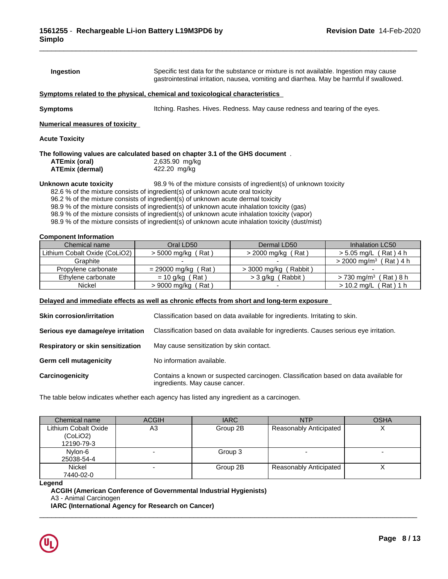| Ingestion                                                                                                                                 | Specific test data for the substance or mixture is not available. Ingestion may cause<br>gastrointestinal irritation, nausea, vomiting and diarrhea. May be harmful if swallowed.                                                                                                                                                                                                                                                                                    |                                                                             |                                      |  |  |  |
|-------------------------------------------------------------------------------------------------------------------------------------------|----------------------------------------------------------------------------------------------------------------------------------------------------------------------------------------------------------------------------------------------------------------------------------------------------------------------------------------------------------------------------------------------------------------------------------------------------------------------|-----------------------------------------------------------------------------|--------------------------------------|--|--|--|
| Symptoms related to the physical, chemical and toxicological characteristics                                                              |                                                                                                                                                                                                                                                                                                                                                                                                                                                                      |                                                                             |                                      |  |  |  |
| Symptoms                                                                                                                                  |                                                                                                                                                                                                                                                                                                                                                                                                                                                                      | Itching. Rashes. Hives. Redness. May cause redness and tearing of the eyes. |                                      |  |  |  |
| <b>Numerical measures of toxicity</b>                                                                                                     |                                                                                                                                                                                                                                                                                                                                                                                                                                                                      |                                                                             |                                      |  |  |  |
| <b>Acute Toxicity</b>                                                                                                                     |                                                                                                                                                                                                                                                                                                                                                                                                                                                                      |                                                                             |                                      |  |  |  |
| The following values are calculated based on chapter 3.1 of the GHS document $% \mathcal{M}$ .<br>ATEmix (oral)<br><b>ATEmix (dermal)</b> | 2,635.90 mg/kg<br>422.20 mg/kg                                                                                                                                                                                                                                                                                                                                                                                                                                       |                                                                             |                                      |  |  |  |
| Unknown acute toxicity                                                                                                                    | 82.6 % of the mixture consists of ingredient(s) of unknown acute oral toxicity<br>96.2 % of the mixture consists of ingredient(s) of unknown acute dermal toxicity<br>98.9 % of the mixture consists of ingredient(s) of unknown acute inhalation toxicity (gas)<br>98.9 % of the mixture consists of ingredient(s) of unknown acute inhalation toxicity (vapor)<br>98.9 % of the mixture consists of ingredient(s) of unknown acute inhalation toxicity (dust/mist) | 98.9 % of the mixture consists of ingredient(s) of unknown toxicity         |                                      |  |  |  |
| <b>Component Information</b>                                                                                                              |                                                                                                                                                                                                                                                                                                                                                                                                                                                                      |                                                                             |                                      |  |  |  |
| Chemical name                                                                                                                             | Oral LD50                                                                                                                                                                                                                                                                                                                                                                                                                                                            | Dermal LD50                                                                 | Inhalation LC50                      |  |  |  |
| Lithium Cobalt Oxide (CoLiO2)                                                                                                             | > 5000 mg/kg (Rat)                                                                                                                                                                                                                                                                                                                                                                                                                                                   | > 2000 mg/kg (Rat)                                                          | $> 5.05$ mg/L (Rat) 4 h              |  |  |  |
| Graphite                                                                                                                                  |                                                                                                                                                                                                                                                                                                                                                                                                                                                                      |                                                                             | $>$ 2000 mg/m <sup>3</sup> (Rat) 4 h |  |  |  |
| Propylene carbonate                                                                                                                       | $= 29000$ mg/kg (Rat)                                                                                                                                                                                                                                                                                                                                                                                                                                                | $>$ 3000 mg/kg (Rabbit)                                                     |                                      |  |  |  |

Ethylene carbonate = 10 g/kg (Rat) >3 g/kg (Rabbit) >730 mg/m<sup>3</sup> (Rat)8 h

 $\overline{\phantom{a}}$  ,  $\overline{\phantom{a}}$  ,  $\overline{\phantom{a}}$  ,  $\overline{\phantom{a}}$  ,  $\overline{\phantom{a}}$  ,  $\overline{\phantom{a}}$  ,  $\overline{\phantom{a}}$  ,  $\overline{\phantom{a}}$  ,  $\overline{\phantom{a}}$  ,  $\overline{\phantom{a}}$  ,  $\overline{\phantom{a}}$  ,  $\overline{\phantom{a}}$  ,  $\overline{\phantom{a}}$  ,  $\overline{\phantom{a}}$  ,  $\overline{\phantom{a}}$  ,  $\overline{\phantom{a}}$ 

Nickel > 9000 mg/kg ( Rat ) - > 10.2 mg/L ( Rat ) 1 h

## **Delayed and immediate effects as well as chronic effects from short and long-term exposure**

| <b>Skin corrosion/irritation</b>         | Classification based on data available for ingredients. Irritating to skin.                                            |
|------------------------------------------|------------------------------------------------------------------------------------------------------------------------|
| Serious eye damage/eye irritation        | Classification based on data available for ingredients. Causes serious eye irritation.                                 |
| <b>Respiratory or skin sensitization</b> | May cause sensitization by skin contact.                                                                               |
| <b>Germ cell mutagenicity</b>            | No information available.                                                                                              |
| Carcinogenicity                          | Contains a known or suspected carcinogen. Classification based on data available for<br>ingredients. May cause cancer. |

The table below indicates whether each agency has listed any ingredient as a carcinogen.

| Chemical name        | <b>ACGIH</b> | <b>IARC</b> | <b>NTP</b>                    | <b>OSHA</b> |
|----------------------|--------------|-------------|-------------------------------|-------------|
| Lithium Cobalt Oxide | A3           | Group 2B    | <b>Reasonably Anticipated</b> |             |
| (CoLiO2)             |              |             |                               |             |
| 12190-79-3           |              |             |                               |             |
| Nylon-6              |              | Group 3     |                               |             |
| 25038-54-4           |              |             |                               |             |
| <b>Nickel</b>        |              | Group 2B    | Reasonably Anticipated        |             |
| 7440-02-0            |              |             |                               |             |

## **Legend**

**ACGIH (American Conference of Governmental Industrial Hygienists)** A3 - Animal Carcinogen **IARC (International Agency for Research on Cancer)**

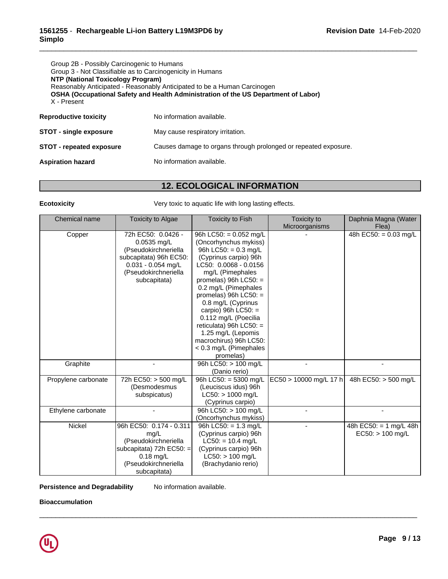| Group 2B - Possibly Carcinogenic to Humans<br>Group 3 - Not Classifiable as to Carcinogenicity in Humans<br>NTP (National Toxicology Program)<br>Reasonably Anticipated - Reasonably Anticipated to be a Human Carcinogen<br>OSHA (Occupational Safety and Health Administration of the US Department of Labor)<br>X - Present |                                                                 |  |  |  |
|--------------------------------------------------------------------------------------------------------------------------------------------------------------------------------------------------------------------------------------------------------------------------------------------------------------------------------|-----------------------------------------------------------------|--|--|--|
| <b>Reproductive toxicity</b>                                                                                                                                                                                                                                                                                                   | No information available.                                       |  |  |  |
| <b>STOT - single exposure</b>                                                                                                                                                                                                                                                                                                  | May cause respiratory irritation.                               |  |  |  |
| <b>STOT - repeated exposure</b>                                                                                                                                                                                                                                                                                                | Causes damage to organs through prolonged or repeated exposure. |  |  |  |
| <b>Aspiration hazard</b>                                                                                                                                                                                                                                                                                                       | No information available.                                       |  |  |  |

# **12. ECOLOGICAL INFORMATION**

\_\_\_\_\_\_\_\_\_\_\_\_\_\_\_\_\_\_\_\_\_\_\_\_\_\_\_\_\_\_\_\_\_\_\_\_\_\_\_\_\_\_\_\_\_\_\_\_\_\_\_\_\_\_\_\_\_\_\_\_\_\_\_\_\_\_\_\_\_\_\_\_\_\_\_\_\_\_\_\_\_\_\_\_\_\_\_\_\_\_\_\_\_

**Ecotoxicity Example 20 Telecotoxicity** Very toxic to aquatic life with long lasting effects.

| Chemical name       | <b>Toxicity to Algae</b>                                                                                                                              | <b>Toxicity to Fish</b>                                                                                                                                                                                                                                                                                                                                                                                        | Toxicity to<br>Microorganisms | Daphnia Magna (Water<br>Flea)                |
|---------------------|-------------------------------------------------------------------------------------------------------------------------------------------------------|----------------------------------------------------------------------------------------------------------------------------------------------------------------------------------------------------------------------------------------------------------------------------------------------------------------------------------------------------------------------------------------------------------------|-------------------------------|----------------------------------------------|
| Copper              | 72h EC50: 0.0426 -<br>$0.0535$ mg/L<br>(Pseudokirchneriella<br>subcapitata) 96h EC50:<br>$0.031 - 0.054$ mg/L<br>(Pseudokirchneriella<br>subcapitata) | 96h LC50: = $0.052$ mg/L<br>(Oncorhynchus mykiss)<br>96h LC50: = $0.3$ mg/L<br>(Cyprinus carpio) 96h<br>LC50: 0.0068 - 0.0156<br>mg/L (Pimephales<br>promelas) 96h $LC50:$ =<br>0.2 mg/L (Pimephales<br>promelas) 96h $LC50:$ =<br>0.8 mg/L (Cyprinus<br>carpio) 96h $LC50$ : =<br>0.112 mg/L (Poecilia<br>reticulata) 96h $LC50:$ =<br>1.25 mg/L (Lepomis<br>macrochirus) 96h LC50:<br>< 0.3 mg/L (Pimephales |                               | $\overline{48h}$ EC50: = 0.03 mg/L           |
| Graphite            |                                                                                                                                                       | promelas)<br>96h LC50: > 100 mg/L<br>(Danio rerio)                                                                                                                                                                                                                                                                                                                                                             |                               |                                              |
| Propylene carbonate | 72h EC50: > 500 mg/L<br>(Desmodesmus<br>subspicatus)                                                                                                  | 96h LC50: = $5300$ mg/L<br>(Leuciscus idus) 96h<br>$LC50:$ > 1000 mg/L<br>(Cyprinus carpio)                                                                                                                                                                                                                                                                                                                    | $EC50 > 10000$ mg/L 17 h      | 48h EC50: > 500 mg/L                         |
| Ethylene carbonate  |                                                                                                                                                       | 96h LC50: > 100 mg/L<br>(Oncorhynchus mykiss)                                                                                                                                                                                                                                                                                                                                                                  |                               |                                              |
| Nickel              | 96h EC50: 0.174 - 0.311<br>mg/L<br>(Pseudokirchneriella<br>subcapitata) 72h EC50: =<br>$0.18$ mg/L<br>(Pseudokirchneriella<br>subcapitata)            | 96h LC50: = $1.3$ mg/L<br>(Cyprinus carpio) 96h<br>$LC50: = 10.4$ mg/L<br>(Cyprinus carpio) 96h<br>$LC50:$ > 100 mg/L<br>(Brachydanio rerio)                                                                                                                                                                                                                                                                   |                               | 48h EC50: = 1 mg/L 48h<br>$EC50:$ > 100 mg/L |

 $\overline{\phantom{a}}$  ,  $\overline{\phantom{a}}$  ,  $\overline{\phantom{a}}$  ,  $\overline{\phantom{a}}$  ,  $\overline{\phantom{a}}$  ,  $\overline{\phantom{a}}$  ,  $\overline{\phantom{a}}$  ,  $\overline{\phantom{a}}$  ,  $\overline{\phantom{a}}$  ,  $\overline{\phantom{a}}$  ,  $\overline{\phantom{a}}$  ,  $\overline{\phantom{a}}$  ,  $\overline{\phantom{a}}$  ,  $\overline{\phantom{a}}$  ,  $\overline{\phantom{a}}$  ,  $\overline{\phantom{a}}$ 

## **Persistence and Degradability** No information available.

**Bioaccumulation**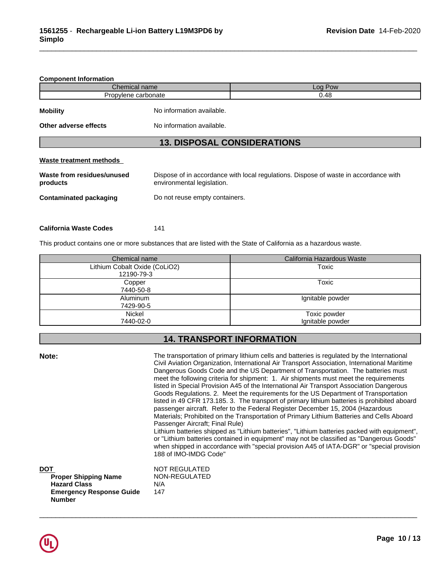# **Component Information** Chemical name **Log Pow** Propylene carbonate and the carbonate carbonate carbonate carbonate carbonate carbonate carbonate carbonate carbonate carbonate carbonate carbonate carbonate carbonate carbonate carbonate carbonate carbonate carbonate carb **Mobility** No information available. **Other adverse effects** No information available. **13. DISPOSAL CONSIDERATIONS Waste treatment methods Waste from residues/unused products** Dispose of in accordance with local regulations. Dispose of waste in accordance with environmental legislation. **Contaminated packaging** Do not reuse empty containers.

\_\_\_\_\_\_\_\_\_\_\_\_\_\_\_\_\_\_\_\_\_\_\_\_\_\_\_\_\_\_\_\_\_\_\_\_\_\_\_\_\_\_\_\_\_\_\_\_\_\_\_\_\_\_\_\_\_\_\_\_\_\_\_\_\_\_\_\_\_\_\_\_\_\_\_\_\_\_\_\_\_\_\_\_\_\_\_\_\_\_\_\_\_

| <b>California Waste Codes</b> | 141 |  |
|-------------------------------|-----|--|
|-------------------------------|-----|--|

This product contains one or more substances that are listed with the State of California as a hazardous waste.

188 of IMO-IMDG Code"

| Chemical name                               | California Hazardous Waste       |
|---------------------------------------------|----------------------------------|
| Lithium Cobalt Oxide (CoLiO2)<br>12190-79-3 | Toxic                            |
| Copper<br>7440-50-8                         | Toxic                            |
| Aluminum<br>7429-90-5                       | Ignitable powder                 |
| Nickel<br>7440-02-0                         | Toxic powder<br>Ignitable powder |

## **14. TRANSPORT INFORMATION**

**Note:** The transportation of primary lithium cells and batteries is regulated by the International Civil Aviation Organization, International Air Transport Association, International Maritime Dangerous Goods Code and the US Department of Transportation. The batteries must meet the following criteria for shipment: 1. Air shipments must meet the requirements listed in Special Provision A45 of the International Air Transport Association Dangerous Goods Regulations. 2. Meet the requirements for the US Department of Transportation listed in 49 CFR 173.185. 3. The transport of primary lithium batteries is prohibited aboard passenger aircraft. Refer to the Federal Register December 15, 2004 (Hazardous Materials; Prohibited on the Transportation of Primary Lithium Batteries and Cells Aboard Passenger Aircraft; Final Rule) Lithium batteries shipped as "Lithium batteries", "Lithium batteries packed with equipment", or "Lithium batteries contained in equipment" may not be classified as "Dangerous Goods" when shipped in accordance with "special provision A45 of IATA-DGR" or "special provision

| DOT                             | NOT REGULATED |
|---------------------------------|---------------|
| <b>Proper Shipping Name</b>     | NON-REGULATED |
| <b>Hazard Class</b>             | N/A           |
| <b>Emergency Response Guide</b> | 147           |
| <b>Number</b>                   |               |

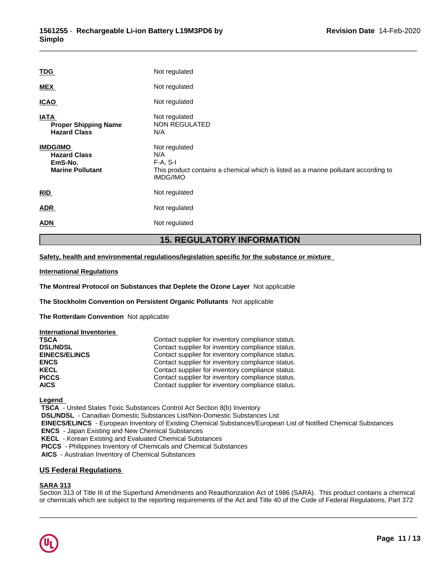|                                                                              | <b>15. REGULATORY INFORMATION</b>                                                                                                            |
|------------------------------------------------------------------------------|----------------------------------------------------------------------------------------------------------------------------------------------|
| <b>ADN</b>                                                                   | Not regulated                                                                                                                                |
| <b>ADR</b>                                                                   | Not regulated                                                                                                                                |
| RID                                                                          | Not regulated                                                                                                                                |
| <b>IMDG/IMO</b><br><b>Hazard Class</b><br>EmS-No.<br><b>Marine Pollutant</b> | Not regulated<br>N/A<br>$F-A, S-I$<br>This product contains a chemical which is listed as a marine pollutant according to<br><b>IMDG/IMO</b> |
| <b>IATA</b><br><b>Proper Shipping Name</b><br><b>Hazard Class</b>            | Not regulated<br>NON REGULATED<br>N/A                                                                                                        |
| <b>ICAO</b>                                                                  | Not regulated                                                                                                                                |
| <b>MEX</b>                                                                   | Not regulated                                                                                                                                |
| <b>TDG</b>                                                                   | Not regulated                                                                                                                                |
|                                                                              |                                                                                                                                              |

**Safety, health and environmental regulations/legislation specific for the substance or mixture**

### **International Regulations**

**The Montreal Protocol on Substances that Deplete the Ozone Layer** Notapplicable

**The Stockholm Convention on Persistent Organic Pollutants** Not applicable

**The Rotterdam Convention** Not applicable

| International Inventories |                                                   |
|---------------------------|---------------------------------------------------|
| <b>TSCA</b>               | Contact supplier for inventory compliance status. |
| <b>DSL/NDSL</b>           | Contact supplier for inventory compliance status. |
| <b>EINECS/ELINCS</b>      | Contact supplier for inventory compliance status. |
| <b>ENCS</b>               | Contact supplier for inventory compliance status. |
| <b>KECL</b>               | Contact supplier for inventory compliance status. |
| <b>PICCS</b>              | Contact supplier for inventory compliance status. |
| <b>AICS</b>               | Contact supplier for inventory compliance status. |

**Legend** 

 **TSCA** - United States Toxic Substances Control Act Section 8(b) Inventory

 **DSL/NDSL** - Canadian Domestic Substances List/Non-Domestic Substances List

 **EINECS/ELINCS** - European Inventory of Existing Chemical Substances/European List of Notified Chemical Substances

 **ENCS** - Japan Existing and New Chemical Substances

 **KECL** - Korean Existing and Evaluated Chemical Substances

 **PICCS** - Philippines Inventory of Chemicals and Chemical Substances

 **AICS** - Australian Inventory of Chemical Substances

## **US Federal Regulations**

## **SARA 313**

Section 313 of Title III of the Superfund Amendments and Reauthorization Act of 1986 (SARA). This product contains a chemical or chemicals which are subject to the reporting requirements of the Act and Title 40 of the Code of Federal Regulations, Part 372

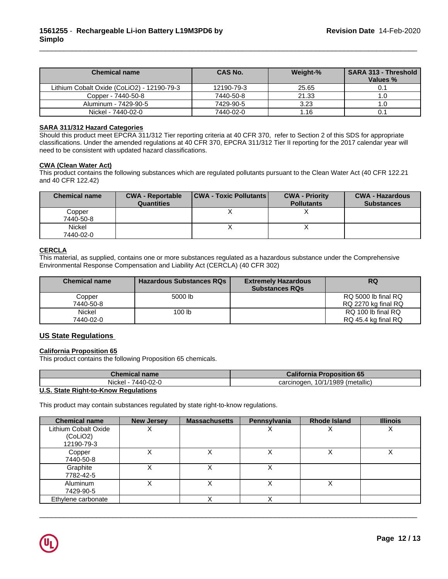| <b>Chemical name</b>                       | <b>CAS No.</b> | Weight-% | <b>SARA 313 - Threshold</b><br>Values % |
|--------------------------------------------|----------------|----------|-----------------------------------------|
| Lithium Cobalt Oxide (CoLiO2) - 12190-79-3 | 12190-79-3     | 25.65    |                                         |
| Copper - 7440-50-8                         | 7440-50-8      | 21.33    |                                         |
| Aluminum - 7429-90-5                       | 7429-90-5      | 3.23     |                                         |
| Nickel - 7440-02-0                         | 7440-02-0      | 1.16     | v.                                      |

## **SARA 311/312 Hazard Categories**

Should this product meet EPCRA 311/312 Tier reporting criteria at 40 CFR 370, refer to Section 2 of this SDS for appropriate classifications. Under the amended regulations at 40 CFR 370, EPCRA 311/312 Tier II reporting for the 2017 calendar year will need to be consistent with updated hazard classifications.

### **CWA** (Clean Water Act)

This product contains the following substances which are regulated pollutants pursuant to the Clean Water Act (40 CFR 122.21 and 40 CFR 122.42)

| <b>Chemical name</b> | <b>CWA - Reportable</b><br><b>Quantities</b> | <b>CWA - Toxic Pollutants</b> | <b>CWA - Priority</b><br><b>Pollutants</b> | <b>CWA - Hazardous</b><br><b>Substances</b> |
|----------------------|----------------------------------------------|-------------------------------|--------------------------------------------|---------------------------------------------|
| Copper               |                                              |                               |                                            |                                             |
| 7440-50-8            |                                              |                               |                                            |                                             |
| Nickel               |                                              |                               |                                            |                                             |
| 7440-02-0            |                                              |                               |                                            |                                             |

## **CERCLA**

This material, as supplied, contains one or more substances regulated as a hazardous substance under the Comprehensive Environmental Response Compensation and Liability Act (CERCLA) (40 CFR 302)

| <b>Chemical name</b> | <b>Hazardous Substances RQs</b> | <b>Extremely Hazardous</b><br><b>Substances RQs</b> | <b>RQ</b>           |
|----------------------|---------------------------------|-----------------------------------------------------|---------------------|
| Copper               | 5000 lb                         |                                                     | RQ 5000 lb final RQ |
| 7440-50-8            |                                 |                                                     | RQ 2270 kg final RQ |
| Nickel               | 100 <sub>lb</sub>               |                                                     | RQ 100 lb final RQ  |
| 7440-02-0            |                                 |                                                     | RQ 45.4 kg final RQ |

## **US State Regulations**

## **California Proposition 65**

This product contains the following Proposition 65 chemicals.

| Chemical name                                | <b>California Proposition 65</b>   |
|----------------------------------------------|------------------------------------|
| Nickel -<br>7440-02-0                        | 10/1/1989 (metallic)<br>carcinogen |
| <b>ILO OLIL Blub Li Li Vasco Basolaticos</b> |                                    |

## **U.S. State Right-to-Know Regulations**

This product may contain substances regulated by state right-to-know regulations.

| <b>Chemical name</b>                           | <b>New Jersey</b> | <b>Massachusetts</b> | Pennsylvania | <b>Rhode Island</b> | <b>Illinois</b> |
|------------------------------------------------|-------------------|----------------------|--------------|---------------------|-----------------|
| Lithium Cobalt Oxide<br>(CoLiO2)<br>12190-79-3 |                   |                      |              |                     | Λ               |
| Copper<br>7440-50-8                            |                   |                      |              |                     |                 |
| Graphite<br>7782-42-5                          |                   |                      |              |                     |                 |
| Aluminum<br>7429-90-5                          |                   |                      |              |                     |                 |
| Ethylene carbonate                             |                   |                      |              |                     |                 |

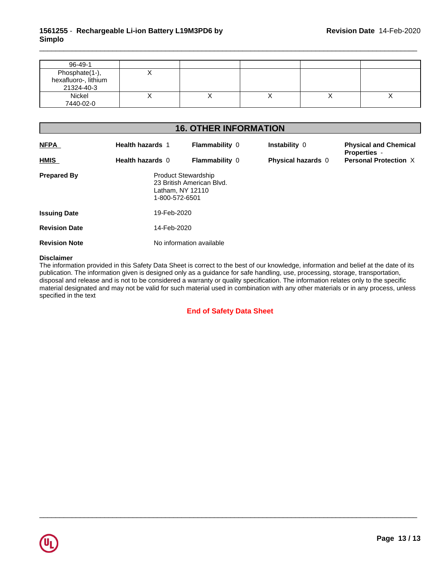| 96-49-1                                              |           |  |   |
|------------------------------------------------------|-----------|--|---|
| Phosphate(1-),<br>hexafluoro-, lithium<br>21324-40-3 |           |  |   |
| Nickel<br>7440-02-0                                  | $\lambda$ |  | ↗ |

# **16. OTHER INFORMATION**

| <b>NFPA</b>          | <b>Health hazards 1</b>  | <b>Flammability 0</b>                                                                         |  | <b>Instability 0</b>      | <b>Physical and Chemical</b>                        |
|----------------------|--------------------------|-----------------------------------------------------------------------------------------------|--|---------------------------|-----------------------------------------------------|
| <b>HMIS</b>          | Health hazards 0         | <b>Flammability 0</b>                                                                         |  | <b>Physical hazards 0</b> | <b>Properties -</b><br><b>Personal Protection X</b> |
| <b>Prepared By</b>   |                          | <b>Product Stewardship</b><br>23 British American Blvd.<br>Latham, NY 12110<br>1-800-572-6501 |  |                           |                                                     |
| <b>Issuing Date</b>  |                          | 19-Feb-2020                                                                                   |  |                           |                                                     |
| <b>Revision Date</b> |                          | 14-Feb-2020                                                                                   |  |                           |                                                     |
| <b>Revision Note</b> | No information available |                                                                                               |  |                           |                                                     |

## **Disclaimer**

The information provided in this Safety Data Sheet is correct to the best of our knowledge, information and belief at the date of its publication. The information given is designed only as a guidance for safe handling, use, processing, storage, transportation, disposal and release and is not to be considered a warranty or quality specification. The information relates only to the specific material designated and may not be valid for such material used in combination with any other materials or in any process, unless specified in the text

## **End of Safety Data Sheet**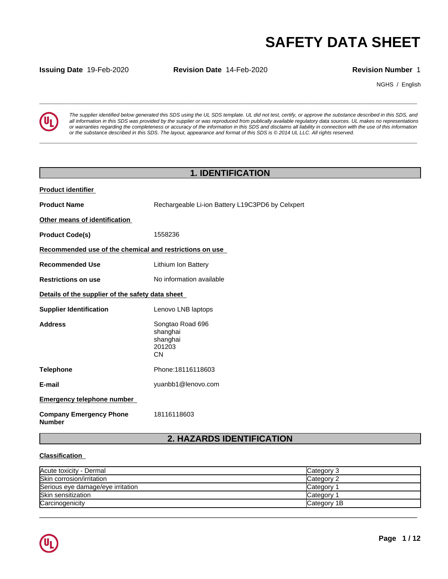**Issuing Date** 19-Feb-2020 **Revision Date** 14-Feb-2020 **Revision Number** 1

NGHS / English



**SAFETY DATA SHEET**<br> **SECURITY DATA SHEET**<br>
Revision Number 1<br>
The supplier identified below generated this SDS using the UL SDS template. UL did not test, certify, or approve the substance described in this SDS, and<br>
all *The supplier identified below generated this SDS using the UL SDS template. UL did not test, certify, or approve the substance described in this SDS, and* all information in this SDS was provided by the supplier or was reproduced from publically available regulatory data sources. UL makes no representations or warranties regarding the completeness or accuracy of the information in this SDS and disclaims all liability in connection with the use of this information or the substance described in this SDS. The layout, appearance and format of this SDS is @2014 UL LLC. All rights reserved.

**\_\_\_\_\_\_\_\_\_\_\_\_\_\_\_\_\_\_\_\_\_\_\_\_\_\_\_\_\_\_\_\_\_\_\_\_\_\_\_\_\_\_\_\_\_\_\_\_\_\_\_\_\_\_\_\_\_\_\_\_\_\_\_\_\_\_\_\_\_\_\_\_\_\_\_\_\_\_\_\_\_\_\_\_\_\_\_\_\_\_\_\_\_**

# **1. IDENTIFICATION**

| <b>Product identifier</b>                               |                                                                 |
|---------------------------------------------------------|-----------------------------------------------------------------|
| <b>Product Name</b>                                     | Rechargeable Li-ion Battery L19C3PD6 by Celxpert                |
| Other means of identification                           |                                                                 |
| <b>Product Code(s)</b>                                  | 1558236                                                         |
| Recommended use of the chemical and restrictions on use |                                                                 |
| <b>Recommended Use</b>                                  | Lithium Ion Battery                                             |
| <b>Restrictions on use</b>                              | No information available                                        |
| Details of the supplier of the safety data sheet        |                                                                 |
| <b>Supplier Identification</b>                          | Lenovo LNB laptops                                              |
| <b>Address</b>                                          | Songtao Road 696<br>shanghai<br>shanghai<br>201203<br><b>CN</b> |
| <b>Telephone</b>                                        | Phone: 18116118603                                              |
| E-mail                                                  | yuanbb1@lenovo.com                                              |
| <b>Emergency telephone number</b>                       |                                                                 |
| <b>Company Emergency Phone</b><br><b>Number</b>         | 18116118603                                                     |

# **2. HAZARDS IDENTIFICATION**

## **Classification**

| Acute toxicity - Dermal           | Category 3        |
|-----------------------------------|-------------------|
| Skin corrosion/irritation         | <b>Category 2</b> |
| Serious eye damage/eye irritation | Category          |
| Skin sensitization                | Category          |
| Carcinogenicity                   | Category 1B       |

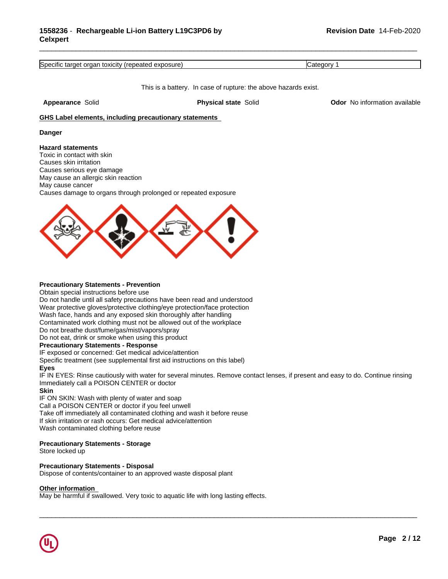Specific target organ toxicity (repeated exposure) Category 1

This is a battery. In case of rupture: the above hazards exist.

\_\_\_\_\_\_\_\_\_\_\_\_\_\_\_\_\_\_\_\_\_\_\_\_\_\_\_\_\_\_\_\_\_\_\_\_\_\_\_\_\_\_\_\_\_\_\_\_\_\_\_\_\_\_\_\_\_\_\_\_\_\_\_\_\_\_\_\_\_\_\_\_\_\_\_\_\_\_\_\_\_\_\_\_\_\_\_\_\_\_\_\_\_

**Appearance** Solid **Physical state** Solid **Odor** No information available

### **GHS Label elements, including precautionary statements**

### **Danger**

### **Hazard statements**

Toxic in contact with skin Causes skin irritation Causes serious eye damage May cause an allergic skin reaction May cause cancer Causes damage to organs through prolonged or repeated exposure



### **Precautionary Statements - Prevention**

Obtain special instructions before use Do not handle until all safety precautions have been read and understood Wear protective gloves/protective clothing/eye protection/face protection Wash face, hands and any exposed skin thoroughly after handling Contaminated work clothing must not be allowed out of the workplace Do not breathe dust/fume/gas/mist/vapors/spray Do not eat, drink or smoke when using this product

### **Precautionary Statements - Response**

IF exposed or concerned: Get medical advice/attention

Specific treatment (see supplemental first aid instructions on this label)

### **Eyes**

IF IN EYES: Rinse cautiously with water for several minutes. Remove contact lenses, if present and easy to do. Continue rinsing Immediately call a POISON CENTER or doctor

 $\overline{\phantom{a}}$  ,  $\overline{\phantom{a}}$  ,  $\overline{\phantom{a}}$  ,  $\overline{\phantom{a}}$  ,  $\overline{\phantom{a}}$  ,  $\overline{\phantom{a}}$  ,  $\overline{\phantom{a}}$  ,  $\overline{\phantom{a}}$  ,  $\overline{\phantom{a}}$  ,  $\overline{\phantom{a}}$  ,  $\overline{\phantom{a}}$  ,  $\overline{\phantom{a}}$  ,  $\overline{\phantom{a}}$  ,  $\overline{\phantom{a}}$  ,  $\overline{\phantom{a}}$  ,  $\overline{\phantom{a}}$ 

## **Skin**

IF ON SKIN: Wash with plenty of water and soap

Call a POISON CENTER or doctor if you feel unwell

Take off immediately all contaminated clothing and wash it before reuse

If skin irritation or rash occurs: Get medical advice/attention

Wash contaminated clothing before reuse

## **Precautionary Statements - Storage**

Store locked up

## **Precautionary Statements - Disposal**

Dispose of contents/container to an approved waste disposal plant

## **Other information**

May be harmful if swallowed. Very toxic to aquatic life with long lasting effects.

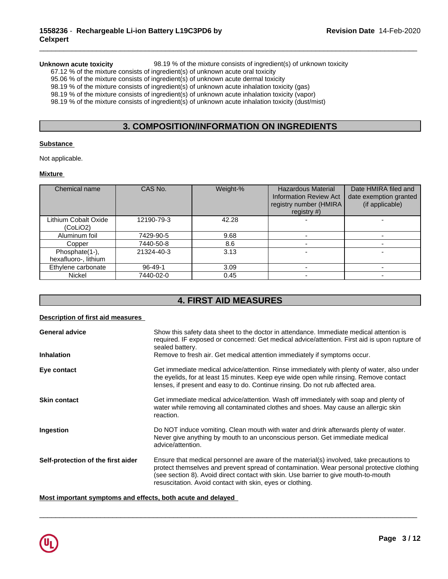**Unknown acute toxicity** 98.19 % of the mixture consists of ingredient(s) of unknown toxicity

\_\_\_\_\_\_\_\_\_\_\_\_\_\_\_\_\_\_\_\_\_\_\_\_\_\_\_\_\_\_\_\_\_\_\_\_\_\_\_\_\_\_\_\_\_\_\_\_\_\_\_\_\_\_\_\_\_\_\_\_\_\_\_\_\_\_\_\_\_\_\_\_\_\_\_\_\_\_\_\_\_\_\_\_\_\_\_\_\_\_\_\_\_

67.12 % of the mixture consists of ingredient(s) of unknown acute oral toxicity

95.06 % of the mixture consists of ingredient(s) of unknown acute dermal toxicity

 $98.19$  % of the mixture consists of ingredient(s) of unknown acute inhalation toxicity (gas)

98.19 % of the mixture consists of ingredient(s) of unknown acute inhalation toxicity (vapor)

98.19 % of the mixture consists of ingredient(s) of unknown acute inhalation toxicity (dust/mist)

## **3. COMPOSITION/INFORMATION ON INGREDIENTS**

## **Substance**

Not applicable.

### **Mixture**

| Chemical name                          | CAS No.    | Weight-% | <b>Hazardous Material</b><br><b>Information Review Act</b><br>registry number (HMIRA<br>registry $#$ ) | Date HMIRA filed and<br>date exemption granted<br>(if applicable) |
|----------------------------------------|------------|----------|--------------------------------------------------------------------------------------------------------|-------------------------------------------------------------------|
| Lithium Cobalt Oxide<br>(CoLiO2)       | 12190-79-3 | 42.28    |                                                                                                        |                                                                   |
| Aluminum foil                          | 7429-90-5  | 9.68     |                                                                                                        |                                                                   |
| Copper                                 | 7440-50-8  | 8.6      |                                                                                                        |                                                                   |
| Phosphate(1-),<br>hexafluoro-, lithium | 21324-40-3 | 3.13     |                                                                                                        |                                                                   |
| Ethylene carbonate                     | 96-49-1    | 3.09     |                                                                                                        |                                                                   |
| Nickel                                 | 7440-02-0  | 0.45     |                                                                                                        |                                                                   |

# **4. FIRST AID MEASURES**

## **Description of first aid measures**

| <b>General advice</b>              | Show this safety data sheet to the doctor in attendance. Immediate medical attention is<br>required. IF exposed or concerned: Get medical advice/attention. First aid is upon rupture of<br>sealed battery.                                                                                                                               |
|------------------------------------|-------------------------------------------------------------------------------------------------------------------------------------------------------------------------------------------------------------------------------------------------------------------------------------------------------------------------------------------|
| <b>Inhalation</b>                  | Remove to fresh air. Get medical attention immediately if symptoms occur.                                                                                                                                                                                                                                                                 |
| Eye contact                        | Get immediate medical advice/attention. Rinse immediately with plenty of water, also under<br>the eyelids, for at least 15 minutes. Keep eye wide open while rinsing. Remove contact<br>lenses, if present and easy to do. Continue rinsing. Do not rub affected area.                                                                    |
| <b>Skin contact</b>                | Get immediate medical advice/attention. Wash off immediately with soap and plenty of<br>water while removing all contaminated clothes and shoes. May cause an allergic skin<br>reaction.                                                                                                                                                  |
| Ingestion                          | Do NOT induce vomiting. Clean mouth with water and drink afterwards plenty of water.<br>Never give anything by mouth to an unconscious person. Get immediate medical<br>advice/attention.                                                                                                                                                 |
| Self-protection of the first aider | Ensure that medical personnel are aware of the material(s) involved, take precautions to<br>protect themselves and prevent spread of contamination. Wear personal protective clothing<br>(see section 8). Avoid direct contact with skin. Use barrier to give mouth-to-mouth<br>resuscitation. Avoid contact with skin, eyes or clothing. |

 $\overline{\phantom{a}}$  ,  $\overline{\phantom{a}}$  ,  $\overline{\phantom{a}}$  ,  $\overline{\phantom{a}}$  ,  $\overline{\phantom{a}}$  ,  $\overline{\phantom{a}}$  ,  $\overline{\phantom{a}}$  ,  $\overline{\phantom{a}}$  ,  $\overline{\phantom{a}}$  ,  $\overline{\phantom{a}}$  ,  $\overline{\phantom{a}}$  ,  $\overline{\phantom{a}}$  ,  $\overline{\phantom{a}}$  ,  $\overline{\phantom{a}}$  ,  $\overline{\phantom{a}}$  ,  $\overline{\phantom{a}}$ 

## **Most important symptoms and effects, both acute and delayed**

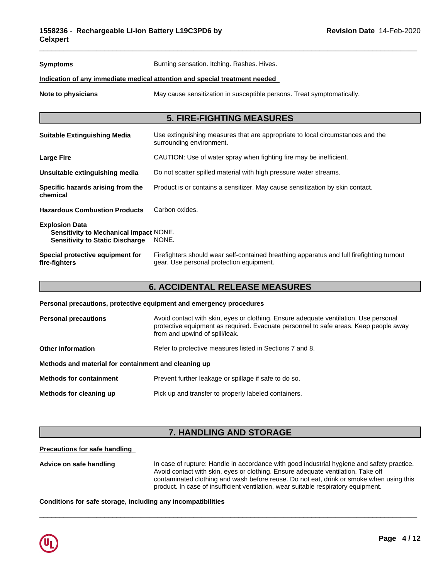| <b>Symptoms</b>                                                                                                  | Burning sensation. Itching. Rashes. Hives.                                                                                            |
|------------------------------------------------------------------------------------------------------------------|---------------------------------------------------------------------------------------------------------------------------------------|
|                                                                                                                  | Indication of any immediate medical attention and special treatment needed                                                            |
| Note to physicians                                                                                               | May cause sensitization in susceptible persons. Treat symptomatically.                                                                |
|                                                                                                                  |                                                                                                                                       |
|                                                                                                                  | <b>5. FIRE-FIGHTING MEASURES</b>                                                                                                      |
| <b>Suitable Extinguishing Media</b>                                                                              | Use extinguishing measures that are appropriate to local circumstances and the<br>surrounding environment.                            |
| <b>Large Fire</b>                                                                                                | CAUTION: Use of water spray when fighting fire may be inefficient.                                                                    |
| Unsuitable extinguishing media                                                                                   | Do not scatter spilled material with high pressure water streams.                                                                     |
| Specific hazards arising from the<br>chemical                                                                    | Product is or contains a sensitizer. May cause sensitization by skin contact.                                                         |
| <b>Hazardous Combustion Products</b>                                                                             | Carbon oxides.                                                                                                                        |
| <b>Explosion Data</b><br><b>Sensitivity to Mechanical Impact NONE.</b><br><b>Sensitivity to Static Discharge</b> | NONE.                                                                                                                                 |
| Special protective equipment for<br>fire-fighters                                                                | Firefighters should wear self-contained breathing apparatus and full firefighting turnout<br>gear. Use personal protection equipment. |

## **6. ACCIDENTAL RELEASE MEASURES**

## **Personal precautions, protective equipment and emergency procedures**

| <b>Personal precautions</b>                          | Avoid contact with skin, eyes or clothing. Ensure adequate ventilation. Use personal<br>protective equipment as required. Evacuate personnel to safe areas. Keep people away<br>from and upwind of spill/leak. |  |  |  |
|------------------------------------------------------|----------------------------------------------------------------------------------------------------------------------------------------------------------------------------------------------------------------|--|--|--|
| <b>Other Information</b>                             | Refer to protective measures listed in Sections 7 and 8.                                                                                                                                                       |  |  |  |
| Methods and material for containment and cleaning up |                                                                                                                                                                                                                |  |  |  |
| <b>Methods for containment</b>                       | Prevent further leakage or spillage if safe to do so.                                                                                                                                                          |  |  |  |
| Methods for cleaning up                              | Pick up and transfer to properly labeled containers.                                                                                                                                                           |  |  |  |

# **7. HANDLING AND STORAGE**

## **Precautions for safe handling**

Advice on safe handling **In case of rupture: Handle in accordance with good industrial hygiene and safety practice.** Avoid contact with skin, eyes or clothing. Ensure adequate ventilation. Take off contaminated clothing and wash before reuse. Do not eat, drink or smoke when using this product. In case of insufficient ventilation, wear suitable respiratory equipment.

 $\overline{\phantom{a}}$  ,  $\overline{\phantom{a}}$  ,  $\overline{\phantom{a}}$  ,  $\overline{\phantom{a}}$  ,  $\overline{\phantom{a}}$  ,  $\overline{\phantom{a}}$  ,  $\overline{\phantom{a}}$  ,  $\overline{\phantom{a}}$  ,  $\overline{\phantom{a}}$  ,  $\overline{\phantom{a}}$  ,  $\overline{\phantom{a}}$  ,  $\overline{\phantom{a}}$  ,  $\overline{\phantom{a}}$  ,  $\overline{\phantom{a}}$  ,  $\overline{\phantom{a}}$  ,  $\overline{\phantom{a}}$ 

## **Conditions for safe storage, including any incompatibilities**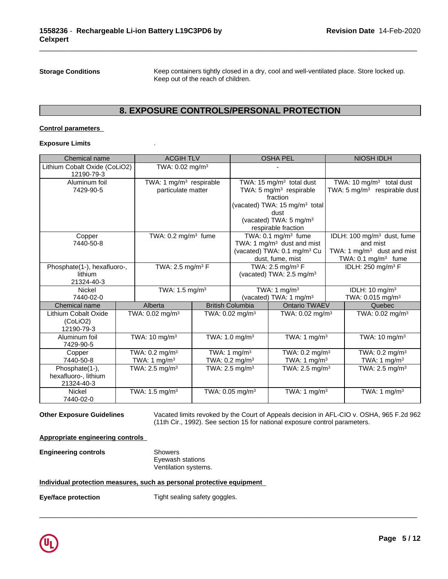**Storage Conditions** Keep containers tightly closed in a dry, cool and well-ventilated place. Store locked up. Keep out of the reach of children.

\_\_\_\_\_\_\_\_\_\_\_\_\_\_\_\_\_\_\_\_\_\_\_\_\_\_\_\_\_\_\_\_\_\_\_\_\_\_\_\_\_\_\_\_\_\_\_\_\_\_\_\_\_\_\_\_\_\_\_\_\_\_\_\_\_\_\_\_\_\_\_\_\_\_\_\_\_\_\_\_\_\_\_\_\_\_\_\_\_\_\_\_\_

## **8. EXPOSURE CONTROLS/PERSONAL PROTECTION**

## **Control parameters**

### **Exposure Limits** .

| Chemical name                          | <b>ACGIH TLV</b>                    |                               | <b>OSHA PEL</b>                                                      | <b>NIOSH IDLH</b>                       |
|----------------------------------------|-------------------------------------|-------------------------------|----------------------------------------------------------------------|-----------------------------------------|
| Lithium Cobalt Oxide (CoLiO2)          | TWA: $0.02 \text{ mg/m}^3$          |                               |                                                                      |                                         |
| 12190-79-3                             |                                     |                               |                                                                      |                                         |
| Aluminum foil                          | TWA: 1 mg/m <sup>3</sup> respirable |                               | TWA: 15 mg/m <sup>3</sup> total dust                                 | TWA: 10 $mg/m3$ total dust              |
| 7429-90-5                              | particulate matter                  |                               | TWA: 5 mg/m <sup>3</sup> respirable                                  | TWA: $5 \text{ mg/m}^3$ respirable dust |
|                                        |                                     |                               | fraction                                                             |                                         |
|                                        |                                     |                               | (vacated) TWA: 15 mg/m <sup>3</sup> total                            |                                         |
|                                        |                                     |                               | dust                                                                 |                                         |
|                                        |                                     |                               | (vacated) TWA: 5 mg/m <sup>3</sup>                                   |                                         |
|                                        |                                     |                               | respirable fraction                                                  |                                         |
| Copper                                 | TWA: $0.2 \text{ mg/m}^3$ fume      |                               | TWA: 0.1 mg/m <sup>3</sup> fume                                      | IDLH: 100 mg/m <sup>3</sup> dust, fume  |
| 7440-50-8                              |                                     |                               | TWA: 1 $mg/m3$ dust and mist                                         | and mist                                |
|                                        |                                     |                               | (vacated) TWA: 0.1 mg/m <sup>3</sup> Cu                              | TWA: 1 $mg/m3$ dust and mist            |
|                                        |                                     |                               | dust, fume, mist                                                     | TWA: $0.1 \text{ mg/m}^3$ fume          |
| Phosphate(1-), hexafluoro-,<br>lithium | TWA: 2.5 mg/m <sup>3</sup> $F$      |                               | TWA: 2.5 mg/m <sup>3</sup> F<br>(vacated) TWA: 2.5 mg/m <sup>3</sup> | IDLH: 250 mg/m <sup>3</sup> F           |
| 21324-40-3                             |                                     |                               |                                                                      |                                         |
| Nickel                                 | TWA: 1.5 mg/m <sup>3</sup>          |                               | TWA: 1 $mg/m3$                                                       | IDLH: $10 \text{ mg/m}^3$               |
| 7440-02-0                              |                                     |                               | (vacated) TWA: 1 mg/m <sup>3</sup>                                   | TWA: $0.015$ mg/m <sup>3</sup>          |
| Chemical name                          | Alberta                             | <b>British Columbia</b>       | <b>Ontario TWAEV</b>                                                 | Quebec                                  |
| Lithium Cobalt Oxide                   | TWA: 0.02 mg/m <sup>3</sup>         | TWA: $0.02$ mg/m <sup>3</sup> | TWA: $0.02$ mg/m <sup>3</sup>                                        | TWA: 0.02 mg/m <sup>3</sup>             |
| (CoLiO2)                               |                                     |                               |                                                                      |                                         |
| 12190-79-3                             |                                     |                               |                                                                      |                                         |
| Aluminum foil                          | TWA: 10 mg/m $3$                    | TWA: 1.0 mg/m $3$             | TWA: 1 mg/m <sup>3</sup>                                             | TWA: $10 \text{ mg/m}^3$                |
| 7429-90-5                              |                                     |                               |                                                                      |                                         |
| Copper                                 | TWA: $0.2 \text{ mg/m}^3$           | TWA: 1 $mg/m3$                | TWA: 0.2 mg/m <sup>3</sup>                                           | TWA: $0.2 \text{ mg/m}^3$               |
| 7440-50-8                              | TWA: 1 $mg/m3$                      | TWA: 0.2 mg/m <sup>3</sup>    | TWA: 1 mg/m <sup>3</sup>                                             | TWA: 1 $mg/m3$                          |
| Phosphate(1-),                         | TWA: $2.5 \text{ mg/m}^3$           | TWA: $2.5 \text{ mg/m}^3$     | TWA: $2.5$ mg/m <sup>3</sup>                                         | TWA: 2.5 mg/m <sup>3</sup>              |
| hexafluoro-, lithium                   |                                     |                               |                                                                      |                                         |
| 21324-40-3                             |                                     |                               |                                                                      |                                         |
| <b>Nickel</b>                          | TWA: $1.5 \text{ mg/m}^3$           | TWA: $0.05$ mg/m <sup>3</sup> | TWA: 1 mg/m <sup>3</sup>                                             | TWA: 1 mg/m <sup>3</sup>                |
| 7440-02-0                              |                                     |                               |                                                                      |                                         |

**Other Exposure Guidelines** Vacated limits revoked by the Court of Appeals decision in AFL-CIO v.OSHA, 965 F.2d 962 (11th Cir., 1992). See section 15 for national exposure control parameters.

 $\overline{\phantom{a}}$  ,  $\overline{\phantom{a}}$  ,  $\overline{\phantom{a}}$  ,  $\overline{\phantom{a}}$  ,  $\overline{\phantom{a}}$  ,  $\overline{\phantom{a}}$  ,  $\overline{\phantom{a}}$  ,  $\overline{\phantom{a}}$  ,  $\overline{\phantom{a}}$  ,  $\overline{\phantom{a}}$  ,  $\overline{\phantom{a}}$  ,  $\overline{\phantom{a}}$  ,  $\overline{\phantom{a}}$  ,  $\overline{\phantom{a}}$  ,  $\overline{\phantom{a}}$  ,  $\overline{\phantom{a}}$ 

## **Appropriate engineering controls**

**Engineering controls** Showers Eyewash stations Ventilation systems.

## **Individual protection measures, such as personal protective equipment**

**Eye/face protection** Tight sealing safety goggles.

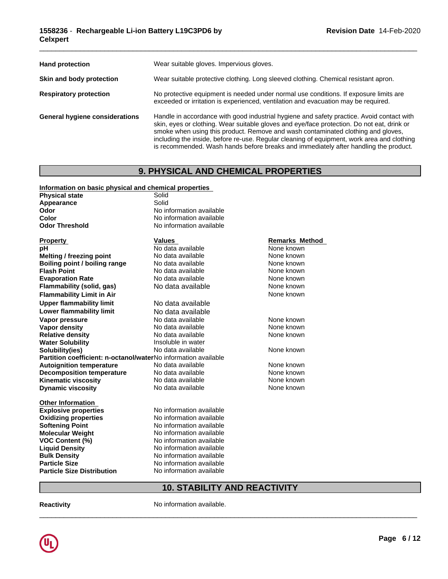| <b>Hand protection</b>         | Wear suitable gloves. Impervious gloves.                                                                                                                                                                                                                                                                                                                                                                                                                          |
|--------------------------------|-------------------------------------------------------------------------------------------------------------------------------------------------------------------------------------------------------------------------------------------------------------------------------------------------------------------------------------------------------------------------------------------------------------------------------------------------------------------|
| Skin and body protection       | Wear suitable protective clothing. Long sleeved clothing. Chemical resistant apron.                                                                                                                                                                                                                                                                                                                                                                               |
| <b>Respiratory protection</b>  | No protective equipment is needed under normal use conditions. If exposure limits are<br>exceeded or irritation is experienced, ventilation and evacuation may be required.                                                                                                                                                                                                                                                                                       |
| General hygiene considerations | Handle in accordance with good industrial hygiene and safety practice. Avoid contact with<br>skin, eyes or clothing. Wear suitable gloves and eye/face protection. Do not eat, drink or<br>smoke when using this product. Remove and wash contaminated clothing and gloves,<br>including the inside, before re-use. Regular cleaning of equipment, work area and clothing<br>is recommended. Wash hands before breaks and immediately after handling the product. |

# **9. PHYSICAL AND CHEMICAL PROPERTIES**

### **Information on basic physical and chemical properties**

| <b>Physical state</b>                                          | <u>.</u><br>Solid        |                       |  |
|----------------------------------------------------------------|--------------------------|-----------------------|--|
| Appearance                                                     | Solid                    |                       |  |
| Odor                                                           | No information available |                       |  |
| Color                                                          | No information available |                       |  |
| <b>Odor Threshold</b>                                          | No information available |                       |  |
| <b>Property</b>                                                | Values                   | <b>Remarks Method</b> |  |
| рH                                                             | No data available        | None known            |  |
| Melting / freezing point                                       | No data available        | None known            |  |
| Boiling point / boiling range                                  | No data available        | None known            |  |
| <b>Flash Point</b>                                             | No data available        | None known            |  |
| <b>Evaporation Rate</b>                                        | No data available        | None known            |  |
| Flammability (solid, gas)                                      | No data available        | None known            |  |
| <b>Flammability Limit in Air</b>                               |                          | None known            |  |
| <b>Upper flammability limit</b>                                | No data available        |                       |  |
| <b>Lower flammability limit</b>                                | No data available        |                       |  |
| Vapor pressure                                                 | No data available        | None known            |  |
| Vapor density                                                  | No data available        | None known            |  |
| <b>Relative density</b>                                        | No data available        | None known            |  |
| <b>Water Solubility</b>                                        | Insoluble in water       |                       |  |
| Solubility(ies)                                                | No data available        | None known            |  |
| Partition coefficient: n-octanol/waterNo information available |                          |                       |  |
| <b>Autoignition temperature</b>                                | No data available        | None known            |  |
| <b>Decomposition temperature</b>                               | No data available        | None known            |  |
| <b>Kinematic viscosity</b>                                     | No data available        | None known            |  |
| <b>Dynamic viscosity</b>                                       | No data available        | None known            |  |
| <b>Other Information</b>                                       |                          |                       |  |
| <b>Explosive properties</b>                                    | No information available |                       |  |
| <b>Oxidizing properties</b>                                    | No information available |                       |  |
| <b>Softening Point</b>                                         | No information available |                       |  |
| <b>Molecular Weight</b>                                        | No information available |                       |  |
| <b>VOC Content (%)</b>                                         | No information available |                       |  |
| <b>Liquid Density</b>                                          | No information available |                       |  |
| <b>Bulk Density</b>                                            | No information available |                       |  |
| <b>Particle Size</b>                                           | No information available |                       |  |
| <b>Particle Size Distribution</b>                              | No information available |                       |  |

# **10. STABILITY AND REACTIVITY**

 $\_$  ,  $\_$  ,  $\_$  ,  $\_$  ,  $\_$  ,  $\_$  ,  $\_$  ,  $\_$  ,  $\_$  ,  $\_$  ,  $\_$  ,  $\_$  ,  $\_$  ,  $\_$  ,  $\_$  ,  $\_$  ,  $\_$  ,  $\_$  ,  $\_$  ,  $\_$  ,  $\_$  ,  $\_$  ,  $\_$  ,  $\_$  ,  $\_$  ,  $\_$  ,  $\_$  ,  $\_$  ,  $\_$  ,  $\_$  ,  $\_$  ,  $\_$  ,  $\_$  ,  $\_$  ,  $\_$  ,  $\_$  ,  $\_$  ,

**Reactivity No information available.**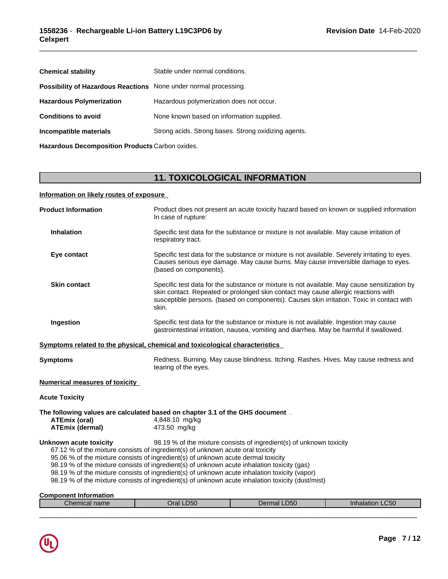| <b>Chemical stability</b>                                               | Stable under normal conditions.                      |
|-------------------------------------------------------------------------|------------------------------------------------------|
| <b>Possibility of Hazardous Reactions</b> None under normal processing. |                                                      |
| <b>Hazardous Polymerization</b>                                         | Hazardous polymerization does not occur.             |
| <b>Conditions to avoid</b>                                              | None known based on information supplied.            |
| Incompatible materials                                                  | Strong acids. Strong bases. Strong oxidizing agents. |
| Hazardous Decomposition Products Carbon oxides.                         |                                                      |

# **11. TOXICOLOGICAL INFORMATION**

\_\_\_\_\_\_\_\_\_\_\_\_\_\_\_\_\_\_\_\_\_\_\_\_\_\_\_\_\_\_\_\_\_\_\_\_\_\_\_\_\_\_\_\_\_\_\_\_\_\_\_\_\_\_\_\_\_\_\_\_\_\_\_\_\_\_\_\_\_\_\_\_\_\_\_\_\_\_\_\_\_\_\_\_\_\_\_\_\_\_\_\_\_

## **Information on likely routes of exposure**

| <b>Product Information</b>                     | Product does not present an acute toxicity hazard based on known or supplied information<br>In case of rupture:                                                                                                                                                                                                                                                                                                                                                                                                                                   |
|------------------------------------------------|---------------------------------------------------------------------------------------------------------------------------------------------------------------------------------------------------------------------------------------------------------------------------------------------------------------------------------------------------------------------------------------------------------------------------------------------------------------------------------------------------------------------------------------------------|
| <b>Inhalation</b>                              | Specific test data for the substance or mixture is not available. May cause irritation of<br>respiratory tract.                                                                                                                                                                                                                                                                                                                                                                                                                                   |
| Eye contact                                    | Specific test data for the substance or mixture is not available. Severely irritating to eyes.<br>Causes serious eye damage. May cause burns. May cause irreversible damage to eyes.<br>(based on components).                                                                                                                                                                                                                                                                                                                                    |
| <b>Skin contact</b>                            | Specific test data for the substance or mixture is not available. May cause sensitization by<br>skin contact. Repeated or prolonged skin contact may cause allergic reactions with<br>susceptible persons. (based on components). Causes skin irritation. Toxic in contact with<br>skin.                                                                                                                                                                                                                                                          |
| Ingestion                                      | Specific test data for the substance or mixture is not available. Ingestion may cause<br>gastrointestinal irritation, nausea, vomiting and diarrhea. May be harmful if swallowed.                                                                                                                                                                                                                                                                                                                                                                 |
|                                                | Symptoms related to the physical, chemical and toxicological characteristics                                                                                                                                                                                                                                                                                                                                                                                                                                                                      |
| Symptoms                                       | Redness. Burning. May cause blindness. Itching. Rashes. Hives. May cause redness and<br>tearing of the eyes.                                                                                                                                                                                                                                                                                                                                                                                                                                      |
| Numerical measures of toxicity                 |                                                                                                                                                                                                                                                                                                                                                                                                                                                                                                                                                   |
| <b>Acute Toxicity</b>                          |                                                                                                                                                                                                                                                                                                                                                                                                                                                                                                                                                   |
| <b>ATEmix (oral)</b><br><b>ATEmix (dermal)</b> | The following values are calculated based on chapter 3.1 of the GHS document.<br>4,848.10 mg/kg<br>473.50 mg/kg                                                                                                                                                                                                                                                                                                                                                                                                                                   |
| Unknown acute toxicity                         | 98.19 % of the mixture consists of ingredient(s) of unknown toxicity<br>67.12 % of the mixture consists of ingredient(s) of unknown acute oral toxicity<br>95.06 % of the mixture consists of ingredient(s) of unknown acute dermal toxicity<br>98.19 % of the mixture consists of ingredient(s) of unknown acute inhalation toxicity (gas)<br>98.19 % of the mixture consists of ingredient(s) of unknown acute inhalation toxicity (vapor)<br>98.19 % of the mixture consists of ingredient(s) of unknown acute inhalation toxicity (dust/mist) |
| <b>Component Information</b>                   |                                                                                                                                                                                                                                                                                                                                                                                                                                                                                                                                                   |

| $\sim -$<br>)ral<br>. DSG<br>.U50<br>41 L L L<br>שוווסווי<br>пааш.<br>-LGU | ___________________________ |  |  |
|----------------------------------------------------------------------------|-----------------------------|--|--|
|                                                                            |                             |  |  |

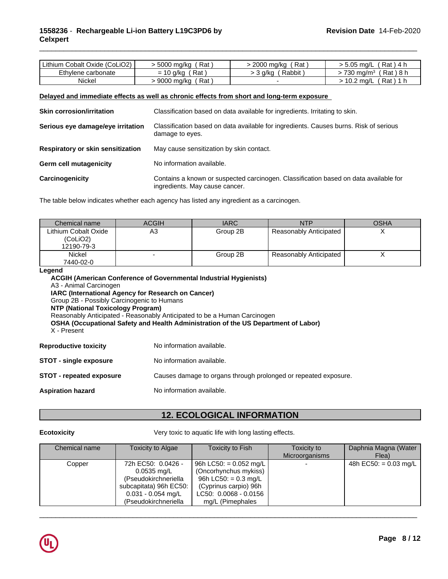## **1558236** - **Rechargeable Li-ion Battery L19C3PD6 by Celxpert**

| Lithium Cobalt Oxide (CoLiO2) | Rat<br>5000 mg/kg          | Rat<br>2000 mg/kg | ה ה<br>Rat<br>™.05 ma/L<br>ี 4 h            |  |
|-------------------------------|----------------------------|-------------------|---------------------------------------------|--|
| Ethylene carbonate            | Rat<br>g/kg<br>$=$<br>ּשׁ  | Rabbit<br>3 a/ka  | Rat ) 8 h<br>730 mg/m                       |  |
| Nickel                        | Rat<br>0.000<br>9000 mg/kg |                   | $\overline{a}$<br>Rat<br>mg/L<br>-11<br>v.z |  |

\_\_\_\_\_\_\_\_\_\_\_\_\_\_\_\_\_\_\_\_\_\_\_\_\_\_\_\_\_\_\_\_\_\_\_\_\_\_\_\_\_\_\_\_\_\_\_\_\_\_\_\_\_\_\_\_\_\_\_\_\_\_\_\_\_\_\_\_\_\_\_\_\_\_\_\_\_\_\_\_\_\_\_\_\_\_\_\_\_\_\_\_\_

## **Delayed and immediate effects as well as chronic effects from short and long-term exposure**

| <b>Skin corrosion/irritation</b>  | Classification based on data available for ingredients. Irritating to skin.                                            |
|-----------------------------------|------------------------------------------------------------------------------------------------------------------------|
| Serious eye damage/eye irritation | Classification based on data available for ingredients. Causes burns. Risk of serious<br>damage to eyes.               |
| Respiratory or skin sensitization | May cause sensitization by skin contact.                                                                               |
| Germ cell mutagenicity            | No information available.                                                                                              |
| Carcinogenicity                   | Contains a known or suspected carcinogen. Classification based on data available for<br>ingredients. May cause cancer. |

The table below indicates whether each agency has listed any ingredient as a carcinogen.

| Chemical name                    | <b>ACGIH</b> | <b>IARC</b> | NTP                    | <b>OSHA</b> |
|----------------------------------|--------------|-------------|------------------------|-------------|
| Lithium Cobalt Oxide<br>(CoLiO2) | A3           | Group 2B    | Reasonably Anticipated |             |
| 12190-79-3                       |              |             |                        |             |
| <b>Nickel</b><br>7440-02-0       |              | Group 2B    | Reasonably Anticipated |             |

**Legend**

| redena<br>A3 - Animal Carcinogen<br>IARC (International Agency for Research on Cancer)<br>Group 2B - Possibly Carcinogenic to Humans<br>NTP (National Toxicology Program)<br>X - Present | <b>ACGIH (American Conference of Governmental Industrial Hygienists)</b><br>Reasonably Anticipated - Reasonably Anticipated to be a Human Carcinogen<br>OSHA (Occupational Safety and Health Administration of the US Department of Labor) |  |
|------------------------------------------------------------------------------------------------------------------------------------------------------------------------------------------|--------------------------------------------------------------------------------------------------------------------------------------------------------------------------------------------------------------------------------------------|--|
| <b>Reproductive toxicity</b>                                                                                                                                                             | No information available.                                                                                                                                                                                                                  |  |
| <b>STOT - single exposure</b>                                                                                                                                                            | No information available.                                                                                                                                                                                                                  |  |
| STOT - repeated exposure                                                                                                                                                                 | Causes damage to organs through prolonged or repeated exposure.                                                                                                                                                                            |  |
| <b>Aspiration hazard</b>                                                                                                                                                                 | No information available.                                                                                                                                                                                                                  |  |

# **12. ECOLOGICAL INFORMATION**

**Ecotoxicity Very toxic to aquatic life with long lasting effects.** 

| Chemical name | Toxicity to Algae                                                                                                                     | Toxicity to Fish                                                                                                                                          | Toxicity to<br>Microorganisms | Daphnia Magna (Water<br>Flea) |
|---------------|---------------------------------------------------------------------------------------------------------------------------------------|-----------------------------------------------------------------------------------------------------------------------------------------------------------|-------------------------------|-------------------------------|
| Copper        | 72h EC50: 0.0426 -<br>$0.0535$ mg/L<br>(Pseudokirchneriella<br>subcapitata) 96h EC50:<br>$0.031 - 0.054$ mg/L<br>(Pseudokirchneriella | 96h LC50: = $0.052 \text{ mg/L}$<br>(Oncorhynchus mykiss)<br>96h LC50: $= 0.3$ mg/L<br>(Cyprinus carpio) 96h<br>LC50: 0.0068 - 0.0156<br>mg/L (Pimephales |                               | 48h EC50: = 0.03 mg/L         |

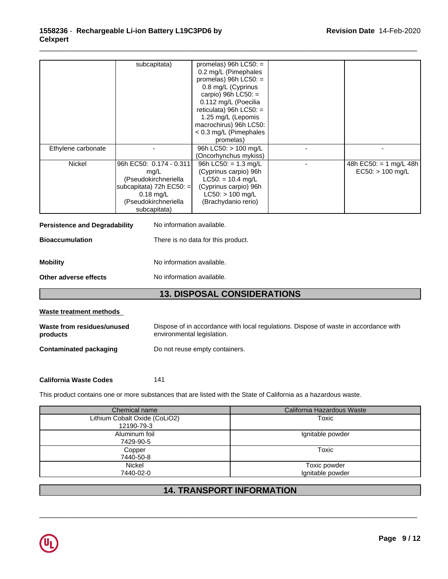|                                      | subcapitata)              | promelas) 96h $LC50$ : =           |                        |
|--------------------------------------|---------------------------|------------------------------------|------------------------|
|                                      |                           | 0.2 mg/L (Pimephales               |                        |
|                                      |                           | promelas) 96h $LC50:$ =            |                        |
|                                      |                           | 0.8 mg/L (Cyprinus                 |                        |
|                                      |                           | carpio) 96h $LC50$ : =             |                        |
|                                      |                           | 0.112 mg/L (Poecilia               |                        |
|                                      |                           | reticulata) 96h $LC50$ : =         |                        |
|                                      |                           | 1.25 mg/L (Lepomis                 |                        |
|                                      |                           | macrochirus) 96h LC50:             |                        |
|                                      |                           | < 0.3 mg/L (Pimephales             |                        |
|                                      |                           | promelas)                          |                        |
| Ethylene carbonate                   |                           | 96h LC50: > 100 mg/L               |                        |
|                                      |                           | (Oncorhynchus mykiss)              |                        |
| Nickel                               | 96h EC50: 0.174 - 0.311   | 96h LC50: $= 1.3$ mg/L             | 48h EC50: = 1 mg/L 48h |
|                                      | mg/L                      | (Cyprinus carpio) 96h              | $EC50:$ > 100 mg/L     |
|                                      | (Pseudokirchneriella      | $LC50: = 10.4$ mg/L                |                        |
|                                      | subcapitata) 72h EC50: =  | (Cyprinus carpio) 96h              |                        |
|                                      | $0.18$ mg/L               | $LC50:$ > 100 mg/L                 |                        |
|                                      | (Pseudokirchneriella      | (Brachydanio rerio)                |                        |
|                                      | subcapitata)              |                                    |                        |
|                                      |                           |                                    |                        |
| <b>Persistence and Degradability</b> | No information available. |                                    |                        |
| <b>Bioaccumulation</b>               |                           | There is no data for this product. |                        |
|                                      |                           |                                    |                        |

**Mobility** Moinformation available.

**Other adverse effects** No information available.

# **13. DISPOSAL CONSIDERATIONS**

| Waste treatment methods                |                                                                                                                    |
|----------------------------------------|--------------------------------------------------------------------------------------------------------------------|
| Waste from residues/unused<br>products | Dispose of in accordance with local regulations. Dispose of waste in accordance with<br>environmental legislation. |
| Contaminated packaging                 | Do not reuse empty containers.                                                                                     |

## **California Waste Codes** 141

This product contains one or more substances that are listed with the State of California as a hazardous waste.

| Chemical name                 | California Hazardous Waste |
|-------------------------------|----------------------------|
| Lithium Cobalt Oxide (CoLiO2) | Toxic                      |
| 12190-79-3                    |                            |
| Aluminum foil                 | Ignitable powder           |
| 7429-90-5                     |                            |
| Copper                        | Toxic                      |
| 7440-50-8                     |                            |
| Nickel                        | Toxic powder               |
| 7440-02-0                     | Ignitable powder           |

# **14. TRANSPORT INFORMATION**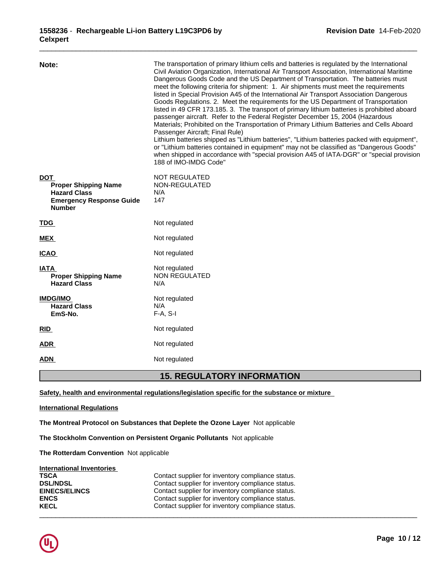| Note:<br><b>DOT</b><br><b>Proper Shipping Name</b><br><b>Hazard Class</b><br><b>Emergency Response Guide</b><br><b>Number</b> | The transportation of primary lithium cells and batteries is regulated by the International<br>Civil Aviation Organization, International Air Transport Association, International Maritime<br>Dangerous Goods Code and the US Department of Transportation. The batteries must<br>meet the following criteria for shipment: 1. Air shipments must meet the requirements<br>listed in Special Provision A45 of the International Air Transport Association Dangerous<br>Goods Regulations. 2. Meet the requirements for the US Department of Transportation<br>listed in 49 CFR 173.185. 3. The transport of primary lithium batteries is prohibited aboard<br>passenger aircraft. Refer to the Federal Register December 15, 2004 (Hazardous<br>Materials; Prohibited on the Transportation of Primary Lithium Batteries and Cells Aboard<br>Passenger Aircraft; Final Rule)<br>Lithium batteries shipped as "Lithium batteries", "Lithium batteries packed with equipment",<br>or "Lithium batteries contained in equipment" may not be classified as "Dangerous Goods"<br>when shipped in accordance with "special provision A45 of IATA-DGR" or "special provision<br>188 of IMO-IMDG Code"<br>NOT REGULATED<br>NON-REGULATED<br>N/A<br>147 |
|-------------------------------------------------------------------------------------------------------------------------------|-------------------------------------------------------------------------------------------------------------------------------------------------------------------------------------------------------------------------------------------------------------------------------------------------------------------------------------------------------------------------------------------------------------------------------------------------------------------------------------------------------------------------------------------------------------------------------------------------------------------------------------------------------------------------------------------------------------------------------------------------------------------------------------------------------------------------------------------------------------------------------------------------------------------------------------------------------------------------------------------------------------------------------------------------------------------------------------------------------------------------------------------------------------------------------------------------------------------------------------------------|
| <b>TDG</b>                                                                                                                    | Not regulated                                                                                                                                                                                                                                                                                                                                                                                                                                                                                                                                                                                                                                                                                                                                                                                                                                                                                                                                                                                                                                                                                                                                                                                                                                   |
| <b>MEX</b>                                                                                                                    | Not regulated                                                                                                                                                                                                                                                                                                                                                                                                                                                                                                                                                                                                                                                                                                                                                                                                                                                                                                                                                                                                                                                                                                                                                                                                                                   |
| <b>ICAO</b>                                                                                                                   | Not regulated                                                                                                                                                                                                                                                                                                                                                                                                                                                                                                                                                                                                                                                                                                                                                                                                                                                                                                                                                                                                                                                                                                                                                                                                                                   |
| IATA<br><b>Proper Shipping Name</b><br><b>Hazard Class</b>                                                                    | Not regulated<br><b>NON REGULATED</b><br>N/A                                                                                                                                                                                                                                                                                                                                                                                                                                                                                                                                                                                                                                                                                                                                                                                                                                                                                                                                                                                                                                                                                                                                                                                                    |
| <b>IMDG/IMO</b><br><b>Hazard Class</b><br>EmS-No.                                                                             | Not regulated<br>N/A<br>$F-A, S-I$                                                                                                                                                                                                                                                                                                                                                                                                                                                                                                                                                                                                                                                                                                                                                                                                                                                                                                                                                                                                                                                                                                                                                                                                              |
| <b>RID</b>                                                                                                                    | Not regulated                                                                                                                                                                                                                                                                                                                                                                                                                                                                                                                                                                                                                                                                                                                                                                                                                                                                                                                                                                                                                                                                                                                                                                                                                                   |
| <b>ADR</b>                                                                                                                    | Not regulated                                                                                                                                                                                                                                                                                                                                                                                                                                                                                                                                                                                                                                                                                                                                                                                                                                                                                                                                                                                                                                                                                                                                                                                                                                   |
| <b>ADN</b>                                                                                                                    | Not regulated                                                                                                                                                                                                                                                                                                                                                                                                                                                                                                                                                                                                                                                                                                                                                                                                                                                                                                                                                                                                                                                                                                                                                                                                                                   |

# **15. REGULATORY INFORMATION**

**Safety, health and environmental regulations/legislation specific for the substance or mixture**

## **International Regulations**

**The Montreal Protocol on Substances that Deplete the Ozone Layer** Notapplicable

**The Stockholm Convention on Persistent Organic Pollutants** Not applicable

**The Rotterdam Convention** Not applicable

## **International Inventories**

| <b>TSCA</b>          | Contact supplier for inventory compliance status. |
|----------------------|---------------------------------------------------|
| <b>DSL/NDSL</b>      | Contact supplier for inventory compliance status. |
| <b>EINECS/ELINCS</b> | Contact supplier for inventory compliance status. |
| <b>ENCS</b>          | Contact supplier for inventory compliance status. |
| <b>KECL</b>          | Contact supplier for inventory compliance status. |
|                      |                                                   |

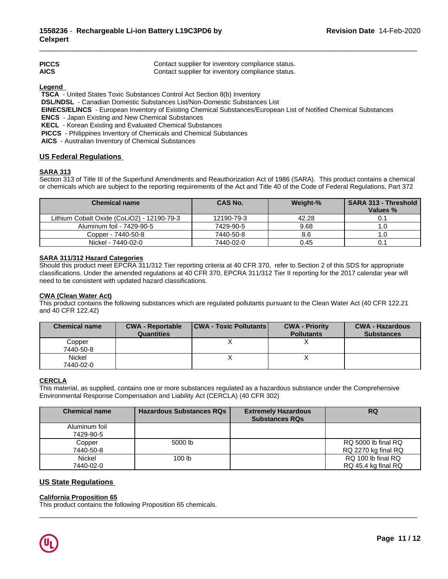| <b>PICCS</b> | Contact supplier for inventory compliance status. |
|--------------|---------------------------------------------------|
| <b>AICS</b>  | Contact supplier for inventory compliance status. |

**Legend** 

 **TSCA** - United States Toxic Substances Control Act Section 8(b) Inventory

 **DSL/NDSL** - Canadian Domestic Substances List/Non-Domestic Substances List

 **EINECS/ELINCS** - European Inventory of Existing Chemical Substances/European List of Notified Chemical Substances

 **ENCS** - Japan Existing and New Chemical Substances

 **KECL** - Korean Existing and Evaluated Chemical Substances

 **PICCS** - Philippines Inventory of Chemicals and Chemical Substances

 **AICS** - Australian Inventory of Chemical Substances

## **US Federal Regulations**

## **SARA 313**

Section 313 of Title III of the Superfund Amendments and Reauthorization Act of 1986 (SARA). This product contains a chemical or chemicals which are subject to the reporting requirements of the Act and Title 40 of the Code of Federal Regulations, Part 372

| <b>Chemical name</b>                       | <b>CAS No.</b> | Weight-% | <b>SARA 313 - Threshold</b><br>Values % |
|--------------------------------------------|----------------|----------|-----------------------------------------|
| Lithium Cobalt Oxide (CoLiO2) - 12190-79-3 | 12190-79-3     | 42.28    |                                         |
| Aluminum foil - 7429-90-5                  | 7429-90-5      | 9.68     | ı.u                                     |
| Copper - 7440-50-8                         | 7440-50-8      | 8.6      |                                         |
| Nickel - 7440-02-0                         | 7440-02-0      | 0.45     | U.                                      |

### **SARA 311/312 Hazard Categories**

Should this product meet EPCRA 311/312 Tier reporting criteria at 40 CFR 370, refer to Section 2 of this SDS for appropriate classifications. Under the amended regulations at 40 CFR 370, EPCRA 311/312 Tier II reporting for the 2017 calendar year will need to be consistent with updated hazard classifications.

## **CWA (Clean WaterAct)**

This product contains the following substances which are regulated pollutants pursuant to the Clean Water Act (40 CFR 122.21 and 40 CFR 122.42)

| <b>Chemical name</b>       | <b>CWA - Reportable</b><br><b>Quantities</b> | <b>CWA - Toxic Pollutants</b> | <b>CWA - Priority</b><br><b>Pollutants</b> | <b>CWA - Hazardous</b><br><b>Substances</b> |
|----------------------------|----------------------------------------------|-------------------------------|--------------------------------------------|---------------------------------------------|
| Copper<br>7440-50-8        |                                              |                               |                                            |                                             |
| <b>Nickel</b><br>7440-02-0 |                                              |                               |                                            |                                             |

## **CERCLA**

This material, as supplied, contains one or more substances regulated as a hazardous substance under the Comprehensive Environmental Response Compensation and Liability Act (CERCLA) (40 CFR 302)

| <b>Chemical name</b>       | <b>Hazardous Substances RQs</b> | <b>Extremely Hazardous</b><br><b>Substances RQs</b> | <b>RQ</b>                                  |
|----------------------------|---------------------------------|-----------------------------------------------------|--------------------------------------------|
| Aluminum foil<br>7429-90-5 |                                 |                                                     |                                            |
| Copper<br>7440-50-8        | 5000 lb                         |                                                     | RQ 5000 lb final RQ<br>RQ 2270 kg final RQ |
| Nickel<br>7440-02-0        | 100 <sub>lb</sub>               |                                                     | RQ 100 lb final RQ<br>RQ 45.4 kg final RQ  |

 $\_$  ,  $\_$  ,  $\_$  ,  $\_$  ,  $\_$  ,  $\_$  ,  $\_$  ,  $\_$  ,  $\_$  ,  $\_$  ,  $\_$  ,  $\_$  ,  $\_$  ,  $\_$  ,  $\_$  ,  $\_$  ,  $\_$  ,  $\_$  ,  $\_$  ,  $\_$  ,  $\_$  ,  $\_$  ,  $\_$  ,  $\_$  ,  $\_$  ,  $\_$  ,  $\_$  ,  $\_$  ,  $\_$  ,  $\_$  ,  $\_$  ,  $\_$  ,  $\_$  ,  $\_$  ,  $\_$  ,  $\_$  ,  $\_$  ,

## **US State Regulations**

### **California Proposition 65**

This product contains the following Proposition 65 chemicals.

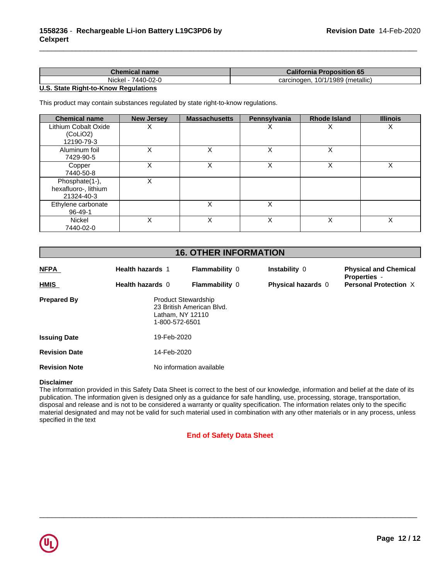| Chemical name         | <b>California Proposition 65</b>                   |
|-----------------------|----------------------------------------------------|
| Nickel -<br>7440-02-0 | , 10/1/1989 $\prime$<br>/ (metallic)<br>carcinogen |

## **U.S. State Right-to-Know Regulations**

This product may contain substances regulated by state right-to-know regulations.

| <b>Chemical name</b>                                 | <b>New Jersey</b> | <b>Massachusetts</b> | Pennsylvania | <b>Rhode Island</b> | <b>Illinois</b> |
|------------------------------------------------------|-------------------|----------------------|--------------|---------------------|-----------------|
| Lithium Cobalt Oxide<br>(CoLiO2)<br>12190-79-3       | ∧                 |                      | ∧            | ⋏                   | х               |
| Aluminum foil<br>7429-90-5                           |                   | X                    | X            | X                   |                 |
| Copper<br>7440-50-8                                  |                   | x                    | X            | X                   | Χ               |
| Phosphate(1-),<br>hexafluoro-, lithium<br>21324-40-3 |                   |                      |              |                     |                 |
| Ethylene carbonate<br>96-49-1                        |                   | x                    | Χ            |                     |                 |
| Nickel<br>7440-02-0                                  | Χ                 | Χ                    | Χ            | X                   | X               |

# **16. OTHER INFORMATION**

| <b>NFPA</b>          | <b>Health hazards 1</b>                                          | <b>Flammability 0</b>     | Instability 0             | <b>Physical and Chemical</b><br><b>Properties -</b> |
|----------------------|------------------------------------------------------------------|---------------------------|---------------------------|-----------------------------------------------------|
| <b>HMIS</b>          | Health hazards 0                                                 | <b>Flammability 0</b>     | <b>Physical hazards 0</b> | <b>Personal Protection X</b>                        |
| <b>Prepared By</b>   | <b>Product Stewardship</b><br>Latham, NY 12110<br>1-800-572-6501 | 23 British American Blvd. |                           |                                                     |
| <b>Issuing Date</b>  | 19-Feb-2020                                                      |                           |                           |                                                     |
| <b>Revision Date</b> | 14-Feb-2020                                                      |                           |                           |                                                     |
| <b>Revision Note</b> | No information available                                         |                           |                           |                                                     |

## **Disclaimer**

The information provided in this Safety Data Sheet is correct to the best of our knowledge, information and belief at the date of its publication. The information given is designed only as a guidance for safe handling, use, processing, storage, transportation, disposal and release and is not to be considered a warranty or quality specification. The information relates only to the specific material designated and may not be valid for such material used in combination with any other materials or in any process, unless specified in the text

## **End of Safety Data Sheet**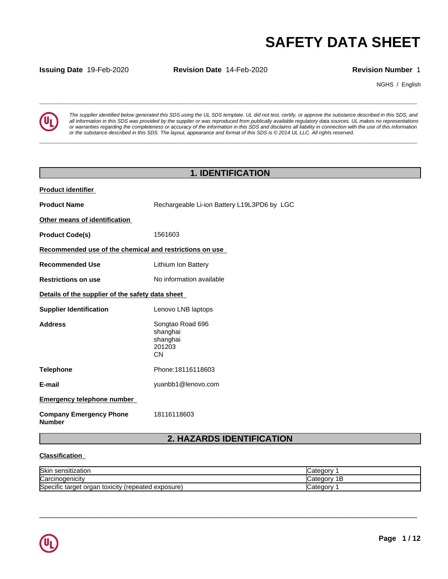**Issuing Date** 19-Feb-2020 **Revision Date** 14-Feb-2020 **Revision Number** 1

NGHS / English



**SAFETY DATA SHEET**<br> **SECURITY DATA SHEET**<br>
Revision Number 1<br>
NGHS / English<br>
The supplier identified below generated this SDS using the UL SDS template. UL did not test, certify, or approve the substance described in thi *The supplier identified below generated this SDS using the UL SDS template. UL did not test, certify, or approve the substance described in this SDS, and* all information in this SDS was provided by the supplier or was reproduced from publically available regulatory data sources. UL makes no representations or warranties regarding the completeness or accuracy of the information in this SDS and disclaims all liability in connection with the use of this information or the substance described in this SDS. The layout, appearance and format of this SDS is @2014 UL LLC. All rights reserved.

**\_\_\_\_\_\_\_\_\_\_\_\_\_\_\_\_\_\_\_\_\_\_\_\_\_\_\_\_\_\_\_\_\_\_\_\_\_\_\_\_\_\_\_\_\_\_\_\_\_\_\_\_\_\_\_\_\_\_\_\_\_\_\_\_\_\_\_\_\_\_\_\_\_\_\_\_\_\_\_\_\_\_\_\_\_\_\_\_\_\_\_\_\_**

# **1. IDENTIFICATION**

| <b>Product identifier</b>                               |                                                                 |
|---------------------------------------------------------|-----------------------------------------------------------------|
| <b>Product Name</b>                                     | Rechargeable Li-ion Battery L19L3PD6 by LGC                     |
| Other means of identification                           |                                                                 |
| <b>Product Code(s)</b>                                  | 1561603                                                         |
| Recommended use of the chemical and restrictions on use |                                                                 |
| <b>Recommended Use</b>                                  | Lithium Ion Battery                                             |
| <b>Restrictions on use</b>                              | No information available                                        |
| Details of the supplier of the safety data sheet        |                                                                 |
| <b>Supplier Identification</b>                          | Lenovo LNB laptops                                              |
| <b>Address</b>                                          | Songtao Road 696<br>shanghai<br>shanghai<br>201203<br><b>CN</b> |
| <b>Telephone</b>                                        | Phone: 18116118603                                              |
| E-mail                                                  | yuanbb1@lenovo.com                                              |
| <b>Emergency telephone number</b>                       |                                                                 |
| <b>Company Emergency Phone</b><br><b>Number</b>         | 18116118603                                                     |
|                                                         | $\mathbf{\Omega}$<br><b>UAZADDS IDENTIEICATION</b>              |

# **2. HAZARDS IDENTIFICATION**

## **Classification**

| <b>Skir</b><br>nsitization                                        | ∩nr       |
|-------------------------------------------------------------------|-----------|
| ∽<br><b>ICarcinogenicity</b>                                      | 10 H<br>E |
| exposure)<br>Specific<br>target<br>'repeated<br>orgar<br>toxicity | anr       |

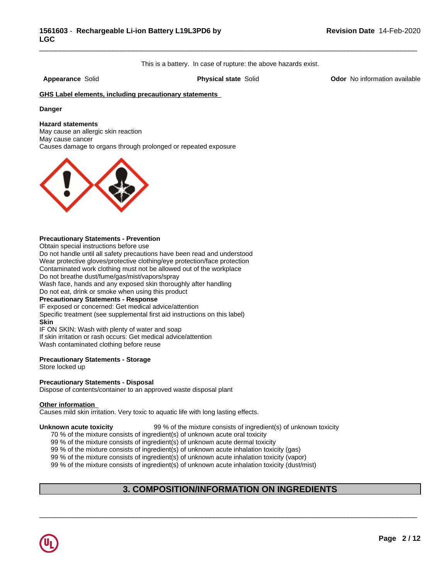This is a battery. In case of rupture: the above hazards exist.

\_\_\_\_\_\_\_\_\_\_\_\_\_\_\_\_\_\_\_\_\_\_\_\_\_\_\_\_\_\_\_\_\_\_\_\_\_\_\_\_\_\_\_\_\_\_\_\_\_\_\_\_\_\_\_\_\_\_\_\_\_\_\_\_\_\_\_\_\_\_\_\_\_\_\_\_\_\_\_\_\_\_\_\_\_\_\_\_\_\_\_\_\_

**Appearance** Solid **Physical state** Solid **Odor** No information available

## **GHS Label elements, including precautionary statements**

### **Danger**

### **Hazard statements**

May cause an allergic skin reaction May cause cancer Causes damage to organs through prolonged or repeated exposure



### **Precautionary Statements - Prevention**

Obtain special instructions before use

Do not handle until all safety precautions have been read and understood Wear protective gloves/protective clothing/eye protection/face protection Contaminated work clothing must not be allowed out of the workplace Do not breathe dust/fume/gas/mist/vapors/spray

Wash face, hands and any exposed skin thoroughly after handling

Do not eat, drink or smoke when using this product

### **Precautionary Statements - Response**

IF exposed or concerned: Get medical advice/attention Specific treatment (see supplemental first aid instructions on this label) **Skin** IF ON SKIN: Wash with plenty of water and soap

If skin irritation or rash occurs: Get medical advice/attention

Wash contaminated clothing before reuse

## **Precautionary Statements - Storage**

Store locked up

### **Precautionary Statements - Disposal**

Dispose of contents/container to an approved waste disposal plant

### **Other information**

Causes mild skin irritation. Very toxic to aquatic life with long lasting effects.

**Unknown acute toxicity** 99 % of the mixture consists of ingredient(s) of unknown toxicity

70 % of the mixture consists of ingredient(s) of unknown acute oral toxicity

99 % of the mixture consists of ingredient(s) of unknown acute dermal toxicity

99 % of the mixture consists of ingredient(s) of unknown acute inhalation toxicity (gas)

99 % of the mixture consists of ingredient(s) of unknown acute inhalation toxicity (vapor)

99 % of the mixture consists of ingredient(s) of unknown acute inhalation toxicity (dust/mist)

## **3. COMPOSITION/INFORMATION ON INGREDIENTS**

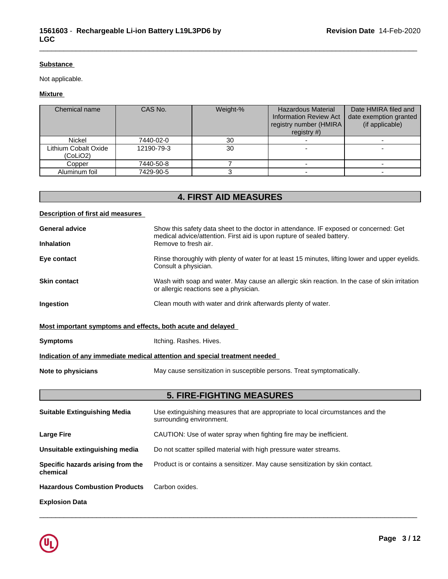## **Substance**

Not applicable.

## **Mixture**

| Chemical name                    | CAS No.    | Weight-% | <b>Hazardous Material</b><br><b>Information Review Act</b><br>registry number (HMIRA)<br>registry $#$ ) | Date HMIRA filed and<br>date exemption granted<br>(if applicable) |
|----------------------------------|------------|----------|---------------------------------------------------------------------------------------------------------|-------------------------------------------------------------------|
| <b>Nickel</b>                    | 7440-02-0  | 30       |                                                                                                         |                                                                   |
| Lithium Cobalt Oxide<br>(CoLiO2) | 12190-79-3 | 30       |                                                                                                         |                                                                   |
| Copper                           | 7440-50-8  |          |                                                                                                         |                                                                   |
| Aluminum foil                    | 7429-90-5  |          |                                                                                                         |                                                                   |

\_\_\_\_\_\_\_\_\_\_\_\_\_\_\_\_\_\_\_\_\_\_\_\_\_\_\_\_\_\_\_\_\_\_\_\_\_\_\_\_\_\_\_\_\_\_\_\_\_\_\_\_\_\_\_\_\_\_\_\_\_\_\_\_\_\_\_\_\_\_\_\_\_\_\_\_\_\_\_\_\_\_\_\_\_\_\_\_\_\_\_\_\_

# **4. FIRST AID MEASURES**

## **Description of first aid measures**

| <b>General advice</b><br><b>Inhalation</b>                  | Show this safety data sheet to the doctor in attendance. IF exposed or concerned: Get<br>medical advice/attention. First aid is upon rupture of sealed battery.<br>Remove to fresh air. |
|-------------------------------------------------------------|-----------------------------------------------------------------------------------------------------------------------------------------------------------------------------------------|
| Eye contact                                                 | Rinse thoroughly with plenty of water for at least 15 minutes, lifting lower and upper eyelids.<br>Consult a physician.                                                                 |
| <b>Skin contact</b>                                         | Wash with soap and water. May cause an allergic skin reaction. In the case of skin irritation<br>or allergic reactions see a physician.                                                 |
| <b>Ingestion</b>                                            | Clean mouth with water and drink afterwards plenty of water.                                                                                                                            |
| Most important symptoms and effects, both acute and delayed |                                                                                                                                                                                         |
| <b>Symptoms</b>                                             | Itching. Rashes. Hives.                                                                                                                                                                 |
|                                                             | Indication of any immediate medical attention and special treatment needed                                                                                                              |
| Note to physicians                                          | May cause sensitization in susceptible persons. Treat symptomatically.                                                                                                                  |
|                                                             |                                                                                                                                                                                         |

# **5. FIRE-FIGHTING MEASURES**

| <b>Suitable Extinguishing Media</b>           | Use extinguishing measures that are appropriate to local circumstances and the<br>surrounding environment. |
|-----------------------------------------------|------------------------------------------------------------------------------------------------------------|
| <b>Large Fire</b>                             | CAUTION: Use of water spray when fighting fire may be inefficient.                                         |
| Unsuitable extinguishing media                | Do not scatter spilled material with high pressure water streams.                                          |
| Specific hazards arising from the<br>chemical | Product is or contains a sensitizer. May cause sensitization by skin contact.                              |
| <b>Hazardous Combustion Products</b>          | Carbon oxides.                                                                                             |
| <b>Explosion Data</b>                         |                                                                                                            |

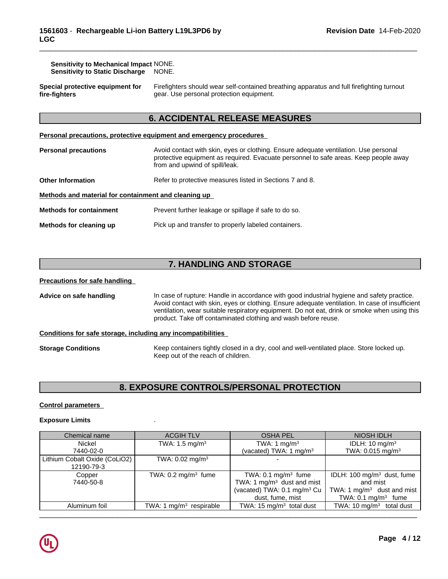| <b>Sensitivity to Mechanical Impact NONE.</b> |       |
|-----------------------------------------------|-------|
| <b>Sensitivity to Static Discharge</b>        | NONE. |

**Special protective equipment for fire-fighters**

Firefighters should wear self-contained breathing apparatus and full firefighting turnout gear. Use personal protection equipment.

\_\_\_\_\_\_\_\_\_\_\_\_\_\_\_\_\_\_\_\_\_\_\_\_\_\_\_\_\_\_\_\_\_\_\_\_\_\_\_\_\_\_\_\_\_\_\_\_\_\_\_\_\_\_\_\_\_\_\_\_\_\_\_\_\_\_\_\_\_\_\_\_\_\_\_\_\_\_\_\_\_\_\_\_\_\_\_\_\_\_\_\_\_

## **6. ACCIDENTAL RELEASE MEASURES**

**Personal precautions, protective equipment and emergency procedures**

| <b>Personal precautions</b>                          | Avoid contact with skin, eyes or clothing. Ensure adequate ventilation. Use personal<br>protective equipment as required. Evacuate personnel to safe areas. Keep people away<br>from and upwind of spill/leak. |
|------------------------------------------------------|----------------------------------------------------------------------------------------------------------------------------------------------------------------------------------------------------------------|
| <b>Other Information</b>                             | Refer to protective measures listed in Sections 7 and 8.                                                                                                                                                       |
| Methods and material for containment and cleaning up |                                                                                                                                                                                                                |
| <b>Methods for containment</b>                       | Prevent further leakage or spillage if safe to do so.                                                                                                                                                          |
| Methods for cleaning up                              | Pick up and transfer to properly labeled containers.                                                                                                                                                           |

# **7. HANDLING AND STORAGE**

## **Precautions for safe handling**

**Advice on safe handling** In case of rupture: Handle in accordance with good industrial hygiene and safety practice. Avoid contact with skin, eyes or clothing. Ensure adequate ventilation. In case of insufficient ventilation, wear suitable respiratory equipment. Do not eat, drink or smoke when using this product. Take off contaminated clothing and wash before reuse.

## **Conditions for safe storage, including any incompatibilities**

**Storage Conditions** Keep containers tightly closed in a dry, cool and well-ventilated place. Store locked up. Keep out of the reach of children.

# **8. EXPOSURE CONTROLS/PERSONAL PROTECTION**

## **Control parameters**

## **Exposure Limits** .

| Chemical name                               | <b>ACGIH TLV</b>               | <b>OSHA PEL</b>                                                                                                               | NIOSH IDLH                                                                                                           |
|---------------------------------------------|--------------------------------|-------------------------------------------------------------------------------------------------------------------------------|----------------------------------------------------------------------------------------------------------------------|
| Nickel                                      | TWA: $1.5 \text{ mg/m}^3$      | TWA: 1 $mg/m3$                                                                                                                | IDLH: $10 \text{ mg/m}^3$                                                                                            |
| 7440-02-0                                   |                                | (vacated) TWA: 1 mg/m <sup>3</sup>                                                                                            | TWA: 0.015 mg/m <sup>3</sup>                                                                                         |
| Lithium Cobalt Oxide (CoLiO2)<br>12190-79-3 | TWA: $0.02$ mg/m <sup>3</sup>  |                                                                                                                               |                                                                                                                      |
| Copper<br>7440-50-8                         | TWA: $0.2 \text{ mg/m}^3$ fume | TWA: $0.1 \text{ mg/m}^3$ fume<br>TWA: 1 $mg/m3$ dust and mist<br>(vacated) TWA: 0.1 mg/m <sup>3</sup> Cu<br>dust, fume, mist | IDLH: 100 mg/m <sup>3</sup> dust, fume<br>and mist<br>TWA: 1 $mg/m3$ dust and mist<br>TWA: $0.1 \text{ mg/m}^3$ fume |
| Aluminum foil                               | TWA: 1 $mg/m3$ respirable      | TWA: 15 mg/m <sup>3</sup> total dust                                                                                          | TWA: 10 $mg/m3$ total dust                                                                                           |
|                                             |                                |                                                                                                                               |                                                                                                                      |

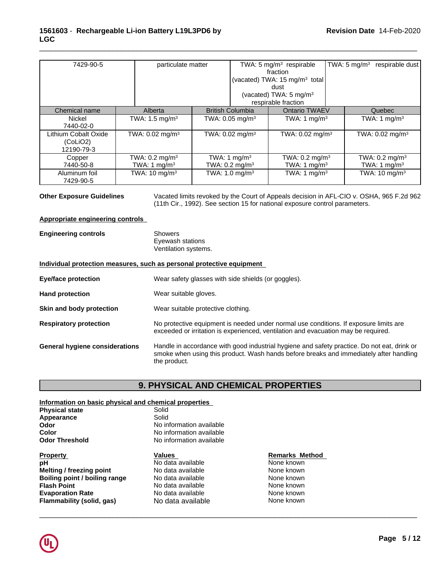| 7429-90-5                                      | particulate matter                                    |                                                       | TWA: 5 mg/m $3$ respirable<br>fraction<br>(vacated) TWA: 15 mg/m <sup>3</sup> total | TWA: $5 \text{ mg/m}^3$ | respirable dust                             |
|------------------------------------------------|-------------------------------------------------------|-------------------------------------------------------|-------------------------------------------------------------------------------------|-------------------------|---------------------------------------------|
|                                                |                                                       |                                                       | dust<br>(vacated) TWA: $5 \text{ mg/m}^3$<br>respirable fraction                    |                         |                                             |
| Chemical name                                  | Alberta                                               | <b>British Columbia</b>                               | <b>Ontario TWAEV</b>                                                                |                         | Quebec                                      |
| Nickel<br>7440-02-0                            | TWA: 1.5 mg/m <sup>3</sup>                            | TWA: 0.05 mg/m $3$                                    | TWA: 1 mg/m <sup>3</sup>                                                            |                         | TWA: 1 mg/m <sup>3</sup>                    |
| Lithium Cobalt Oxide<br>(CoLiO2)<br>12190-79-3 | TWA: $0.02$ mg/m <sup>3</sup>                         | TWA: $0.02 \text{ mg/m}^3$                            | TWA: $0.02$ mg/m <sup>3</sup>                                                       |                         | TWA: $0.02 \text{ mg/m}^3$                  |
| Copper<br>7440-50-8                            | TWA: $0.2 \text{ mg/m}^3$<br>TWA: 1 mg/m <sup>3</sup> | TWA: 1 mg/m <sup>3</sup><br>TWA: $0.2 \text{ mg/m}^3$ | TWA: $0.2 \text{ mg/m}^3$<br>TWA: 1 mg/m <sup>3</sup>                               |                         | TWA: $0.2 \text{ mg/m}^3$<br>TWA: 1 $mq/m3$ |
| Aluminum foil<br>7429-90-5                     | TWA: $10 \text{ mg/m}^3$                              | TWA: $1.0$ mg/m <sup>3</sup>                          | TWA: 1 $mg/m3$                                                                      |                         | TWA: $10 \text{ mg/m}^3$                    |

**Other Exposure Guidelines** Vacated limits revoked by the Court of Appeals decision in AFL-CIO v.OSHA, 965 F.2d 962 (11th Cir., 1992). See section 15 for national exposure control parameters.

### **Appropriate engineering controls**

| <b>Engineering controls</b> | Showers              |
|-----------------------------|----------------------|
|                             | Eyewash stations     |
|                             | Ventilation systems. |

### **Individual protection measures, such as personal protective equipment**

| <b>Eye/face protection</b>            | Wear safety glasses with side shields (or goggles).                                                                                                                                                   |
|---------------------------------------|-------------------------------------------------------------------------------------------------------------------------------------------------------------------------------------------------------|
| <b>Hand protection</b>                | Wear suitable gloves.                                                                                                                                                                                 |
| Skin and body protection              | Wear suitable protective clothing.                                                                                                                                                                    |
| <b>Respiratory protection</b>         | No protective equipment is needed under normal use conditions. If exposure limits are<br>exceeded or irritation is experienced, ventilation and evacuation may be required.                           |
| <b>General hygiene considerations</b> | Handle in accordance with good industrial hygiene and safety practice. Do not eat, drink or<br>smoke when using this product. Wash hands before breaks and immediately after handling<br>the product. |

# **9. PHYSICAL AND CHEMICAL PROPERTIES**

## **Information on basic physical and chemical properties**

**Flammability (solid, gas)** No data available

| <b>Physical state</b>         | Solid                    |            |
|-------------------------------|--------------------------|------------|
| Appearance                    | Solid                    |            |
| Odor                          | No information available |            |
| Color                         | No information available |            |
| <b>Odor Threshold</b>         | No information available |            |
| <b>Property</b>               | <b>Values</b>            | Remarks M  |
| pH                            | No data available        | None known |
| Melting / freezing point      | No data available        | None known |
| Boiling point / boiling range | No data available        | None known |
| <b>Flash Point</b>            | No data available        | None known |
| <b>Evaporation Rate</b>       | No data available        | None known |
| Flammability (solid, gas)     | No data available.       | None known |

# **Remarks Method**

**None known None known None known None known**<br>None known

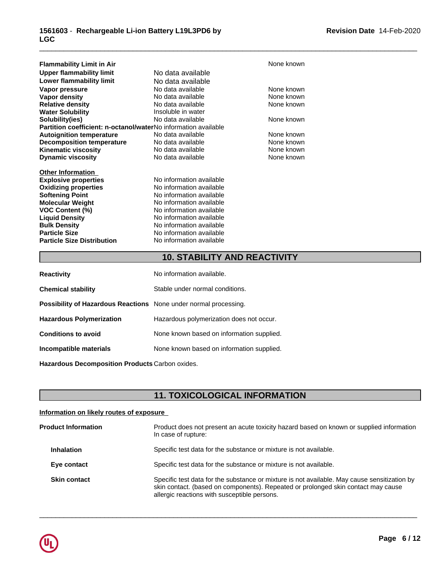| <b>Flammability Limit in Air</b>                                      |                          | None known |
|-----------------------------------------------------------------------|--------------------------|------------|
| Upper flammability limit                                              | No data available        |            |
| Lower flammability limit                                              | No data available        |            |
| Vapor pressure                                                        | No data available        | None known |
| Vapor density                                                         | No data available        | None known |
| <b>Relative density</b>                                               | No data available        | None known |
| <b>Water Solubility</b>                                               | Insoluble in water       |            |
| Solubility(ies)                                                       | No data available        | None known |
| <b>Partition coefficient: n-octanol/waterNo information available</b> |                          |            |
| <b>Autoignition temperature</b>                                       | No data available        | None known |
| <b>Decomposition temperature</b>                                      | No data available        | None known |
| <b>Kinematic viscosity</b>                                            | No data available        | None known |
| <b>Dynamic viscosity</b>                                              | No data available        | None known |
| <b>Other Information</b>                                              |                          |            |
| <b>Explosive properties</b>                                           | No information available |            |
| <b>Oxidizing properties</b>                                           | No information available |            |
| <b>Softening Point</b>                                                | No information available |            |
| <b>Molecular Weight</b>                                               | No information available |            |
| <b>VOC Content (%)</b>                                                | No information available |            |
| <b>Liquid Density</b>                                                 | No information available |            |
| <b>Bulk Density</b>                                                   | No information available |            |
| <b>Particle Size</b>                                                  | No information available |            |
| <b>Particle Size Distribution</b>                                     | No information available |            |

# **10. STABILITY AND REACTIVITY**

\_\_\_\_\_\_\_\_\_\_\_\_\_\_\_\_\_\_\_\_\_\_\_\_\_\_\_\_\_\_\_\_\_\_\_\_\_\_\_\_\_\_\_\_\_\_\_\_\_\_\_\_\_\_\_\_\_\_\_\_\_\_\_\_\_\_\_\_\_\_\_\_\_\_\_\_\_\_\_\_\_\_\_\_\_\_\_\_\_\_\_\_\_

| <b>Reactivity</b>                                                       | No information available.                 |
|-------------------------------------------------------------------------|-------------------------------------------|
| <b>Chemical stability</b>                                               | Stable under normal conditions.           |
| <b>Possibility of Hazardous Reactions</b> None under normal processing. |                                           |
| <b>Hazardous Polymerization</b>                                         | Hazardous polymerization does not occur.  |
| <b>Conditions to avoid</b>                                              | None known based on information supplied. |
| Incompatible materials                                                  | None known based on information supplied. |
|                                                                         |                                           |

**Hazardous Decomposition Products** Carbon oxides.

# **11. TOXICOLOGICAL INFORMATION**

## **Information on likely routes of exposure**

| <b>Product Information</b> | Product does not present an acute toxicity hazard based on known or supplied information<br>In case of rupture:                                                                                                                   |
|----------------------------|-----------------------------------------------------------------------------------------------------------------------------------------------------------------------------------------------------------------------------------|
| <b>Inhalation</b>          | Specific test data for the substance or mixture is not available.                                                                                                                                                                 |
| Eye contact                | Specific test data for the substance or mixture is not available.                                                                                                                                                                 |
| <b>Skin contact</b>        | Specific test data for the substance or mixture is not available. May cause sensitization by<br>skin contact. (based on components). Repeated or prolonged skin contact may cause<br>allergic reactions with susceptible persons. |
|                            |                                                                                                                                                                                                                                   |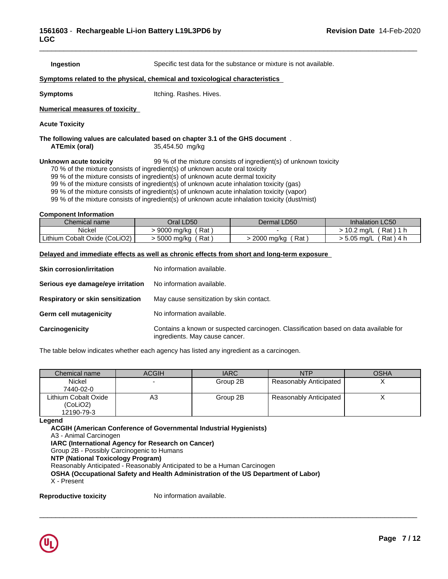**Ingestion** Specific test data for the substance or mixture is not available.

\_\_\_\_\_\_\_\_\_\_\_\_\_\_\_\_\_\_\_\_\_\_\_\_\_\_\_\_\_\_\_\_\_\_\_\_\_\_\_\_\_\_\_\_\_\_\_\_\_\_\_\_\_\_\_\_\_\_\_\_\_\_\_\_\_\_\_\_\_\_\_\_\_\_\_\_\_\_\_\_\_\_\_\_\_\_\_\_\_\_\_\_\_

### **<u>Symptoms related to the physical, chemical and toxicological characteristics</u>**

**Symptoms** Itching. Rashes. Hives.

**Numerical measures of toxicity**

**Acute Toxicity**

**The following values are calculated based on chapter 3.1 of the GHS document** . **ATEmix (oral)** 35,454.50 mg/kg

**Unknown acute toxicity** 99 % of the mixture consists of ingredient(s) of unknown toxicity

70 % of the mixture consists of ingredient(s) of unknown acute oral toxicity

99 % of the mixture consists of ingredient(s) of unknown acute dermal toxicity

99 % of the mixture consists of ingredient(s) of unknown acute inhalation toxicity (gas)

99 % of the mixture consists of ingredient(s) of unknown acute inhalation toxicity (vapor)

99 % of the mixture consists of ingredient(s) of unknown acute inhalation toxicity (dust/mist)

### **Component Information**

| Chemical name                    | Oral LD50              | Dermal LD50       | <b>Inhalation LC50</b> |
|----------------------------------|------------------------|-------------------|------------------------|
| Nickel                           | Rat<br>9000<br>, ma/ka |                   | Rat)<br>10.2 mg/L      |
| Cobalt Oxide (CoLiO2)<br>Lithium | Rat<br>. 5000 ma/ka    | Rat<br>2000 ma/ka | Rat)<br>5.05 ma/L      |

## **Delayed and immediate effects as well as chronic effects from short and long-term exposure**

| <b>Skin corrosion/irritation</b>         | No information available.                                                                                              |
|------------------------------------------|------------------------------------------------------------------------------------------------------------------------|
| Serious eye damage/eye irritation        | No information available.                                                                                              |
| <b>Respiratory or skin sensitization</b> | May cause sensitization by skin contact.                                                                               |
| <b>Germ cell mutagenicity</b>            | No information available.                                                                                              |
| Carcinogenicity                          | Contains a known or suspected carcinogen. Classification based on data available for<br>ingredients. May cause cancer. |

The table below indicates whether each agency has listed any ingredient as a carcinogen.

| Chemical name        | <b>ACGIH</b> | <b>IARC</b> | <b>NTP</b>             | <b>OSHA</b> |
|----------------------|--------------|-------------|------------------------|-------------|
| <b>Nickel</b>        |              | Group 2B    | Reasonably Anticipated |             |
| 7440-02-0            |              |             |                        |             |
| Lithium Cobalt Oxide | A3           | Group 2B    | Reasonably Anticipated |             |
| (CoLiO2)             |              |             |                        |             |
| 12190-79-3           |              |             |                        |             |

 $\_$  ,  $\_$  ,  $\_$  ,  $\_$  ,  $\_$  ,  $\_$  ,  $\_$  ,  $\_$  ,  $\_$  ,  $\_$  ,  $\_$  ,  $\_$  ,  $\_$  ,  $\_$  ,  $\_$  ,  $\_$  ,  $\_$  ,  $\_$  ,  $\_$  ,  $\_$  ,  $\_$  ,  $\_$  ,  $\_$  ,  $\_$  ,  $\_$  ,  $\_$  ,  $\_$  ,  $\_$  ,  $\_$  ,  $\_$  ,  $\_$  ,  $\_$  ,  $\_$  ,  $\_$  ,  $\_$  ,  $\_$  ,  $\_$  ,

### **Legend**

**ACGIH (American Conference of Governmental Industrial Hygienists)** A3 - Animal Carcinogen **IARC (International Agency for Research on Cancer)** Group 2B - Possibly Carcinogenic to Humans **NTP (National Toxicology Program)** Reasonably Anticipated - Reasonably Anticipated to be a Human Carcinogen **OSHA (Occupational Safety and Health Administration of the US Department of Labor)** X - Present

**Reproductive toxicity** No information available.

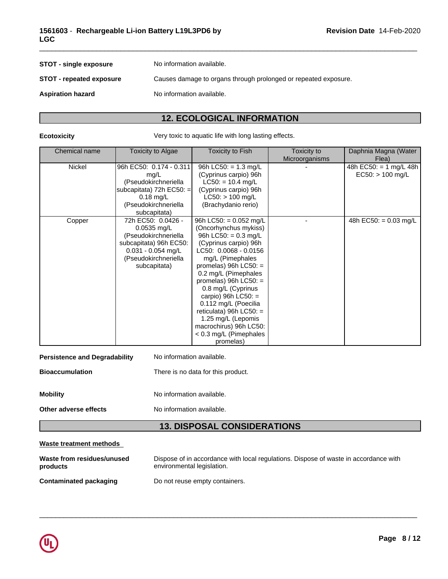| <b>STOT - single exposure</b>   | No information available.                                       |
|---------------------------------|-----------------------------------------------------------------|
| <b>STOT - repeated exposure</b> | Causes damage to organs through prolonged or repeated exposure. |
| <b>Aspiration hazard</b>        | No information available.                                       |
|                                 |                                                                 |

# **12. ECOLOGICAL INFORMATION**

**Ecotoxicity Very toxic to aquatic life with long lasting effects.** 

| Chemical name | <b>Toxicity to Algae</b>   | <b>Toxicity to Fish</b>  | Toxicity to    | Daphnia Magna (Water             |
|---------------|----------------------------|--------------------------|----------------|----------------------------------|
|               |                            |                          | Microorganisms | Flea)                            |
| Nickel        | 96h EC50: 0.174 - 0.311    | 96h LC50: $= 1.3$ mg/L   |                | 48h EC50: = $1 \text{ mg/L}$ 48h |
|               | mg/L                       | (Cyprinus carpio) 96h    |                | $EC50:$ > 100 mg/L               |
|               | (Pseudokirchneriella       | $LC50: = 10.4$ mg/L      |                |                                  |
|               | subcapitata) 72h EC50: $=$ | (Cyprinus carpio) 96h    |                |                                  |
|               | $0.18 \text{ mg/L}$        | $LC50:$ > 100 mg/L       |                |                                  |
|               | (Pseudokirchneriella       | (Brachydanio rerio)      |                |                                  |
|               | subcapitata)               |                          |                |                                  |
| Copper        | 72h EC50: 0.0426 -         | 96h LC50: = $0.052$ mg/L |                | 48h EC50: = $0.03$ mg/L          |
|               | $0.0535$ mg/L              | (Oncorhynchus mykiss)    |                |                                  |
|               | (Pseudokirchneriella       | 96h LC50: $= 0.3$ mg/L   |                |                                  |
|               | subcapitata) 96h EC50:     | (Cyprinus carpio) 96h    |                |                                  |
|               | $0.031 - 0.054$ mg/L       | LC50: 0.0068 - 0.0156    |                |                                  |
|               | (Pseudokirchneriella       | mg/L (Pimephales         |                |                                  |
|               | subcapitata)               | promelas) 96h $LC50:$ =  |                |                                  |
|               |                            | 0.2 mg/L (Pimephales     |                |                                  |
|               |                            | promelas) $96h$ LC50: =  |                |                                  |
|               |                            | 0.8 mg/L (Cyprinus       |                |                                  |
|               |                            | carpio) 96h $LC50$ : =   |                |                                  |
|               |                            | 0.112 mg/L (Poecilia     |                |                                  |
|               |                            | reticulata) 96h LC50: =  |                |                                  |
|               |                            | 1.25 mg/L (Lepomis       |                |                                  |
|               |                            | macrochirus) 96h LC50:   |                |                                  |
|               |                            | < 0.3 mg/L (Pimephales   |                |                                  |
|               |                            | promelas)                |                |                                  |

| <b>Persistence and Degradability</b> | No information available.          |
|--------------------------------------|------------------------------------|
| <b>Bioaccumulation</b>               | There is no data for this product. |
| <b>Mobility</b>                      | No information available.          |

**Other adverse effects** No information available.

# **13. DISPOSAL CONSIDERATIONS**

## **Waste treatment methods**

| Waste from residues/unused | Dispose of in accordance with local regulations. Dispose of waste in accordance with |
|----------------------------|--------------------------------------------------------------------------------------|
| products                   | environmental legislation.                                                           |
| Contaminated packaging     | Do not reuse empty containers.                                                       |

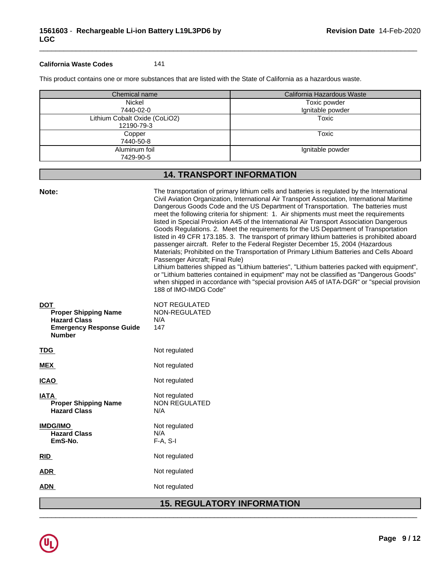## **California Waste Codes** 141

This product contains one or more substances that are listed with the State of California as a hazardous waste.

| Chemical name                 | California Hazardous Waste |
|-------------------------------|----------------------------|
| Nickel                        | Toxic powder               |
| 7440-02-0                     | Ignitable powder           |
| Lithium Cobalt Oxide (CoLiO2) | Toxic                      |
| 12190-79-3                    |                            |
| Copper                        | Toxic                      |
| 7440-50-8                     |                            |
| Aluminum foil                 | Ignitable powder           |
| 7429-90-5                     |                            |

\_\_\_\_\_\_\_\_\_\_\_\_\_\_\_\_\_\_\_\_\_\_\_\_\_\_\_\_\_\_\_\_\_\_\_\_\_\_\_\_\_\_\_\_\_\_\_\_\_\_\_\_\_\_\_\_\_\_\_\_\_\_\_\_\_\_\_\_\_\_\_\_\_\_\_\_\_\_\_\_\_\_\_\_\_\_\_\_\_\_\_\_\_

# **14. TRANSPORT INFORMATION**

| Note:                                                                                                                | The transportation of primary lithium cells and batteries is regulated by the International<br>Civil Aviation Organization, International Air Transport Association, International Maritime<br>Dangerous Goods Code and the US Department of Transportation. The batteries must<br>meet the following criteria for shipment: 1. Air shipments must meet the requirements<br>listed in Special Provision A45 of the International Air Transport Association Dangerous<br>Goods Regulations. 2. Meet the requirements for the US Department of Transportation<br>listed in 49 CFR 173.185. 3. The transport of primary lithium batteries is prohibited aboard<br>passenger aircraft. Refer to the Federal Register December 15, 2004 (Hazardous<br>Materials; Prohibited on the Transportation of Primary Lithium Batteries and Cells Aboard<br>Passenger Aircraft; Final Rule)<br>Lithium batteries shipped as "Lithium batteries", "Lithium batteries packed with equipment",<br>or "Lithium batteries contained in equipment" may not be classified as "Dangerous Goods"<br>when shipped in accordance with "special provision A45 of IATA-DGR" or "special provision<br>188 of IMO-IMDG Code" |
|----------------------------------------------------------------------------------------------------------------------|-------------------------------------------------------------------------------------------------------------------------------------------------------------------------------------------------------------------------------------------------------------------------------------------------------------------------------------------------------------------------------------------------------------------------------------------------------------------------------------------------------------------------------------------------------------------------------------------------------------------------------------------------------------------------------------------------------------------------------------------------------------------------------------------------------------------------------------------------------------------------------------------------------------------------------------------------------------------------------------------------------------------------------------------------------------------------------------------------------------------------------------------------------------------------------------------------|
| <b>DOT</b><br><b>Proper Shipping Name</b><br><b>Hazard Class</b><br><b>Emergency Response Guide</b><br><b>Number</b> | <b>NOT REGULATED</b><br>NON-REGULATED<br>N/A<br>147                                                                                                                                                                                                                                                                                                                                                                                                                                                                                                                                                                                                                                                                                                                                                                                                                                                                                                                                                                                                                                                                                                                                             |
| <b>TDG</b>                                                                                                           | Not regulated                                                                                                                                                                                                                                                                                                                                                                                                                                                                                                                                                                                                                                                                                                                                                                                                                                                                                                                                                                                                                                                                                                                                                                                   |
| <b>MEX</b>                                                                                                           | Not regulated                                                                                                                                                                                                                                                                                                                                                                                                                                                                                                                                                                                                                                                                                                                                                                                                                                                                                                                                                                                                                                                                                                                                                                                   |
| <b>ICAO</b>                                                                                                          | Not regulated                                                                                                                                                                                                                                                                                                                                                                                                                                                                                                                                                                                                                                                                                                                                                                                                                                                                                                                                                                                                                                                                                                                                                                                   |
| <b>IATA</b><br><b>Proper Shipping Name</b><br><b>Hazard Class</b>                                                    | Not regulated<br><b>NON REGULATED</b><br>N/A                                                                                                                                                                                                                                                                                                                                                                                                                                                                                                                                                                                                                                                                                                                                                                                                                                                                                                                                                                                                                                                                                                                                                    |
| <b>IMDG/IMO</b><br><b>Hazard Class</b><br>EmS-No.                                                                    | Not regulated<br>N/A<br>$F-A, S-I$                                                                                                                                                                                                                                                                                                                                                                                                                                                                                                                                                                                                                                                                                                                                                                                                                                                                                                                                                                                                                                                                                                                                                              |
| <b>RID</b>                                                                                                           | Not regulated                                                                                                                                                                                                                                                                                                                                                                                                                                                                                                                                                                                                                                                                                                                                                                                                                                                                                                                                                                                                                                                                                                                                                                                   |
| <b>ADR</b>                                                                                                           | Not regulated                                                                                                                                                                                                                                                                                                                                                                                                                                                                                                                                                                                                                                                                                                                                                                                                                                                                                                                                                                                                                                                                                                                                                                                   |
| <b>ADN</b>                                                                                                           | Not regulated                                                                                                                                                                                                                                                                                                                                                                                                                                                                                                                                                                                                                                                                                                                                                                                                                                                                                                                                                                                                                                                                                                                                                                                   |
|                                                                                                                      | <b>15. REGULATORY INFORMATION</b>                                                                                                                                                                                                                                                                                                                                                                                                                                                                                                                                                                                                                                                                                                                                                                                                                                                                                                                                                                                                                                                                                                                                                               |

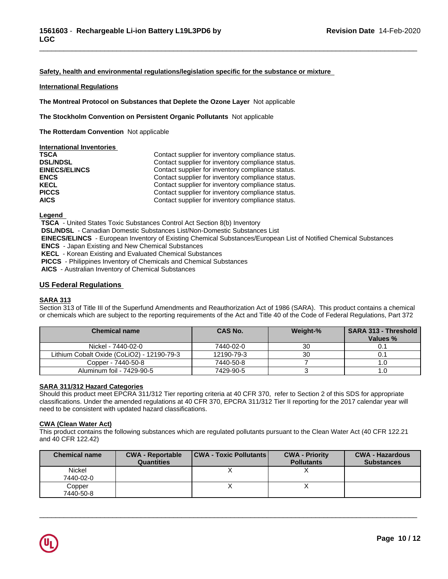## **Safety, health and environmental regulations/legislation specific for the substance or mixture**

\_\_\_\_\_\_\_\_\_\_\_\_\_\_\_\_\_\_\_\_\_\_\_\_\_\_\_\_\_\_\_\_\_\_\_\_\_\_\_\_\_\_\_\_\_\_\_\_\_\_\_\_\_\_\_\_\_\_\_\_\_\_\_\_\_\_\_\_\_\_\_\_\_\_\_\_\_\_\_\_\_\_\_\_\_\_\_\_\_\_\_\_\_

### **International Regulations**

**The Montreal Protocol on Substances that Deplete the Ozone Layer** Notapplicable

**The Stockholm Convention on Persistent Organic Pollutants** Not applicable

**The Rotterdam Convention** Not applicable

| International Inventories |                                                   |
|---------------------------|---------------------------------------------------|
| <b>TSCA</b>               | Contact supplier for inventory compliance status. |
| <b>DSL/NDSL</b>           | Contact supplier for inventory compliance status. |
| <b>EINECS/ELINCS</b>      | Contact supplier for inventory compliance status. |
| <b>ENCS</b>               | Contact supplier for inventory compliance status. |
| <b>KECL</b>               | Contact supplier for inventory compliance status. |
| <b>PICCS</b>              | Contact supplier for inventory compliance status. |
| <b>AICS</b>               | Contact supplier for inventory compliance status. |

**Legend** 

 **TSCA** - United States Toxic Substances Control Act Section 8(b) Inventory

 **DSL/NDSL** - Canadian Domestic Substances List/Non-Domestic Substances List

 **EINECS/ELINCS** - European Inventory of Existing Chemical Substances/European List of Notified Chemical Substances

 **ENCS** - Japan Existing and New Chemical Substances

 **KECL** - Korean Existing and Evaluated Chemical Substances

 **PICCS** - Philippines Inventory of Chemicals and Chemical Substances

 **AICS** - Australian Inventory of Chemical Substances

## **US Federal Regulations**

## **SARA 313**

Section 313 of Title III of the Superfund Amendments and Reauthorization Act of 1986 (SARA). This product contains a chemical or chemicals which are subject to the reporting requirements of the Act and Title 40 of the Code of Federal Regulations, Part 372

| <b>Chemical name</b>                       | <b>CAS No.</b> | Weight-% | <b>SARA 313 - Threshold</b><br>Values % |
|--------------------------------------------|----------------|----------|-----------------------------------------|
| Nickel - 7440-02-0                         | 7440-02-0      | 30       |                                         |
| Lithium Cobalt Oxide (CoLiO2) - 12190-79-3 | 12190-79-3     | 30       |                                         |
| Copper - 7440-50-8                         | 7440-50-8      |          | ن. ا                                    |
| Aluminum foil - 7429-90-5                  | 7429-90-5      |          | ن. ا                                    |

## **SARA 311/312 Hazard Categories**

Should this product meet EPCRA 311/312 Tier reporting criteria at 40 CFR 370, refer to Section 2 of this SDS for appropriate classifications. Under the amended regulations at 40 CFR 370, EPCRA 311/312 Tier II reporting for the 2017 calendar year will need to be consistent with updated hazard classifications.

### **CWA (Clean WaterAct)**

This product contains the following substances which are regulated pollutants pursuant to the Clean Water Act (40 CFR 122.21 and 40 CFR 122.42)

| <b>Chemical name</b> | <b>CWA - Reportable</b><br><b>Quantities</b> | <b>CWA - Toxic Pollutants</b> | <b>CWA - Priority</b><br><b>Pollutants</b> | <b>CWA - Hazardous</b><br><b>Substances</b> |
|----------------------|----------------------------------------------|-------------------------------|--------------------------------------------|---------------------------------------------|
| Nickel<br>7440-02-0  |                                              |                               |                                            |                                             |
| Copper<br>7440-50-8  |                                              |                               |                                            |                                             |

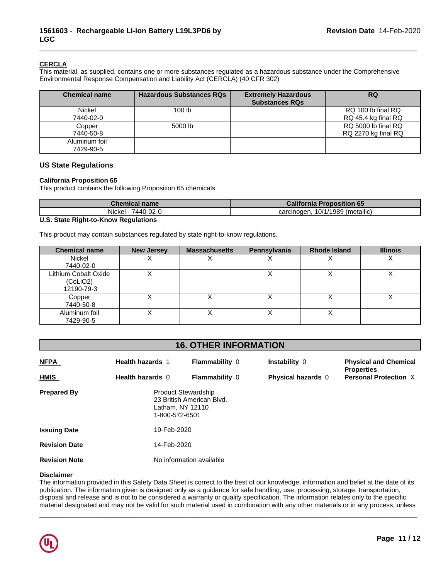## **CERCLA**

This material, as supplied, contains one or more substances regulated as a hazardous substance under the Comprehensive Environmental Response Compensation and Liability Act (CERCLA) (40 CFR 302)

| <b>Chemical name</b> | <b>Hazardous Substances RQs</b> | <b>Extremely Hazardous</b><br><b>Substances RQs</b> | <b>RQ</b>           |
|----------------------|---------------------------------|-----------------------------------------------------|---------------------|
| Nickel               | 100 <sub>lb</sub>               |                                                     | RQ 100 lb final RQ  |
| 7440-02-0            |                                 |                                                     | RQ 45.4 kg final RQ |
| Copper               | 5000 lb                         |                                                     | RQ 5000 lb final RQ |
| 7440-50-8            |                                 |                                                     | RQ 2270 kg final RQ |
| Aluminum foil        |                                 |                                                     |                     |
| 7429-90-5            |                                 |                                                     |                     |

\_\_\_\_\_\_\_\_\_\_\_\_\_\_\_\_\_\_\_\_\_\_\_\_\_\_\_\_\_\_\_\_\_\_\_\_\_\_\_\_\_\_\_\_\_\_\_\_\_\_\_\_\_\_\_\_\_\_\_\_\_\_\_\_\_\_\_\_\_\_\_\_\_\_\_\_\_\_\_\_\_\_\_\_\_\_\_\_\_\_\_\_\_

## **US State Regulations**

## **California Proposition 65**

This product contains the following Proposition 65 chemicals.

| Chemical name                                           | <b>California Proposition 65</b>                  |
|---------------------------------------------------------|---------------------------------------------------|
| 7440-02-0<br>Nickel -                                   | metallic) (metallic<br>.10/1/1989'<br>carcinogen. |
| $\cdots$ $\sim$ $\cdots$ $\sim$ $\cdots$<br>.<br>$\sim$ |                                                   |

## **U.S. State Right-to-Know Regulations**

This product may contain substances regulated by state right-to-know regulations.

| <b>Chemical name</b>                           | <b>New Jersey</b> | <b>Massachusetts</b> | Pennsylvania | <b>Rhode Island</b> | <b>Illinois</b> |
|------------------------------------------------|-------------------|----------------------|--------------|---------------------|-----------------|
| <b>Nickel</b><br>7440-02-0                     |                   |                      |              |                     | ↗               |
| Lithium Cobalt Oxide<br>(CoLiO2)<br>12190-79-3 |                   |                      |              |                     |                 |
| Copper<br>7440-50-8                            | $\lambda$         |                      | ↗            |                     | ↗               |
| Aluminum foil<br>7429-90-5                     |                   |                      |              |                     |                 |

## **16. OTHER INFORMATION**

| <b>NFPA</b>          | <b>Health hazards 1</b>                                   | <b>Flammability 0</b>     | Instability 0      | <b>Physical and Chemical</b><br><b>Properties -</b> |  |  |
|----------------------|-----------------------------------------------------------|---------------------------|--------------------|-----------------------------------------------------|--|--|
| <b>HMIS</b>          | Health hazards 0                                          | <b>Flammability 0</b>     | Physical hazards 0 | <b>Personal Protection X</b>                        |  |  |
| <b>Prepared By</b>   | Product Stewardship<br>Latham, NY 12110<br>1-800-572-6501 | 23 British American Blvd. |                    |                                                     |  |  |
| <b>Issuing Date</b>  |                                                           | 19-Feb-2020               |                    |                                                     |  |  |
| <b>Revision Date</b> |                                                           | 14-Feb-2020               |                    |                                                     |  |  |
| <b>Revision Note</b> |                                                           | No information available  |                    |                                                     |  |  |

## **Disclaimer**

The information provided in this Safety Data Sheet is correct to the best of our knowledge, information and belief at the date of its publication. The information given is designed only as a guidance for safe handling, use, processing, storage, transportation, disposal and release and is not to be considered a warranty or quality specification. The information relates only to the specific material designated and may not be valid for such material used in combination with any other materials or in any process, unless